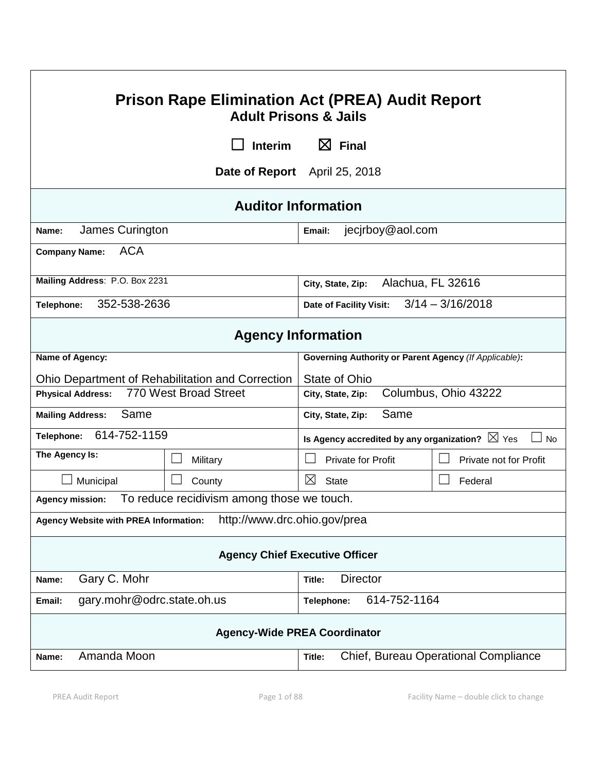| <b>Prison Rape Elimination Act (PREA) Audit Report</b><br><b>Adult Prisons &amp; Jails</b> |                |                                                                        |                                      |  |
|--------------------------------------------------------------------------------------------|----------------|------------------------------------------------------------------------|--------------------------------------|--|
|                                                                                            | <b>Interim</b> | $\boxtimes$ Final                                                      |                                      |  |
| Date of Report April 25, 2018                                                              |                |                                                                        |                                      |  |
| <b>Auditor Information</b>                                                                 |                |                                                                        |                                      |  |
| James Curington<br>Name:                                                                   |                | jecjrboy@aol.com<br>Email:                                             |                                      |  |
| <b>ACA</b><br><b>Company Name:</b>                                                         |                |                                                                        |                                      |  |
| Mailing Address: P.O. Box 2231                                                             |                | Alachua, FL 32616<br>City, State, Zip:                                 |                                      |  |
| 352-538-2636<br>Telephone:                                                                 |                | $3/14 - 3/16/2018$<br>Date of Facility Visit:                          |                                      |  |
| <b>Agency Information</b>                                                                  |                |                                                                        |                                      |  |
| Name of Agency:                                                                            |                | Governing Authority or Parent Agency (If Applicable):                  |                                      |  |
| Ohio Department of Rehabilitation and Correction                                           |                | State of Ohio                                                          |                                      |  |
| 770 West Broad Street<br><b>Physical Address:</b>                                          |                | Columbus, Ohio 43222<br>City, State, Zip:                              |                                      |  |
| Same<br><b>Mailing Address:</b>                                                            |                | Same<br>City, State, Zip:                                              |                                      |  |
| 614-752-1159<br>Telephone:                                                                 |                | Is Agency accredited by any organization? $\boxtimes$ Yes<br><b>No</b> |                                      |  |
| The Agency Is:                                                                             | Military       | <b>Private for Profit</b>                                              | Private not for Profit               |  |
| Municipal                                                                                  | County         | ⊠<br><b>State</b>                                                      | Federal                              |  |
| To reduce recidivism among those we touch.<br><b>Agency mission:</b>                       |                |                                                                        |                                      |  |
| http://www.drc.ohio.gov/prea<br>Agency Website with PREA Information:                      |                |                                                                        |                                      |  |
| <b>Agency Chief Executive Officer</b>                                                      |                |                                                                        |                                      |  |
| Gary C. Mohr<br>Name:                                                                      |                | <b>Director</b><br>Title:                                              |                                      |  |
| gary.mohr@odrc.state.oh.us<br>614-752-1164<br>Email:<br>Telephone:                         |                |                                                                        |                                      |  |
| <b>Agency-Wide PREA Coordinator</b>                                                        |                |                                                                        |                                      |  |
| Amanda Moon<br>Name:                                                                       |                | Title:                                                                 | Chief, Bureau Operational Compliance |  |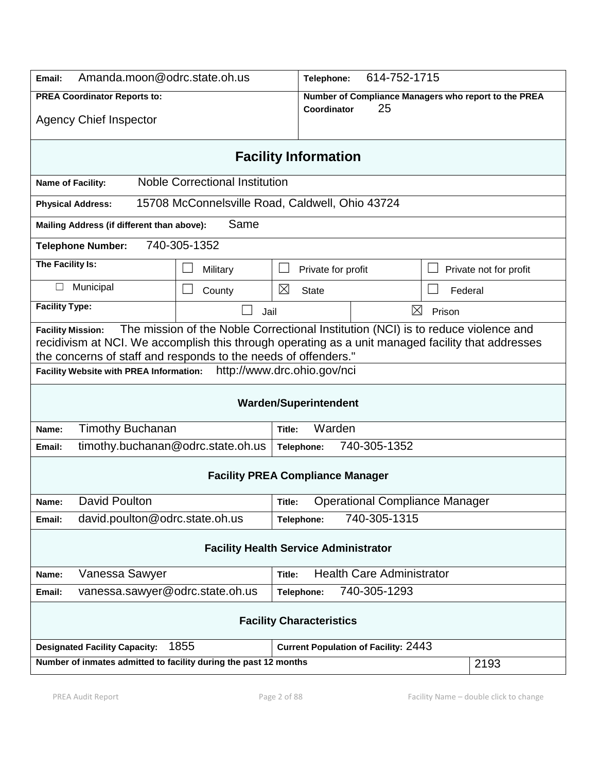| Amanda.moon@odrc.state.oh.us<br>Email:                                                                                                                                                                                                                                               |                                                            |                                                 | 614-752-1715<br>Telephone: |                    |                                       |                                                      |                        |
|--------------------------------------------------------------------------------------------------------------------------------------------------------------------------------------------------------------------------------------------------------------------------------------|------------------------------------------------------------|-------------------------------------------------|----------------------------|--------------------|---------------------------------------|------------------------------------------------------|------------------------|
| <b>PREA Coordinator Reports to:</b>                                                                                                                                                                                                                                                  |                                                            |                                                 |                            |                    |                                       | Number of Compliance Managers who report to the PREA |                        |
| <b>Agency Chief Inspector</b>                                                                                                                                                                                                                                                        |                                                            |                                                 | Coordinator                | 25                 |                                       |                                                      |                        |
| <b>Facility Information</b>                                                                                                                                                                                                                                                          |                                                            |                                                 |                            |                    |                                       |                                                      |                        |
|                                                                                                                                                                                                                                                                                      | <b>Noble Correctional Institution</b><br>Name of Facility: |                                                 |                            |                    |                                       |                                                      |                        |
|                                                                                                                                                                                                                                                                                      | <b>Physical Address:</b>                                   | 15708 McConnelsville Road, Caldwell, Ohio 43724 |                            |                    |                                       |                                                      |                        |
|                                                                                                                                                                                                                                                                                      | Mailing Address (if different than above):                 | Same                                            |                            |                    |                                       |                                                      |                        |
|                                                                                                                                                                                                                                                                                      | <b>Telephone Number:</b>                                   | 740-305-1352                                    |                            |                    |                                       |                                                      |                        |
| The Facility Is:                                                                                                                                                                                                                                                                     |                                                            | Military                                        |                            | Private for profit |                                       |                                                      | Private not for profit |
| $\Box$                                                                                                                                                                                                                                                                               | Municipal                                                  | County                                          | ⊠                          | <b>State</b>       |                                       | Federal                                              |                        |
| <b>Facility Type:</b>                                                                                                                                                                                                                                                                |                                                            | Jail                                            |                            |                    | ⊠                                     | Prison                                               |                        |
| The mission of the Noble Correctional Institution (NCI) is to reduce violence and<br><b>Facility Mission:</b><br>recidivism at NCI. We accomplish this through operating as a unit managed facility that addresses<br>the concerns of staff and responds to the needs of offenders." |                                                            |                                                 |                            |                    |                                       |                                                      |                        |
| http://www.drc.ohio.gov/nci<br><b>Facility Website with PREA Information:</b>                                                                                                                                                                                                        |                                                            |                                                 |                            |                    |                                       |                                                      |                        |
| <b>Warden/Superintendent</b>                                                                                                                                                                                                                                                         |                                                            |                                                 |                            |                    |                                       |                                                      |                        |
| Name:                                                                                                                                                                                                                                                                                | <b>Timothy Buchanan</b><br>Warden<br>Title:                |                                                 |                            |                    |                                       |                                                      |                        |
| Email:                                                                                                                                                                                                                                                                               | timothy.buchanan@odrc.state.oh.us                          |                                                 |                            | Telephone:         | 740-305-1352                          |                                                      |                        |
| <b>Facility PREA Compliance Manager</b>                                                                                                                                                                                                                                              |                                                            |                                                 |                            |                    |                                       |                                                      |                        |
| Name:                                                                                                                                                                                                                                                                                | David Poulton                                              |                                                 | Title:                     |                    | <b>Operational Compliance Manager</b> |                                                      |                        |
| Email:                                                                                                                                                                                                                                                                               | david.poulton@odrc.state.oh.us                             |                                                 |                            | Telephone:         | 740-305-1315                          |                                                      |                        |
| <b>Facility Health Service Administrator</b>                                                                                                                                                                                                                                         |                                                            |                                                 |                            |                    |                                       |                                                      |                        |
| Name:                                                                                                                                                                                                                                                                                | Vanessa Sawyer                                             |                                                 | Title:                     |                    | <b>Health Care Administrator</b>      |                                                      |                        |
| Email:                                                                                                                                                                                                                                                                               | vanessa.sawyer@odrc.state.oh.us                            |                                                 |                            | Telephone:         | 740-305-1293                          |                                                      |                        |
| <b>Facility Characteristics</b>                                                                                                                                                                                                                                                      |                                                            |                                                 |                            |                    |                                       |                                                      |                        |
| 1855<br><b>Current Population of Facility: 2443</b><br><b>Designated Facility Capacity:</b>                                                                                                                                                                                          |                                                            |                                                 |                            |                    |                                       |                                                      |                        |
| Number of inmates admitted to facility during the past 12 months                                                                                                                                                                                                                     |                                                            |                                                 |                            |                    |                                       |                                                      | 2193                   |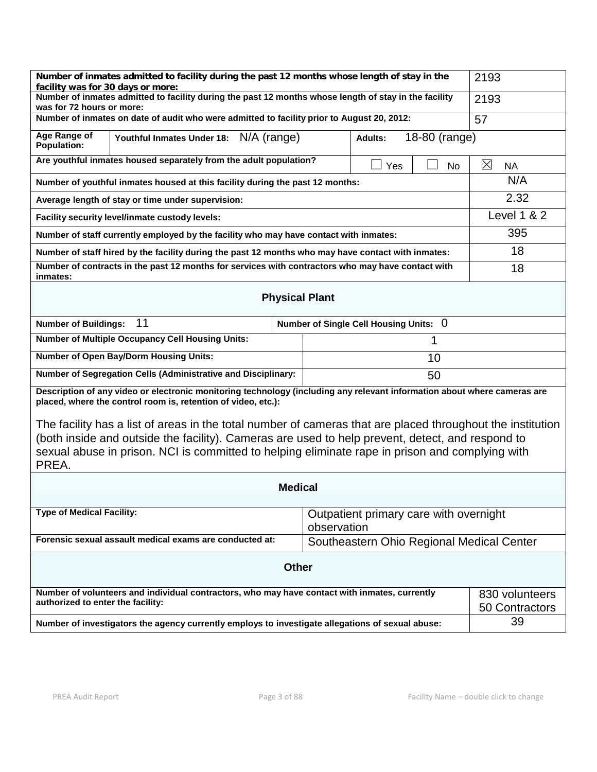| Number of inmates admitted to facility during the past 12 months whose length of stay in the<br>facility was for 30 days or more:                                                                                                                                                                                                                                                                                                                                                                              |                                                              |                                           | 2193                             |  |  |
|----------------------------------------------------------------------------------------------------------------------------------------------------------------------------------------------------------------------------------------------------------------------------------------------------------------------------------------------------------------------------------------------------------------------------------------------------------------------------------------------------------------|--------------------------------------------------------------|-------------------------------------------|----------------------------------|--|--|
| Number of inmates admitted to facility during the past 12 months whose length of stay in the facility<br>was for 72 hours or more:                                                                                                                                                                                                                                                                                                                                                                             |                                                              |                                           | 2193                             |  |  |
| Number of inmates on date of audit who were admitted to facility prior to August 20, 2012:                                                                                                                                                                                                                                                                                                                                                                                                                     |                                                              |                                           | 57                               |  |  |
| Age Range of<br>18-80 (range)<br>Youthful Inmates Under 18: N/A (range)<br><b>Adults:</b><br><b>Population:</b>                                                                                                                                                                                                                                                                                                                                                                                                |                                                              |                                           |                                  |  |  |
| Are youthful inmates housed separately from the adult population?<br>Yes<br>No                                                                                                                                                                                                                                                                                                                                                                                                                                 |                                                              |                                           | ⊠<br><b>NA</b>                   |  |  |
| Number of youthful inmates housed at this facility during the past 12 months:                                                                                                                                                                                                                                                                                                                                                                                                                                  | N/A                                                          |                                           |                                  |  |  |
| Average length of stay or time under supervision:                                                                                                                                                                                                                                                                                                                                                                                                                                                              | 2.32                                                         |                                           |                                  |  |  |
| Facility security level/inmate custody levels:                                                                                                                                                                                                                                                                                                                                                                                                                                                                 |                                                              |                                           | Level 1 & 2                      |  |  |
| Number of staff currently employed by the facility who may have contact with inmates:                                                                                                                                                                                                                                                                                                                                                                                                                          |                                                              |                                           | 395                              |  |  |
| Number of staff hired by the facility during the past 12 months who may have contact with inmates:                                                                                                                                                                                                                                                                                                                                                                                                             |                                                              |                                           | 18                               |  |  |
| Number of contracts in the past 12 months for services with contractors who may have contact with<br>inmates:                                                                                                                                                                                                                                                                                                                                                                                                  |                                                              |                                           | 18                               |  |  |
| <b>Physical Plant</b>                                                                                                                                                                                                                                                                                                                                                                                                                                                                                          |                                                              |                                           |                                  |  |  |
| 11<br>Number of Single Cell Housing Units: 0<br><b>Number of Buildings:</b>                                                                                                                                                                                                                                                                                                                                                                                                                                    |                                                              |                                           |                                  |  |  |
|                                                                                                                                                                                                                                                                                                                                                                                                                                                                                                                | <b>Number of Multiple Occupancy Cell Housing Units:</b><br>1 |                                           |                                  |  |  |
| <b>Number of Open Bay/Dorm Housing Units:</b>                                                                                                                                                                                                                                                                                                                                                                                                                                                                  |                                                              | 10                                        |                                  |  |  |
| Number of Segregation Cells (Administrative and Disciplinary:                                                                                                                                                                                                                                                                                                                                                                                                                                                  |                                                              | 50                                        |                                  |  |  |
| Description of any video or electronic monitoring technology (including any relevant information about where cameras are<br>placed, where the control room is, retention of video, etc.):<br>The facility has a list of areas in the total number of cameras that are placed throughout the institution<br>(both inside and outside the facility). Cameras are used to help prevent, detect, and respond to<br>sexual abuse in prison. NCI is committed to helping eliminate rape in prison and complying with |                                                              |                                           |                                  |  |  |
| PREA.                                                                                                                                                                                                                                                                                                                                                                                                                                                                                                          |                                                              |                                           |                                  |  |  |
| <b>Medical</b>                                                                                                                                                                                                                                                                                                                                                                                                                                                                                                 |                                                              |                                           |                                  |  |  |
| <b>Type of Medical Facility:</b><br>observation                                                                                                                                                                                                                                                                                                                                                                                                                                                                |                                                              | Outpatient primary care with overnight    |                                  |  |  |
| Forensic sexual assault medical exams are conducted at:                                                                                                                                                                                                                                                                                                                                                                                                                                                        |                                                              | Southeastern Ohio Regional Medical Center |                                  |  |  |
| <b>Other</b>                                                                                                                                                                                                                                                                                                                                                                                                                                                                                                   |                                                              |                                           |                                  |  |  |
| Number of volunteers and individual contractors, who may have contact with inmates, currently<br>authorized to enter the facility:                                                                                                                                                                                                                                                                                                                                                                             |                                                              |                                           | 830 volunteers<br>50 Contractors |  |  |
| Number of investigators the agency currently employs to investigate allegations of sexual abuse:                                                                                                                                                                                                                                                                                                                                                                                                               |                                                              |                                           | 39                               |  |  |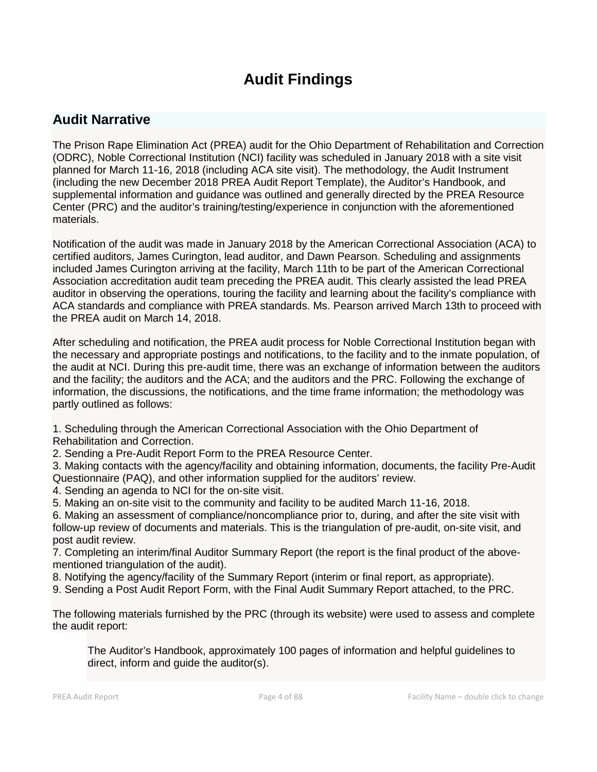# **Audit Findings**

# **Audit Narrative**

The Prison Rape Elimination Act (PREA) audit for the Ohio Department of Rehabilitation and Correction (ODRC), Noble Correctional Institution (NCI) facility was scheduled in January 2018 with a site visit planned for March 11-16, 2018 (including ACA site visit). The methodology, the Audit Instrument (including the new December 2018 PREA Audit Report Template), the Auditor's Handbook, and supplemental information and guidance was outlined and generally directed by the PREA Resource Center (PRC) and the auditor's training/testing/experience in conjunction with the aforementioned materials.

Notification of the audit was made in January 2018 by the American Correctional Association (ACA) to certified auditors, James Curington, lead auditor, and Dawn Pearson. Scheduling and assignments included James Curington arriving at the facility, March 11th to be part of the American Correctional Association accreditation audit team preceding the PREA audit. This clearly assisted the lead PREA auditor in observing the operations, touring the facility and learning about the facility's compliance with ACA standards and compliance with PREA standards. Ms. Pearson arrived March 13th to proceed with the PREA audit on March 14, 2018.

After scheduling and notification, the PREA audit process for Noble Correctional Institution began with the necessary and appropriate postings and notifications, to the facility and to the inmate population, of the audit at NCI. During this pre-audit time, there was an exchange of information between the auditors and the facility; the auditors and the ACA; and the auditors and the PRC. Following the exchange of information, the discussions, the notifications, and the time frame information; the methodology was partly outlined as follows:

1. Scheduling through the American Correctional Association with the Ohio Department of Rehabilitation and Correction.

2. Sending a Pre-Audit Report Form to the PREA Resource Center.

3. Making contacts with the agency/facility and obtaining information, documents, the facility Pre-Audit Questionnaire (PAQ), and other information supplied for the auditors' review.

- 4. Sending an agenda to NCI for the on-site visit.
- 5. Making an on-site visit to the community and facility to be audited March 11-16, 2018.

6. Making an assessment of compliance/noncompliance prior to, during, and after the site visit with follow-up review of documents and materials. This is the triangulation of pre-audit, on-site visit, and post audit review.

7. Completing an interim/final Auditor Summary Report (the report is the final product of the abovementioned triangulation of the audit).

- 8. Notifying the agency/facility of the Summary Report (interim or final report, as appropriate).
- 9. Sending a Post Audit Report Form, with the Final Audit Summary Report attached, to the PRC.

The following materials furnished by the PRC (through its website) were used to assess and complete the audit report:

The Auditor's Handbook, approximately 100 pages of information and helpful guidelines to direct, inform and guide the auditor(s).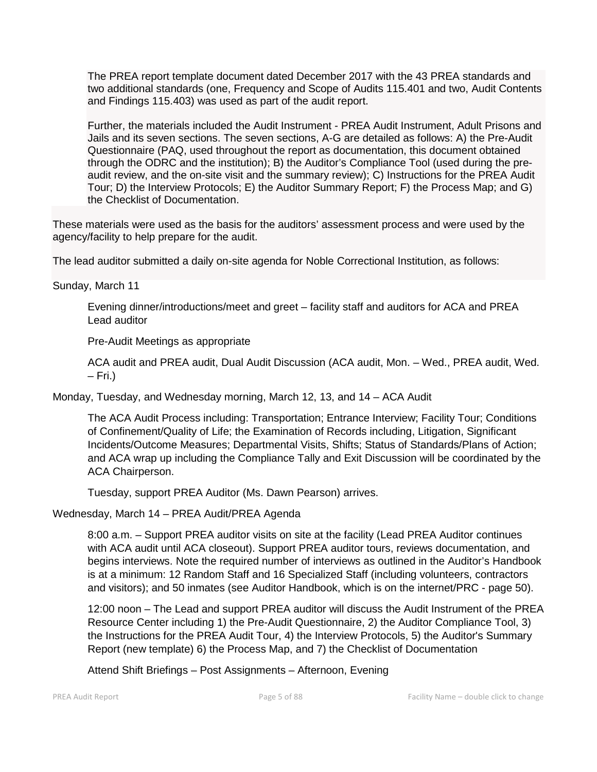The PREA report template document dated December 2017 with the 43 PREA standards and two additional standards (one, Frequency and Scope of Audits 115.401 and two, Audit Contents and Findings 115.403) was used as part of the audit report.

Further, the materials included the Audit Instrument - PREA Audit Instrument, Adult Prisons and Jails and its seven sections. The seven sections, A-G are detailed as follows: A) the Pre-Audit Questionnaire (PAQ, used throughout the report as documentation, this document obtained through the ODRC and the institution); B) the Auditor's Compliance Tool (used during the preaudit review, and the on-site visit and the summary review); C) Instructions for the PREA Audit Tour; D) the Interview Protocols; E) the Auditor Summary Report; F) the Process Map; and G) the Checklist of Documentation.

These materials were used as the basis for the auditors' assessment process and were used by the agency/facility to help prepare for the audit.

The lead auditor submitted a daily on-site agenda for Noble Correctional Institution, as follows:

Sunday, March 11

Evening dinner/introductions/meet and greet – facility staff and auditors for ACA and PREA Lead auditor

Pre-Audit Meetings as appropriate

ACA audit and PREA audit, Dual Audit Discussion (ACA audit, Mon. – Wed., PREA audit, Wed.  $-$  Fri.)

Monday, Tuesday, and Wednesday morning, March 12, 13, and 14 – ACA Audit

The ACA Audit Process including: Transportation; Entrance Interview; Facility Tour; Conditions of Confinement/Quality of Life; the Examination of Records including, Litigation, Significant Incidents/Outcome Measures; Departmental Visits, Shifts; Status of Standards/Plans of Action; and ACA wrap up including the Compliance Tally and Exit Discussion will be coordinated by the ACA Chairperson.

Tuesday, support PREA Auditor (Ms. Dawn Pearson) arrives.

Wednesday, March 14 – PREA Audit/PREA Agenda

8:00 a.m. – Support PREA auditor visits on site at the facility (Lead PREA Auditor continues with ACA audit until ACA closeout). Support PREA auditor tours, reviews documentation, and begins interviews. Note the required number of interviews as outlined in the Auditor's Handbook is at a minimum: 12 Random Staff and 16 Specialized Staff (including volunteers, contractors and visitors); and 50 inmates (see Auditor Handbook, which is on the internet/PRC - page 50).

12:00 noon – The Lead and support PREA auditor will discuss the Audit Instrument of the PREA Resource Center including 1) the Pre-Audit Questionnaire, 2) the Auditor Compliance Tool, 3) the Instructions for the PREA Audit Tour, 4) the Interview Protocols, 5) the Auditor's Summary Report (new template) 6) the Process Map, and 7) the Checklist of Documentation

Attend Shift Briefings – Post Assignments – Afternoon, Evening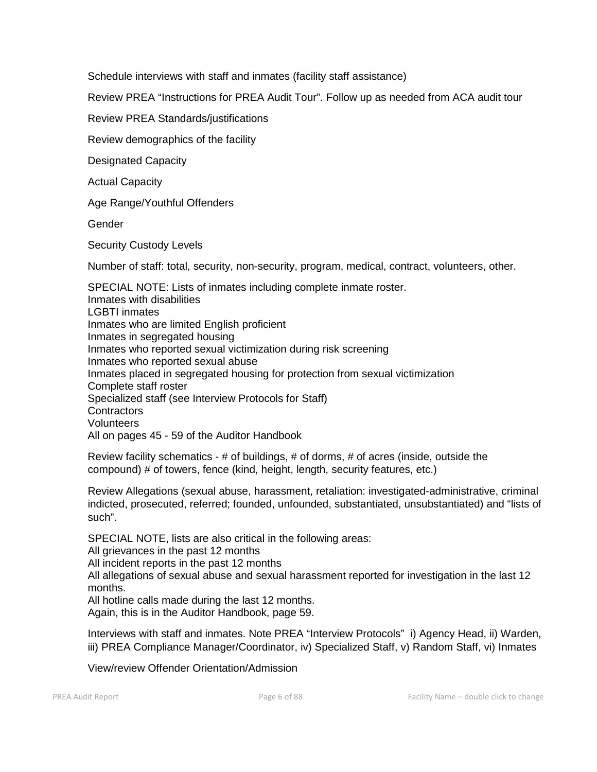Schedule interviews with staff and inmates (facility staff assistance)

Review PREA "Instructions for PREA Audit Tour". Follow up as needed from ACA audit tour

Review PREA Standards/justifications

Review demographics of the facility

Designated Capacity

Actual Capacity

Age Range/Youthful Offenders

Gender

Security Custody Levels

Number of staff: total, security, non-security, program, medical, contract, volunteers, other.

SPECIAL NOTE: Lists of inmates including complete inmate roster. Inmates with disabilities LGBTI inmates Inmates who are limited English proficient Inmates in segregated housing Inmates who reported sexual victimization during risk screening Inmates who reported sexual abuse Inmates placed in segregated housing for protection from sexual victimization Complete staff roster Specialized staff (see Interview Protocols for Staff) **Contractors** Volunteers All on pages 45 - 59 of the Auditor Handbook

Review facility schematics - # of buildings, # of dorms, # of acres (inside, outside the compound) # of towers, fence (kind, height, length, security features, etc.)

Review Allegations (sexual abuse, harassment, retaliation: investigated-administrative, criminal indicted, prosecuted, referred; founded, unfounded, substantiated, unsubstantiated) and "lists of such".

SPECIAL NOTE, lists are also critical in the following areas:

All grievances in the past 12 months

All incident reports in the past 12 months

All allegations of sexual abuse and sexual harassment reported for investigation in the last 12 months.

All hotline calls made during the last 12 months.

Again, this is in the Auditor Handbook, page 59.

Interviews with staff and inmates. Note PREA "Interview Protocols" i) Agency Head, ii) Warden, iii) PREA Compliance Manager/Coordinator, iv) Specialized Staff, v) Random Staff, vi) Inmates

View/review Offender Orientation/Admission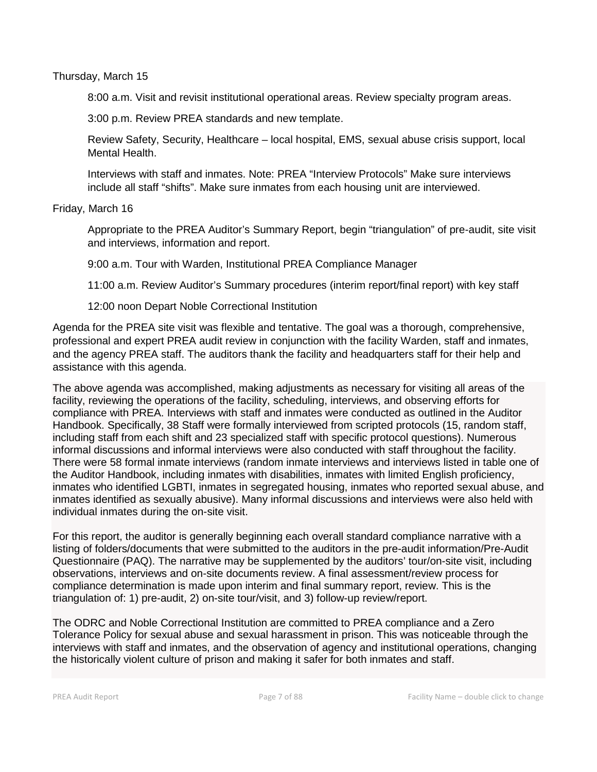Thursday, March 15

8:00 a.m. Visit and revisit institutional operational areas. Review specialty program areas.

3:00 p.m. Review PREA standards and new template.

Review Safety, Security, Healthcare – local hospital, EMS, sexual abuse crisis support, local Mental Health.

Interviews with staff and inmates. Note: PREA "Interview Protocols" Make sure interviews include all staff "shifts". Make sure inmates from each housing unit are interviewed.

Friday, March 16

Appropriate to the PREA Auditor's Summary Report, begin "triangulation" of pre-audit, site visit and interviews, information and report.

9:00 a.m. Tour with Warden, Institutional PREA Compliance Manager

11:00 a.m. Review Auditor's Summary procedures (interim report/final report) with key staff

12:00 noon Depart Noble Correctional Institution

Agenda for the PREA site visit was flexible and tentative. The goal was a thorough, comprehensive, professional and expert PREA audit review in conjunction with the facility Warden, staff and inmates, and the agency PREA staff. The auditors thank the facility and headquarters staff for their help and assistance with this agenda.

The above agenda was accomplished, making adjustments as necessary for visiting all areas of the facility, reviewing the operations of the facility, scheduling, interviews, and observing efforts for compliance with PREA. Interviews with staff and inmates were conducted as outlined in the Auditor Handbook. Specifically, 38 Staff were formally interviewed from scripted protocols (15, random staff, including staff from each shift and 23 specialized staff with specific protocol questions). Numerous informal discussions and informal interviews were also conducted with staff throughout the facility. There were 58 formal inmate interviews (random inmate interviews and interviews listed in table one of the Auditor Handbook, including inmates with disabilities, inmates with limited English proficiency, inmates who identified LGBTI, inmates in segregated housing, inmates who reported sexual abuse, and inmates identified as sexually abusive). Many informal discussions and interviews were also held with individual inmates during the on-site visit.

For this report, the auditor is generally beginning each overall standard compliance narrative with a listing of folders/documents that were submitted to the auditors in the pre-audit information/Pre-Audit Questionnaire (PAQ). The narrative may be supplemented by the auditors' tour/on-site visit, including observations, interviews and on-site documents review. A final assessment/review process for compliance determination is made upon interim and final summary report, review. This is the triangulation of: 1) pre-audit, 2) on-site tour/visit, and 3) follow-up review/report.

The ODRC and Noble Correctional Institution are committed to PREA compliance and a Zero Tolerance Policy for sexual abuse and sexual harassment in prison. This was noticeable through the interviews with staff and inmates, and the observation of agency and institutional operations, changing the historically violent culture of prison and making it safer for both inmates and staff.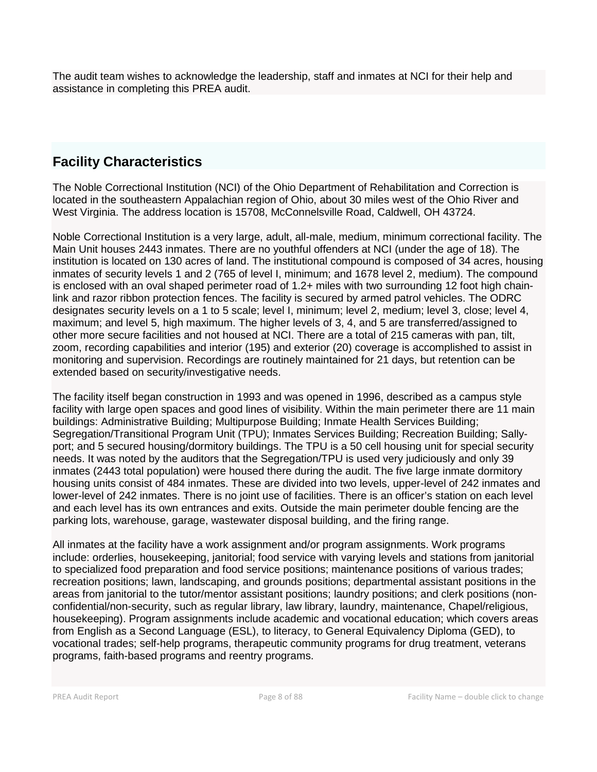The audit team wishes to acknowledge the leadership, staff and inmates at NCI for their help and assistance in completing this PREA audit.

# **Facility Characteristics**

The Noble Correctional Institution (NCI) of the Ohio Department of Rehabilitation and Correction is located in the southeastern Appalachian region of Ohio, about 30 miles west of the Ohio River and West Virginia. The address location is 15708, McConnelsville Road, Caldwell, OH 43724.

Noble Correctional Institution is a very large, adult, all-male, medium, minimum correctional facility. The Main Unit houses 2443 inmates. There are no youthful offenders at NCI (under the age of 18). The institution is located on 130 acres of land. The institutional compound is composed of 34 acres, housing inmates of security levels 1 and 2 (765 of level I, minimum; and 1678 level 2, medium). The compound is enclosed with an oval shaped perimeter road of 1.2+ miles with two surrounding 12 foot high chainlink and razor ribbon protection fences. The facility is secured by armed patrol vehicles. The ODRC designates security levels on a 1 to 5 scale; level I, minimum; level 2, medium; level 3, close; level 4, maximum; and level 5, high maximum. The higher levels of 3, 4, and 5 are transferred/assigned to other more secure facilities and not housed at NCI. There are a total of 215 cameras with pan, tilt, zoom, recording capabilities and interior (195) and exterior (20) coverage is accomplished to assist in monitoring and supervision. Recordings are routinely maintained for 21 days, but retention can be extended based on security/investigative needs.

The facility itself began construction in 1993 and was opened in 1996, described as a campus style facility with large open spaces and good lines of visibility. Within the main perimeter there are 11 main buildings: Administrative Building; Multipurpose Building; Inmate Health Services Building; Segregation/Transitional Program Unit (TPU); Inmates Services Building; Recreation Building; Sallyport; and 5 secured housing/dormitory buildings. The TPU is a 50 cell housing unit for special security needs. It was noted by the auditors that the Segregation/TPU is used very judiciously and only 39 inmates (2443 total population) were housed there during the audit. The five large inmate dormitory housing units consist of 484 inmates. These are divided into two levels, upper-level of 242 inmates and lower-level of 242 inmates. There is no joint use of facilities. There is an officer's station on each level and each level has its own entrances and exits. Outside the main perimeter double fencing are the parking lots, warehouse, garage, wastewater disposal building, and the firing range.

All inmates at the facility have a work assignment and/or program assignments. Work programs include: orderlies, housekeeping, janitorial; food service with varying levels and stations from janitorial to specialized food preparation and food service positions; maintenance positions of various trades; recreation positions; lawn, landscaping, and grounds positions; departmental assistant positions in the areas from janitorial to the tutor/mentor assistant positions; laundry positions; and clerk positions (nonconfidential/non-security, such as regular library, law library, laundry, maintenance, Chapel/religious, housekeeping). Program assignments include academic and vocational education; which covers areas from English as a Second Language (ESL), to literacy, to General Equivalency Diploma (GED), to vocational trades; self-help programs, therapeutic community programs for drug treatment, veterans programs, faith-based programs and reentry programs.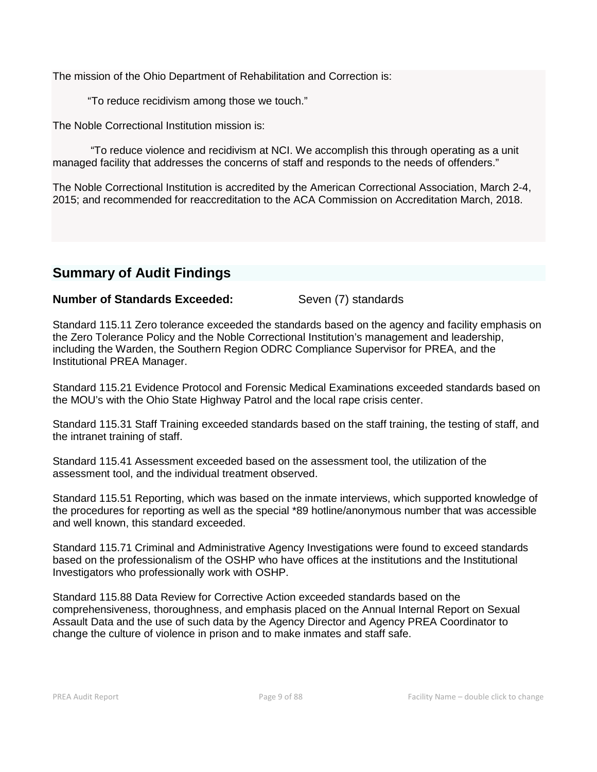The mission of the Ohio Department of Rehabilitation and Correction is:

"To reduce recidivism among those we touch."

The Noble Correctional Institution mission is:

"To reduce violence and recidivism at NCI. We accomplish this through operating as a unit managed facility that addresses the concerns of staff and responds to the needs of offenders."

The Noble Correctional Institution is accredited by the American Correctional Association, March 2-4, 2015; and recommended for reaccreditation to the ACA Commission on Accreditation March, 2018.

# **Summary of Audit Findings**

# **Number of Standards Exceeded:** Seven (7) standards

Standard 115.11 Zero tolerance exceeded the standards based on the agency and facility emphasis on the Zero Tolerance Policy and the Noble Correctional Institution's management and leadership, including the Warden, the Southern Region ODRC Compliance Supervisor for PREA, and the Institutional PREA Manager.

Standard 115.21 Evidence Protocol and Forensic Medical Examinations exceeded standards based on the MOU's with the Ohio State Highway Patrol and the local rape crisis center.

Standard 115.31 Staff Training exceeded standards based on the staff training, the testing of staff, and the intranet training of staff.

Standard 115.41 Assessment exceeded based on the assessment tool, the utilization of the assessment tool, and the individual treatment observed.

Standard 115.51 Reporting, which was based on the inmate interviews, which supported knowledge of the procedures for reporting as well as the special \*89 hotline/anonymous number that was accessible and well known, this standard exceeded.

Standard 115.71 Criminal and Administrative Agency Investigations were found to exceed standards based on the professionalism of the OSHP who have offices at the institutions and the Institutional Investigators who professionally work with OSHP.

Standard 115.88 Data Review for Corrective Action exceeded standards based on the comprehensiveness, thoroughness, and emphasis placed on the Annual Internal Report on Sexual Assault Data and the use of such data by the Agency Director and Agency PREA Coordinator to change the culture of violence in prison and to make inmates and staff safe.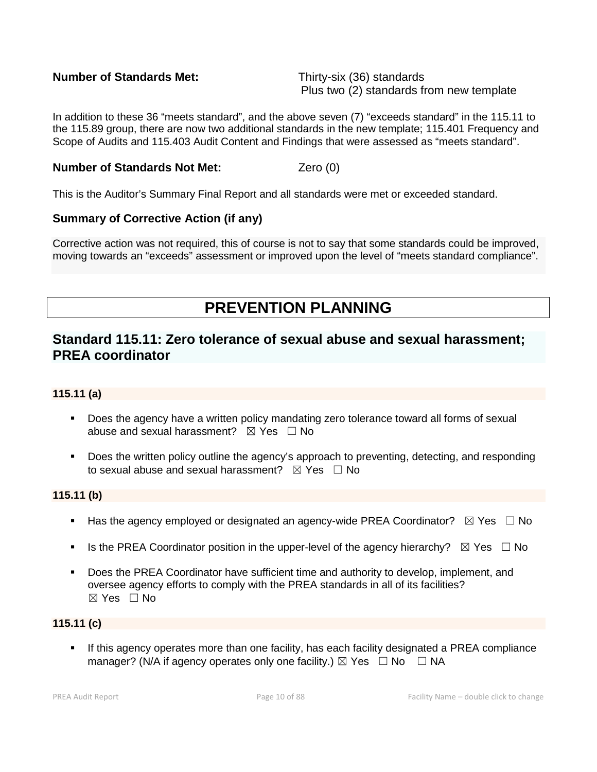# **Number of Standards Met:** Thirty-six (36) standards

Plus two (2) standards from new template

In addition to these 36 "meets standard", and the above seven (7) "exceeds standard" in the 115.11 to the 115.89 group, there are now two additional standards in the new template; 115.401 Frequency and Scope of Audits and 115.403 Audit Content and Findings that were assessed as "meets standard".

# **Number of Standards Not Met:** Zero (0)

This is the Auditor's Summary Final Report and all standards were met or exceeded standard.

# **Summary of Corrective Action (if any)**

Corrective action was not required, this of course is not to say that some standards could be improved, moving towards an "exceeds" assessment or improved upon the level of "meets standard compliance".

# **PREVENTION PLANNING**

# **Standard 115.11: Zero tolerance of sexual abuse and sexual harassment; PREA coordinator**

# **115.11 (a)**

- **Does the agency have a written policy mandating zero tolerance toward all forms of sexual** abuse and sexual harassment?  $\boxtimes$  Yes  $\Box$  No
- Does the written policy outline the agency's approach to preventing, detecting, and responding to sexual abuse and sexual harassment?  $\boxtimes$  Yes  $\Box$  No

#### **115.11 (b)**

- Has the agency employed or designated an agency-wide PREA Coordinator?  $\boxtimes$  Yes  $\Box$  No
- Is the PREA Coordinator position in the upper-level of the agency hierarchy?  $\boxtimes$  Yes  $\Box$  No
- Does the PREA Coordinator have sufficient time and authority to develop, implement, and oversee agency efforts to comply with the PREA standards in all of its facilities?  $\boxtimes$  Yes  $\Box$  No

# **115.11 (c)**

 If this agency operates more than one facility, has each facility designated a PREA compliance manager? (N/A if agency operates only one facility.)  $\boxtimes$  Yes  $\Box$  No  $\Box$  NA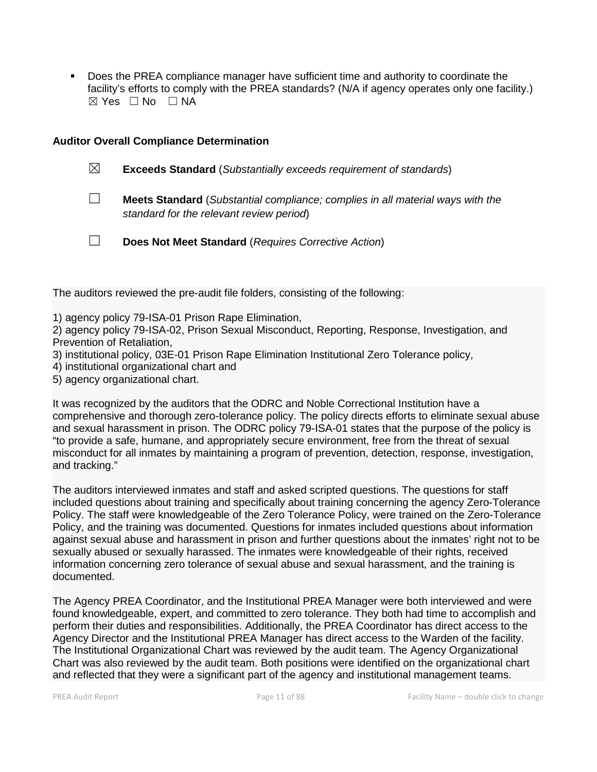Does the PREA compliance manager have sufficient time and authority to coordinate the facility's efforts to comply with the PREA standards? (N/A if agency operates only one facility.)  $\boxtimes$  Yes  $\Box$  No  $\Box$  NA

#### **Auditor Overall Compliance Determination**

- ☒ **Exceeds Standard** (*Substantially exceeds requirement of standards*)
- ☐ **Meets Standard** (*Substantial compliance; complies in all material ways with the standard for the relevant review period*)
- ☐ **Does Not Meet Standard** (*Requires Corrective Action*)

The auditors reviewed the pre-audit file folders, consisting of the following:

1) agency policy 79-ISA-01 Prison Rape Elimination,

2) agency policy 79-ISA-02, Prison Sexual Misconduct, Reporting, Response, Investigation, and Prevention of Retaliation,

- 3) institutional policy, 03E-01 Prison Rape Elimination Institutional Zero Tolerance policy,
- 4) institutional organizational chart and
- 5) agency organizational chart.

It was recognized by the auditors that the ODRC and Noble Correctional Institution have a comprehensive and thorough zero-tolerance policy. The policy directs efforts to eliminate sexual abuse and sexual harassment in prison. The ODRC policy 79-ISA-01 states that the purpose of the policy is "to provide a safe, humane, and appropriately secure environment, free from the threat of sexual misconduct for all inmates by maintaining a program of prevention, detection, response, investigation, and tracking."

The auditors interviewed inmates and staff and asked scripted questions. The questions for staff included questions about training and specifically about training concerning the agency Zero-Tolerance Policy. The staff were knowledgeable of the Zero Tolerance Policy, were trained on the Zero-Tolerance Policy, and the training was documented. Questions for inmates included questions about information against sexual abuse and harassment in prison and further questions about the inmates' right not to be sexually abused or sexually harassed. The inmates were knowledgeable of their rights, received information concerning zero tolerance of sexual abuse and sexual harassment, and the training is documented.

The Agency PREA Coordinator, and the Institutional PREA Manager were both interviewed and were found knowledgeable, expert, and committed to zero tolerance. They both had time to accomplish and perform their duties and responsibilities. Additionally, the PREA Coordinator has direct access to the Agency Director and the Institutional PREA Manager has direct access to the Warden of the facility. The Institutional Organizational Chart was reviewed by the audit team. The Agency Organizational Chart was also reviewed by the audit team. Both positions were identified on the organizational chart and reflected that they were a significant part of the agency and institutional management teams.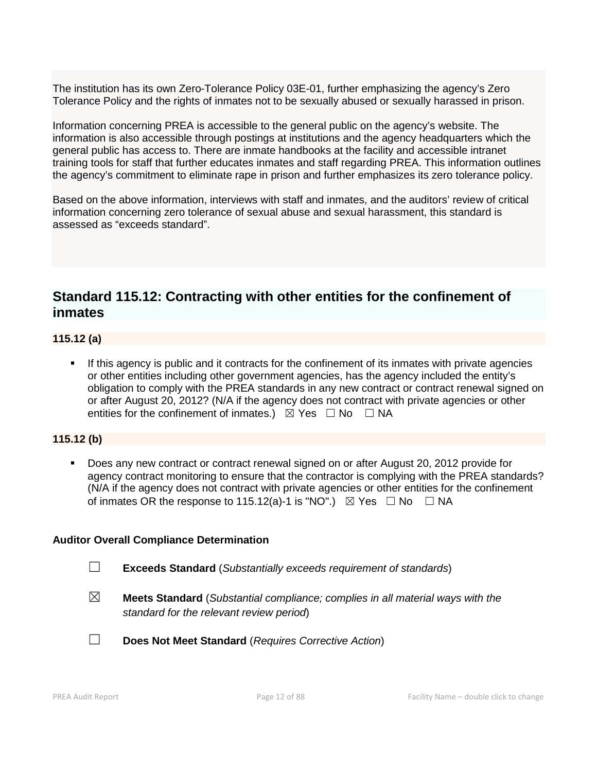The institution has its own Zero-Tolerance Policy 03E-01, further emphasizing the agency's Zero Tolerance Policy and the rights of inmates not to be sexually abused or sexually harassed in prison.

Information concerning PREA is accessible to the general public on the agency's website. The information is also accessible through postings at institutions and the agency headquarters which the general public has access to. There are inmate handbooks at the facility and accessible intranet training tools for staff that further educates inmates and staff regarding PREA. This information outlines the agency's commitment to eliminate rape in prison and further emphasizes its zero tolerance policy.

Based on the above information, interviews with staff and inmates, and the auditors' review of critical information concerning zero tolerance of sexual abuse and sexual harassment, this standard is assessed as "exceeds standard".

# **Standard 115.12: Contracting with other entities for the confinement of inmates**

# **115.12 (a)**

 If this agency is public and it contracts for the confinement of its inmates with private agencies or other entities including other government agencies, has the agency included the entity's obligation to comply with the PREA standards in any new contract or contract renewal signed on or after August 20, 2012? (N/A if the agency does not contract with private agencies or other entities for the confinement of inmates.)  $\boxtimes$  Yes  $\Box$  No  $\Box$  NA

# **115.12 (b)**

 Does any new contract or contract renewal signed on or after August 20, 2012 provide for agency contract monitoring to ensure that the contractor is complying with the PREA standards? (N/A if the agency does not contract with private agencies or other entities for the confinement of inmates OR the response to 115.12(a)-1 is "NO".)  $\boxtimes$  Yes  $\Box$  No  $\Box$  NA

#### **Auditor Overall Compliance Determination**

- ☐ **Exceeds Standard** (*Substantially exceeds requirement of standards*)
- ☒ **Meets Standard** (*Substantial compliance; complies in all material ways with the standard for the relevant review period*)

☐ **Does Not Meet Standard** (*Requires Corrective Action*)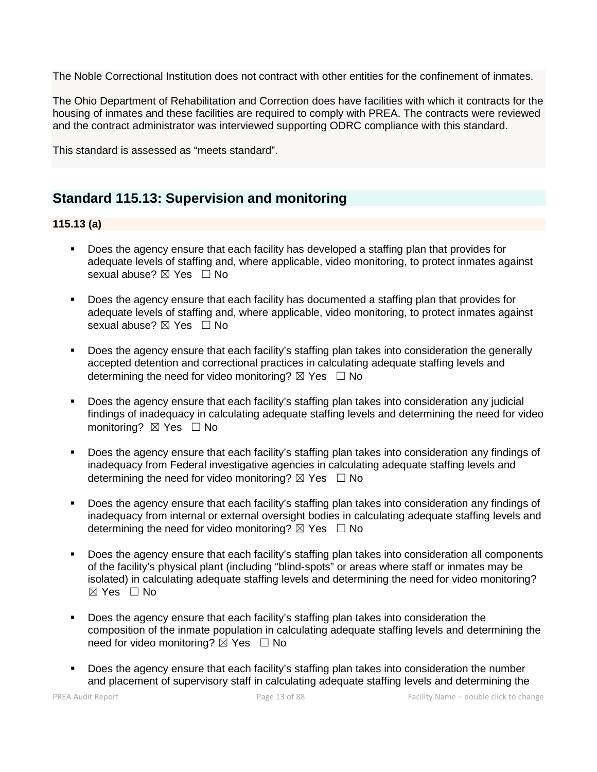The Noble Correctional Institution does not contract with other entities for the confinement of inmates.

The Ohio Department of Rehabilitation and Correction does have facilities with which it contracts for the housing of inmates and these facilities are required to comply with PREA. The contracts were reviewed and the contract administrator was interviewed supporting ODRC compliance with this standard.

This standard is assessed as "meets standard".

# **Standard 115.13: Supervision and monitoring**

# **115.13 (a)**

- Does the agency ensure that each facility has developed a staffing plan that provides for adequate levels of staffing and, where applicable, video monitoring, to protect inmates against sexual abuse? ⊠ Yes □ No
- **Does the agency ensure that each facility has documented a staffing plan that provides for** adequate levels of staffing and, where applicable, video monitoring, to protect inmates against sexual abuse?  $\boxtimes$  Yes  $\Box$  No
- Does the agency ensure that each facility's staffing plan takes into consideration the generally accepted detention and correctional practices in calculating adequate staffing levels and determining the need for video monitoring?  $\boxtimes$  Yes  $\Box$  No
- Does the agency ensure that each facility's staffing plan takes into consideration any judicial findings of inadequacy in calculating adequate staffing levels and determining the need for video monitoring? ⊠ Yes □ No
- Does the agency ensure that each facility's staffing plan takes into consideration any findings of inadequacy from Federal investigative agencies in calculating adequate staffing levels and determining the need for video monitoring?  $\boxtimes$  Yes  $\Box$  No
- Does the agency ensure that each facility's staffing plan takes into consideration any findings of inadequacy from internal or external oversight bodies in calculating adequate staffing levels and determining the need for video monitoring?  $\boxtimes$  Yes  $\Box$  No
- Does the agency ensure that each facility's staffing plan takes into consideration all components of the facility's physical plant (including "blind-spots" or areas where staff or inmates may be isolated) in calculating adequate staffing levels and determining the need for video monitoring?  $\boxtimes$  Yes  $\Box$  No
- Does the agency ensure that each facility's staffing plan takes into consideration the composition of the inmate population in calculating adequate staffing levels and determining the need for video monitoring?  $\boxtimes$  Yes  $\Box$  No
- Does the agency ensure that each facility's staffing plan takes into consideration the number and placement of supervisory staff in calculating adequate staffing levels and determining the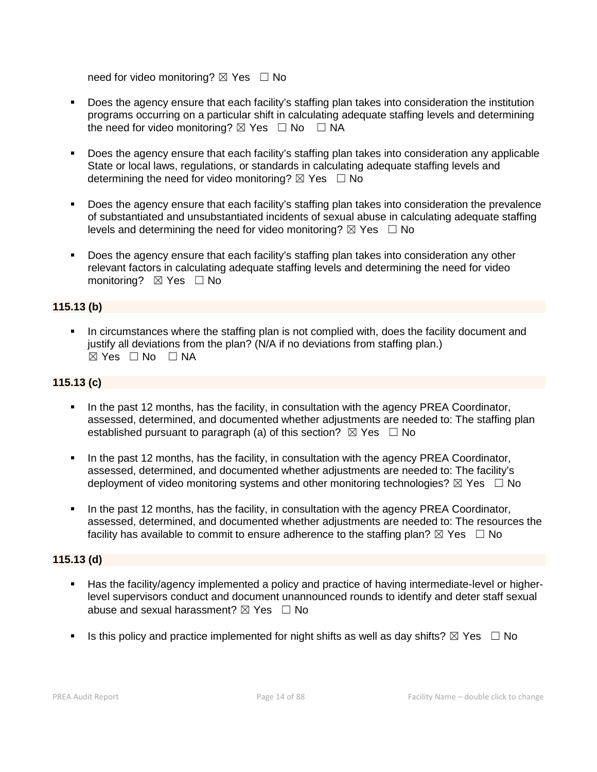need for video monitoring?  $\boxtimes$  Yes  $\Box$  No

- Does the agency ensure that each facility's staffing plan takes into consideration the institution programs occurring on a particular shift in calculating adequate staffing levels and determining the need for video monitoring?  $\boxtimes$  Yes  $\Box$  No  $\Box$  NA
- Does the agency ensure that each facility's staffing plan takes into consideration any applicable State or local laws, regulations, or standards in calculating adequate staffing levels and determining the need for video monitoring?  $\boxtimes$  Yes  $\Box$  No
- Does the agency ensure that each facility's staffing plan takes into consideration the prevalence of substantiated and unsubstantiated incidents of sexual abuse in calculating adequate staffing levels and determining the need for video monitoring?  $\boxtimes$  Yes  $\Box$  No
- Does the agency ensure that each facility's staffing plan takes into consideration any other relevant factors in calculating adequate staffing levels and determining the need for video monitoring? **⊠** Yes □ No

# **115.13 (b)**

 In circumstances where the staffing plan is not complied with, does the facility document and justify all deviations from the plan? (N/A if no deviations from staffing plan.)  $\boxtimes$  Yes  $\Box$  No  $\Box$  NA

# **115.13 (c)**

- In the past 12 months, has the facility, in consultation with the agency PREA Coordinator, assessed, determined, and documented whether adjustments are needed to: The staffing plan established pursuant to paragraph (a) of this section?  $\boxtimes$  Yes  $\Box$  No
- In the past 12 months, has the facility, in consultation with the agency PREA Coordinator, assessed, determined, and documented whether adjustments are needed to: The facility's deployment of video monitoring systems and other monitoring technologies?  $\boxtimes$  Yes  $\Box$  No
- In the past 12 months, has the facility, in consultation with the agency PREA Coordinator, assessed, determined, and documented whether adjustments are needed to: The resources the facility has available to commit to ensure adherence to the staffing plan?  $\boxtimes$  Yes  $\Box$  No

# **115.13 (d)**

- Has the facility/agency implemented a policy and practice of having intermediate-level or higherlevel supervisors conduct and document unannounced rounds to identify and deter staff sexual abuse and sexual harassment?  $\boxtimes$  Yes  $\Box$  No
- Is this policy and practice implemented for night shifts as well as day shifts?  $\boxtimes$  Yes  $\Box$  No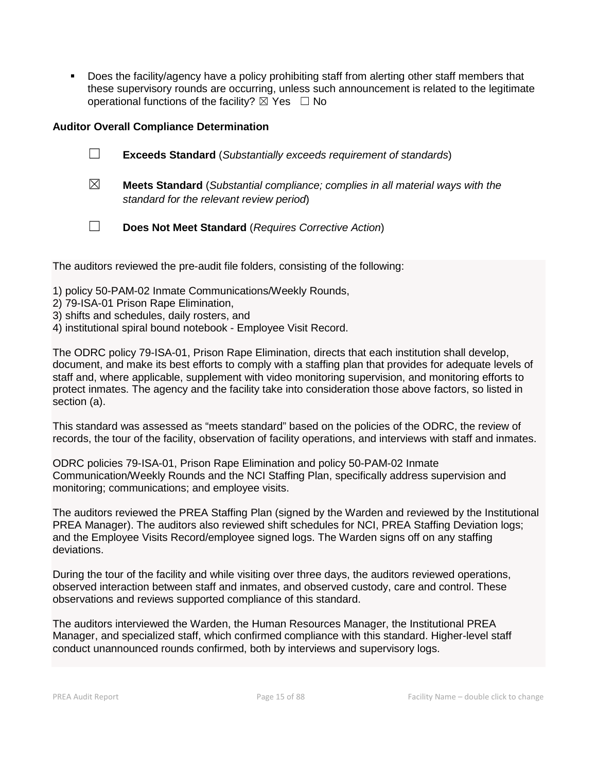**Does the facility/agency have a policy prohibiting staff from alerting other staff members that** these supervisory rounds are occurring, unless such announcement is related to the legitimate operational functions of the facility?  $\boxtimes$  Yes  $\Box$  No

# **Auditor Overall Compliance Determination**

- ☐ **Exceeds Standard** (*Substantially exceeds requirement of standards*) ☒ **Meets Standard** (*Substantial compliance; complies in all material ways with the* 
	- *standard for the relevant review period*)
- ☐ **Does Not Meet Standard** (*Requires Corrective Action*)

The auditors reviewed the pre-audit file folders, consisting of the following:

- 1) policy 50-PAM-02 Inmate Communications/Weekly Rounds,
- 2) 79-ISA-01 Prison Rape Elimination,
- 3) shifts and schedules, daily rosters, and
- 4) institutional spiral bound notebook Employee Visit Record.

The ODRC policy 79-ISA-01, Prison Rape Elimination, directs that each institution shall develop, document, and make its best efforts to comply with a staffing plan that provides for adequate levels of staff and, where applicable, supplement with video monitoring supervision, and monitoring efforts to protect inmates. The agency and the facility take into consideration those above factors, so listed in section (a).

This standard was assessed as "meets standard" based on the policies of the ODRC, the review of records, the tour of the facility, observation of facility operations, and interviews with staff and inmates.

ODRC policies 79-ISA-01, Prison Rape Elimination and policy 50-PAM-02 Inmate Communication/Weekly Rounds and the NCI Staffing Plan, specifically address supervision and monitoring; communications; and employee visits.

The auditors reviewed the PREA Staffing Plan (signed by the Warden and reviewed by the Institutional PREA Manager). The auditors also reviewed shift schedules for NCI, PREA Staffing Deviation logs; and the Employee Visits Record/employee signed logs. The Warden signs off on any staffing deviations.

During the tour of the facility and while visiting over three days, the auditors reviewed operations, observed interaction between staff and inmates, and observed custody, care and control. These observations and reviews supported compliance of this standard.

The auditors interviewed the Warden, the Human Resources Manager, the Institutional PREA Manager, and specialized staff, which confirmed compliance with this standard. Higher-level staff conduct unannounced rounds confirmed, both by interviews and supervisory logs.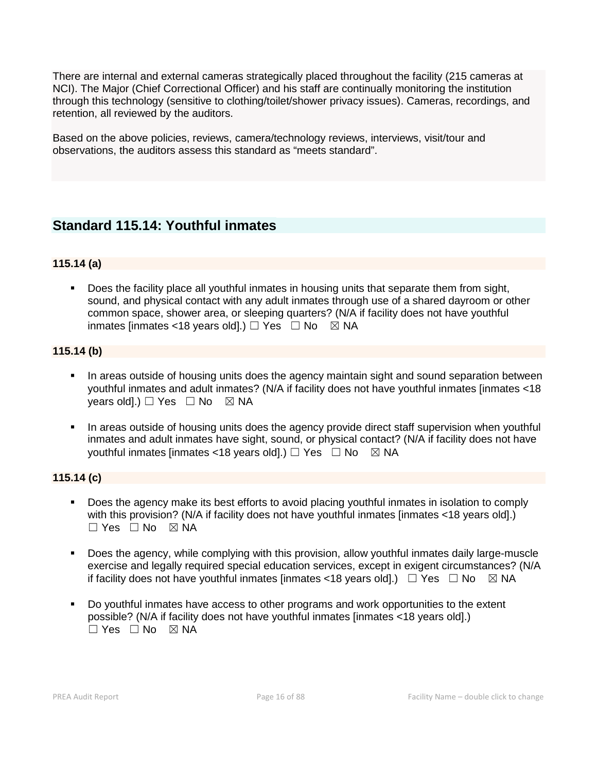There are internal and external cameras strategically placed throughout the facility (215 cameras at NCI). The Major (Chief Correctional Officer) and his staff are continually monitoring the institution through this technology (sensitive to clothing/toilet/shower privacy issues). Cameras, recordings, and retention, all reviewed by the auditors.

Based on the above policies, reviews, camera/technology reviews, interviews, visit/tour and observations, the auditors assess this standard as "meets standard".

# **Standard 115.14: Youthful inmates**

# **115.14 (a)**

 Does the facility place all youthful inmates in housing units that separate them from sight, sound, and physical contact with any adult inmates through use of a shared dayroom or other common space, shower area, or sleeping quarters? (N/A if facility does not have youthful inmates [inmates <18 years old].)  $\Box$  Yes  $\Box$  No  $\boxtimes$  NA

# **115.14 (b)**

- In areas outside of housing units does the agency maintain sight and sound separation between youthful inmates and adult inmates? (N/A if facility does not have youthful inmates [inmates <18 years old].)  $\Box$  Yes  $\Box$  No  $\boxtimes$  NA
- In areas outside of housing units does the agency provide direct staff supervision when youthful inmates and adult inmates have sight, sound, or physical contact? (N/A if facility does not have vouthful inmates [inmates <18 years old].)  $\Box$  Yes  $\Box$  No  $\boxtimes$  NA

#### **115.14 (c)**

- Does the agency make its best efforts to avoid placing youthful inmates in isolation to comply with this provision? (N/A if facility does not have youthful inmates [inmates <18 years old].)  $\Box$  Yes  $\Box$  No  $\boxtimes$  NA
- Does the agency, while complying with this provision, allow youthful inmates daily large-muscle exercise and legally required special education services, except in exigent circumstances? (N/A if facility does not have youthful inmates [inmates <18 years old].)  $\Box$  Yes  $\Box$  No  $\boxtimes$  NA
- Do youthful inmates have access to other programs and work opportunities to the extent possible? (N/A if facility does not have youthful inmates [inmates <18 years old].)  $\Box$  Yes  $\Box$  No  $\boxtimes$  NA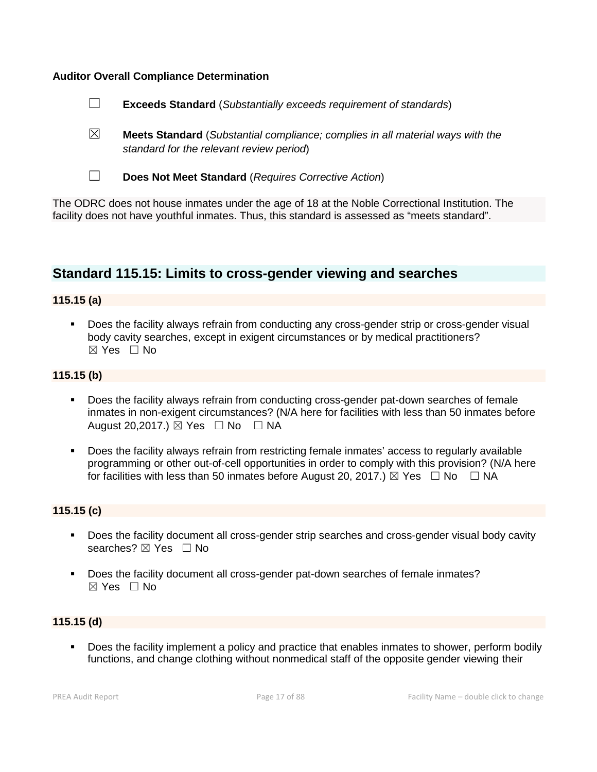#### **Auditor Overall Compliance Determination**



☒ **Meets Standard** (*Substantial compliance; complies in all material ways with the standard for the relevant review period*)



☐ **Does Not Meet Standard** (*Requires Corrective Action*)

The ODRC does not house inmates under the age of 18 at the Noble Correctional Institution. The facility does not have youthful inmates. Thus, this standard is assessed as "meets standard".

# **Standard 115.15: Limits to cross-gender viewing and searches**

# **115.15 (a)**

 Does the facility always refrain from conducting any cross-gender strip or cross-gender visual body cavity searches, except in exigent circumstances or by medical practitioners?  $\boxtimes$  Yes  $\Box$  No

#### **115.15 (b)**

- Does the facility always refrain from conducting cross-gender pat-down searches of female inmates in non-exigent circumstances? (N/A here for facilities with less than 50 inmates before August 20,2017.)  $\boxtimes$  Yes  $\Box$  No  $\Box$  NA
- Does the facility always refrain from restricting female inmates' access to regularly available programming or other out-of-cell opportunities in order to comply with this provision? (N/A here for facilities with less than 50 inmates before August 20, 2017.)  $\boxtimes$  Yes  $\Box$  No  $\Box$  NA

#### **115.15 (c)**

- Does the facility document all cross-gender strip searches and cross-gender visual body cavity searches? ⊠ Yes □ No
- Does the facility document all cross-gender pat-down searches of female inmates?  $\boxtimes$  Yes  $\Box$  No

# **115.15 (d)**

 Does the facility implement a policy and practice that enables inmates to shower, perform bodily functions, and change clothing without nonmedical staff of the opposite gender viewing their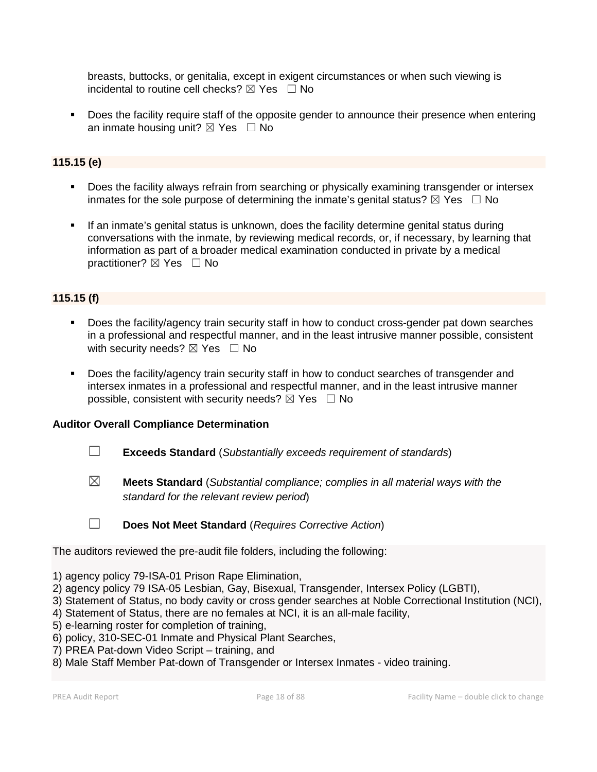breasts, buttocks, or genitalia, except in exigent circumstances or when such viewing is incidental to routine cell checks?  $\boxtimes$  Yes  $\Box$  No

 Does the facility require staff of the opposite gender to announce their presence when entering an inmate housing unit?  $\boxtimes$  Yes  $\Box$  No

# **115.15 (e)**

- **Does the facility always refrain from searching or physically examining transgender or intersex** inmates for the sole purpose of determining the inmate's genital status?  $\boxtimes$  Yes  $\Box$  No
- If an inmate's genital status is unknown, does the facility determine genital status during conversations with the inmate, by reviewing medical records, or, if necessary, by learning that information as part of a broader medical examination conducted in private by a medical practitioner? ⊠ Yes □ No

# **115.15 (f)**

- Does the facility/agency train security staff in how to conduct cross-gender pat down searches in a professional and respectful manner, and in the least intrusive manner possible, consistent with security needs?  $\boxtimes$  Yes  $\Box$  No
- Does the facility/agency train security staff in how to conduct searches of transgender and intersex inmates in a professional and respectful manner, and in the least intrusive manner possible, consistent with security needs?  $\boxtimes$  Yes  $\Box$  No

# **Auditor Overall Compliance Determination**

- ☐ **Exceeds Standard** (*Substantially exceeds requirement of standards*)
- ☒ **Meets Standard** (*Substantial compliance; complies in all material ways with the standard for the relevant review period*)

☐ **Does Not Meet Standard** (*Requires Corrective Action*)

The auditors reviewed the pre-audit file folders, including the following:

- 1) agency policy 79-ISA-01 Prison Rape Elimination,
- 2) agency policy 79 ISA-05 Lesbian, Gay, Bisexual, Transgender, Intersex Policy (LGBTI),
- 3) Statement of Status, no body cavity or cross gender searches at Noble Correctional Institution (NCI),
- 4) Statement of Status, there are no females at NCI, it is an all-male facility,
- 5) e-learning roster for completion of training,
- 6) policy, 310-SEC-01 Inmate and Physical Plant Searches,
- 7) PREA Pat-down Video Script training, and
- 8) Male Staff Member Pat-down of Transgender or Intersex Inmates video training.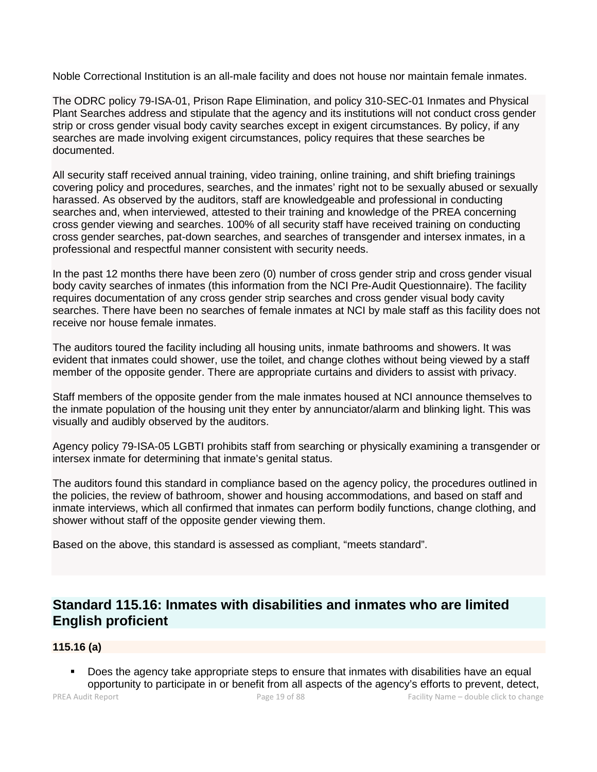Noble Correctional Institution is an all-male facility and does not house nor maintain female inmates.

The ODRC policy 79-ISA-01, Prison Rape Elimination, and policy 310-SEC-01 Inmates and Physical Plant Searches address and stipulate that the agency and its institutions will not conduct cross gender strip or cross gender visual body cavity searches except in exigent circumstances. By policy, if any searches are made involving exigent circumstances, policy requires that these searches be documented.

All security staff received annual training, video training, online training, and shift briefing trainings covering policy and procedures, searches, and the inmates' right not to be sexually abused or sexually harassed. As observed by the auditors, staff are knowledgeable and professional in conducting searches and, when interviewed, attested to their training and knowledge of the PREA concerning cross gender viewing and searches. 100% of all security staff have received training on conducting cross gender searches, pat-down searches, and searches of transgender and intersex inmates, in a professional and respectful manner consistent with security needs.

In the past 12 months there have been zero (0) number of cross gender strip and cross gender visual body cavity searches of inmates (this information from the NCI Pre-Audit Questionnaire). The facility requires documentation of any cross gender strip searches and cross gender visual body cavity searches. There have been no searches of female inmates at NCI by male staff as this facility does not receive nor house female inmates.

The auditors toured the facility including all housing units, inmate bathrooms and showers. It was evident that inmates could shower, use the toilet, and change clothes without being viewed by a staff member of the opposite gender. There are appropriate curtains and dividers to assist with privacy.

Staff members of the opposite gender from the male inmates housed at NCI announce themselves to the inmate population of the housing unit they enter by annunciator/alarm and blinking light. This was visually and audibly observed by the auditors.

Agency policy 79-ISA-05 LGBTI prohibits staff from searching or physically examining a transgender or intersex inmate for determining that inmate's genital status.

The auditors found this standard in compliance based on the agency policy, the procedures outlined in the policies, the review of bathroom, shower and housing accommodations, and based on staff and inmate interviews, which all confirmed that inmates can perform bodily functions, change clothing, and shower without staff of the opposite gender viewing them.

Based on the above, this standard is assessed as compliant, "meets standard".

# **Standard 115.16: Inmates with disabilities and inmates who are limited English proficient**

# **115.16 (a)**

 Does the agency take appropriate steps to ensure that inmates with disabilities have an equal opportunity to participate in or benefit from all aspects of the agency's efforts to prevent, detect,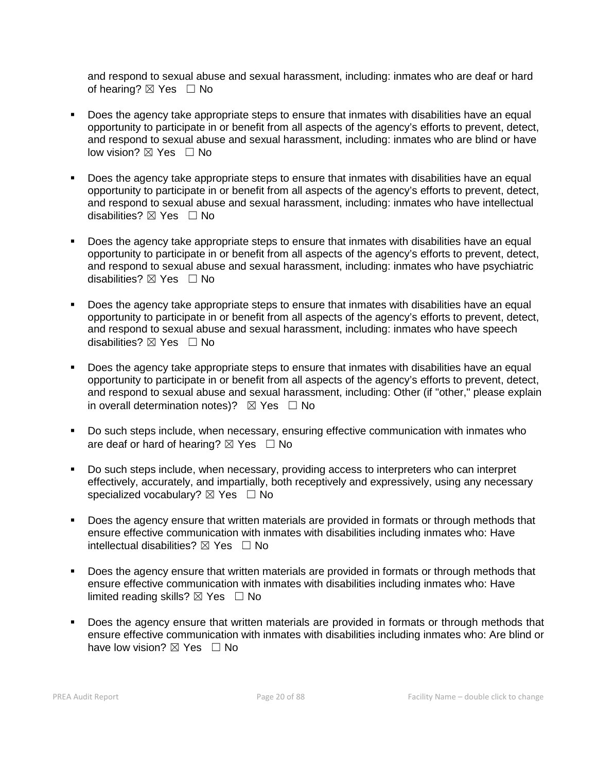and respond to sexual abuse and sexual harassment, including: inmates who are deaf or hard of hearing? ⊠ Yes □ No

- Does the agency take appropriate steps to ensure that inmates with disabilities have an equal opportunity to participate in or benefit from all aspects of the agency's efforts to prevent, detect, and respond to sexual abuse and sexual harassment, including: inmates who are blind or have low vision?  $\boxtimes$  Yes  $\Box$  No
- Does the agency take appropriate steps to ensure that inmates with disabilities have an equal opportunity to participate in or benefit from all aspects of the agency's efforts to prevent, detect, and respond to sexual abuse and sexual harassment, including: inmates who have intellectual disabilities? **⊠** Yes □ No
- Does the agency take appropriate steps to ensure that inmates with disabilities have an equal opportunity to participate in or benefit from all aspects of the agency's efforts to prevent, detect, and respond to sexual abuse and sexual harassment, including: inmates who have psychiatric disabilities?  $\boxtimes$  Yes  $\Box$  No
- Does the agency take appropriate steps to ensure that inmates with disabilities have an equal opportunity to participate in or benefit from all aspects of the agency's efforts to prevent, detect, and respond to sexual abuse and sexual harassment, including: inmates who have speech disabilities? ☒ Yes ☐ No
- Does the agency take appropriate steps to ensure that inmates with disabilities have an equal opportunity to participate in or benefit from all aspects of the agency's efforts to prevent, detect, and respond to sexual abuse and sexual harassment, including: Other (if "other," please explain in overall determination notes)?  $\boxtimes$  Yes  $\Box$  No
- Do such steps include, when necessary, ensuring effective communication with inmates who are deaf or hard of hearing?  $\boxtimes$  Yes  $\Box$  No
- Do such steps include, when necessary, providing access to interpreters who can interpret effectively, accurately, and impartially, both receptively and expressively, using any necessary specialized vocabulary? ⊠ Yes □ No
- Does the agency ensure that written materials are provided in formats or through methods that ensure effective communication with inmates with disabilities including inmates who: Have intellectual disabilities?  $\boxtimes$  Yes  $\Box$  No
- Does the agency ensure that written materials are provided in formats or through methods that ensure effective communication with inmates with disabilities including inmates who: Have limited reading skills?  $\boxtimes$  Yes  $\Box$  No
- Does the agency ensure that written materials are provided in formats or through methods that ensure effective communication with inmates with disabilities including inmates who: Are blind or have low vision?  $\boxtimes$  Yes  $\Box$  No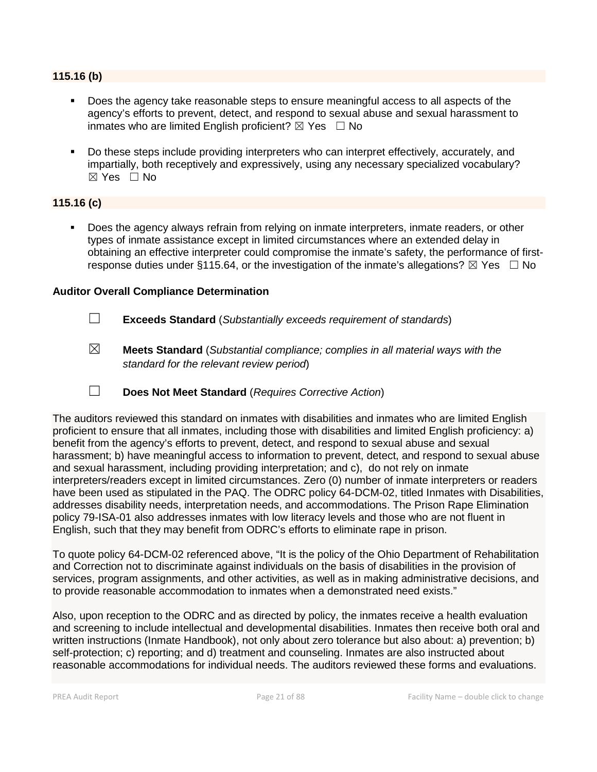#### **115.16 (b)**

- Does the agency take reasonable steps to ensure meaningful access to all aspects of the agency's efforts to prevent, detect, and respond to sexual abuse and sexual harassment to inmates who are limited English proficient?  $\boxtimes$  Yes  $\Box$  No
- Do these steps include providing interpreters who can interpret effectively, accurately, and impartially, both receptively and expressively, using any necessary specialized vocabulary? ☒ Yes ☐ No

# **115.16 (c)**

 Does the agency always refrain from relying on inmate interpreters, inmate readers, or other types of inmate assistance except in limited circumstances where an extended delay in obtaining an effective interpreter could compromise the inmate's safety, the performance of firstresponse duties under §115.64, or the investigation of the inmate's allegations?  $\boxtimes$  Yes  $\Box$  No

#### **Auditor Overall Compliance Determination**

- ☐ **Exceeds Standard** (*Substantially exceeds requirement of standards*)
- ☒ **Meets Standard** (*Substantial compliance; complies in all material ways with the standard for the relevant review period*)
- ☐ **Does Not Meet Standard** (*Requires Corrective Action*)

The auditors reviewed this standard on inmates with disabilities and inmates who are limited English proficient to ensure that all inmates, including those with disabilities and limited English proficiency: a) benefit from the agency's efforts to prevent, detect, and respond to sexual abuse and sexual harassment; b) have meaningful access to information to prevent, detect, and respond to sexual abuse and sexual harassment, including providing interpretation; and c), do not rely on inmate interpreters/readers except in limited circumstances. Zero (0) number of inmate interpreters or readers have been used as stipulated in the PAQ. The ODRC policy 64-DCM-02, titled Inmates with Disabilities, addresses disability needs, interpretation needs, and accommodations. The Prison Rape Elimination policy 79-ISA-01 also addresses inmates with low literacy levels and those who are not fluent in English, such that they may benefit from ODRC's efforts to eliminate rape in prison.

To quote policy 64-DCM-02 referenced above, "It is the policy of the Ohio Department of Rehabilitation and Correction not to discriminate against individuals on the basis of disabilities in the provision of services, program assignments, and other activities, as well as in making administrative decisions, and to provide reasonable accommodation to inmates when a demonstrated need exists."

Also, upon reception to the ODRC and as directed by policy, the inmates receive a health evaluation and screening to include intellectual and developmental disabilities. Inmates then receive both oral and written instructions (Inmate Handbook), not only about zero tolerance but also about: a) prevention; b) self-protection; c) reporting; and d) treatment and counseling. Inmates are also instructed about reasonable accommodations for individual needs. The auditors reviewed these forms and evaluations.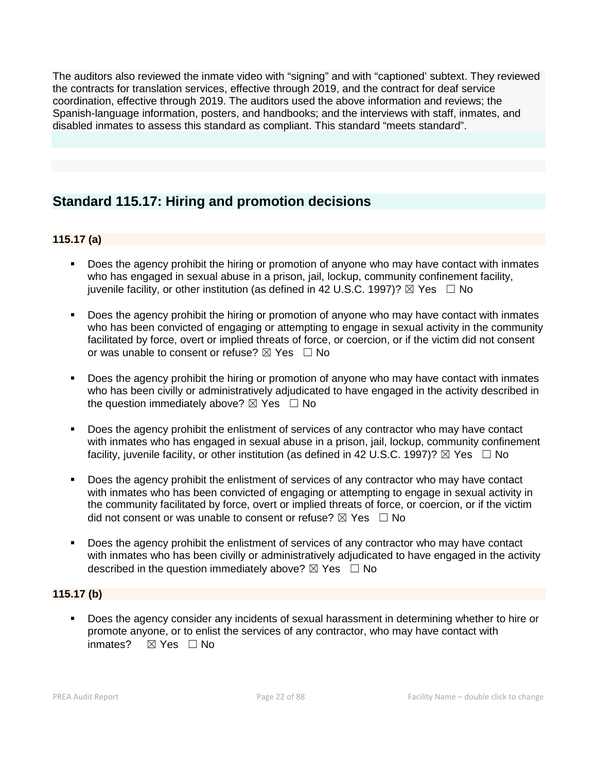The auditors also reviewed the inmate video with "signing" and with "captioned' subtext. They reviewed the contracts for translation services, effective through 2019, and the contract for deaf service coordination, effective through 2019. The auditors used the above information and reviews; the Spanish-language information, posters, and handbooks; and the interviews with staff, inmates, and disabled inmates to assess this standard as compliant. This standard "meets standard".

# **Standard 115.17: Hiring and promotion decisions**

# **115.17 (a)**

- Does the agency prohibit the hiring or promotion of anyone who may have contact with inmates who has engaged in sexual abuse in a prison, jail, lockup, community confinement facility, juvenile facility, or other institution (as defined in 42 U.S.C. 1997)?  $\boxtimes$  Yes  $\Box$  No
- Does the agency prohibit the hiring or promotion of anyone who may have contact with inmates who has been convicted of engaging or attempting to engage in sexual activity in the community facilitated by force, overt or implied threats of force, or coercion, or if the victim did not consent or was unable to consent or refuse?  $\boxtimes$  Yes  $\Box$  No
- Does the agency prohibit the hiring or promotion of anyone who may have contact with inmates who has been civilly or administratively adjudicated to have engaged in the activity described in the question immediately above?  $\boxtimes$  Yes  $\Box$  No
- Does the agency prohibit the enlistment of services of any contractor who may have contact with inmates who has engaged in sexual abuse in a prison, jail, lockup, community confinement facility, juvenile facility, or other institution (as defined in 42 U.S.C. 1997)?  $\boxtimes$  Yes  $\Box$  No
- Does the agency prohibit the enlistment of services of any contractor who may have contact with inmates who has been convicted of engaging or attempting to engage in sexual activity in the community facilitated by force, overt or implied threats of force, or coercion, or if the victim did not consent or was unable to consent or refuse?  $\boxtimes$  Yes  $\Box$  No
- Does the agency prohibit the enlistment of services of any contractor who may have contact with inmates who has been civilly or administratively adjudicated to have engaged in the activity described in the question immediately above?  $\boxtimes$  Yes  $\Box$  No

# **115.17 (b)**

 Does the agency consider any incidents of sexual harassment in determining whether to hire or promote anyone, or to enlist the services of any contractor, who may have contact with inmates? ⊠ Yes □ No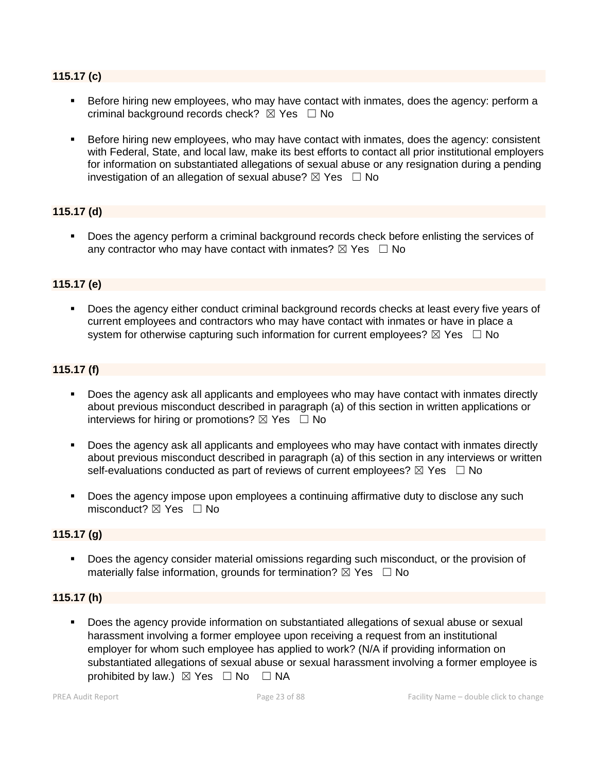#### **115.17 (c)**

- Before hiring new employees, who may have contact with inmates, does the agency: perform a criminal background records check?  $\boxtimes$  Yes  $\Box$  No
- **Before hiring new employees, who may have contact with inmates, does the agency: consistent** with Federal, State, and local law, make its best efforts to contact all prior institutional employers for information on substantiated allegations of sexual abuse or any resignation during a pending investigation of an allegation of sexual abuse?  $\boxtimes$  Yes  $\Box$  No

# **115.17 (d)**

 Does the agency perform a criminal background records check before enlisting the services of any contractor who may have contact with inmates?  $\boxtimes$  Yes  $\Box$  No

#### **115.17 (e)**

 Does the agency either conduct criminal background records checks at least every five years of current employees and contractors who may have contact with inmates or have in place a system for otherwise capturing such information for current employees?  $\boxtimes$  Yes  $\Box$  No

#### **115.17 (f)**

- Does the agency ask all applicants and employees who may have contact with inmates directly about previous misconduct described in paragraph (a) of this section in written applications or interviews for hiring or promotions?  $\boxtimes$  Yes  $\Box$  No
- Does the agency ask all applicants and employees who may have contact with inmates directly about previous misconduct described in paragraph (a) of this section in any interviews or written self-evaluations conducted as part of reviews of current employees?  $\boxtimes$  Yes  $\Box$  No
- Does the agency impose upon employees a continuing affirmative duty to disclose any such misconduct?  $\boxtimes$  Yes  $\Box$  No

#### **115.17 (g)**

 Does the agency consider material omissions regarding such misconduct, or the provision of materially false information, grounds for termination?  $\boxtimes$  Yes  $\Box$  No

#### **115.17 (h)**

 Does the agency provide information on substantiated allegations of sexual abuse or sexual harassment involving a former employee upon receiving a request from an institutional employer for whom such employee has applied to work? (N/A if providing information on substantiated allegations of sexual abuse or sexual harassment involving a former employee is prohibited by law.)  $\boxtimes$  Yes  $\Box$  No  $\Box$  NA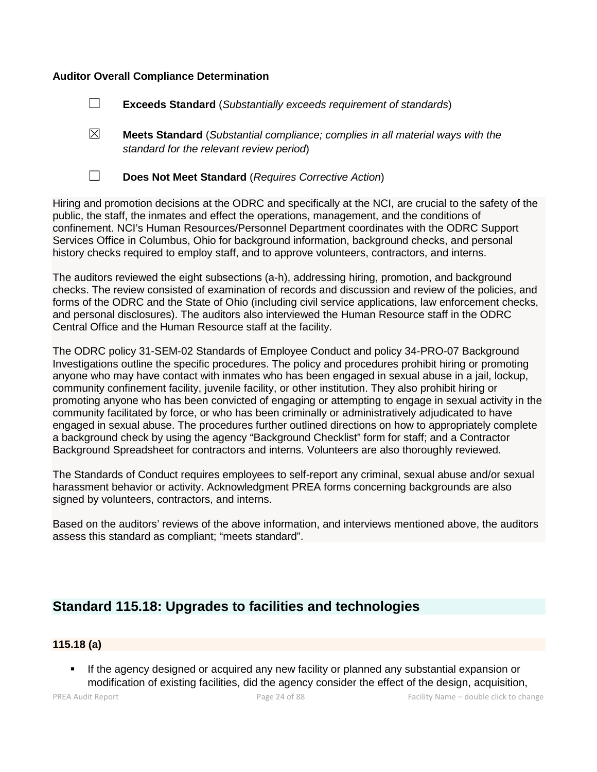#### **Auditor Overall Compliance Determination**

- ☐ **Exceeds Standard** (*Substantially exceeds requirement of standards*)
- ☒ **Meets Standard** (*Substantial compliance; complies in all material ways with the standard for the relevant review period*)
- 
- ☐ **Does Not Meet Standard** (*Requires Corrective Action*)

Hiring and promotion decisions at the ODRC and specifically at the NCI, are crucial to the safety of the public, the staff, the inmates and effect the operations, management, and the conditions of confinement. NCI's Human Resources/Personnel Department coordinates with the ODRC Support Services Office in Columbus, Ohio for background information, background checks, and personal history checks required to employ staff, and to approve volunteers, contractors, and interns.

The auditors reviewed the eight subsections (a-h), addressing hiring, promotion, and background checks. The review consisted of examination of records and discussion and review of the policies, and forms of the ODRC and the State of Ohio (including civil service applications, law enforcement checks, and personal disclosures). The auditors also interviewed the Human Resource staff in the ODRC Central Office and the Human Resource staff at the facility.

The ODRC policy 31-SEM-02 Standards of Employee Conduct and policy 34-PRO-07 Background Investigations outline the specific procedures. The policy and procedures prohibit hiring or promoting anyone who may have contact with inmates who has been engaged in sexual abuse in a jail, lockup, community confinement facility, juvenile facility, or other institution. They also prohibit hiring or promoting anyone who has been convicted of engaging or attempting to engage in sexual activity in the community facilitated by force, or who has been criminally or administratively adjudicated to have engaged in sexual abuse. The procedures further outlined directions on how to appropriately complete a background check by using the agency "Background Checklist" form for staff; and a Contractor Background Spreadsheet for contractors and interns. Volunteers are also thoroughly reviewed.

The Standards of Conduct requires employees to self-report any criminal, sexual abuse and/or sexual harassment behavior or activity. Acknowledgment PREA forms concerning backgrounds are also signed by volunteers, contractors, and interns.

Based on the auditors' reviews of the above information, and interviews mentioned above, the auditors assess this standard as compliant; "meets standard".

# **Standard 115.18: Upgrades to facilities and technologies**

#### **115.18 (a)**

 If the agency designed or acquired any new facility or planned any substantial expansion or modification of existing facilities, did the agency consider the effect of the design, acquisition,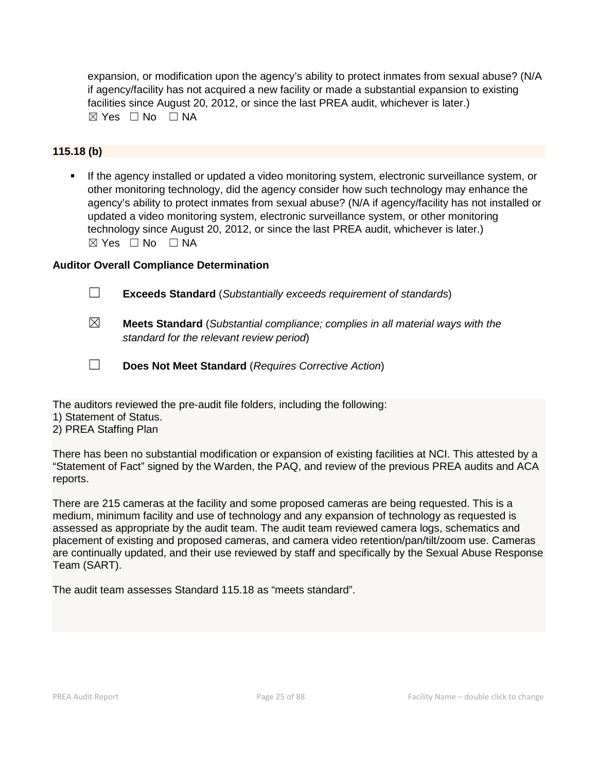expansion, or modification upon the agency's ability to protect inmates from sexual abuse? (N/A if agency/facility has not acquired a new facility or made a substantial expansion to existing facilities since August 20, 2012, or since the last PREA audit, whichever is later.)  $\boxtimes$  Yes  $\Box$  No  $\Box$  NA

# **115.18 (b)**

 If the agency installed or updated a video monitoring system, electronic surveillance system, or other monitoring technology, did the agency consider how such technology may enhance the agency's ability to protect inmates from sexual abuse? (N/A if agency/facility has not installed or updated a video monitoring system, electronic surveillance system, or other monitoring technology since August 20, 2012, or since the last PREA audit, whichever is later.)  $\boxtimes$  Yes  $\Box$  No  $\Box$  NA

# **Auditor Overall Compliance Determination**

- ☐ **Exceeds Standard** (*Substantially exceeds requirement of standards*)
- ☒ **Meets Standard** (*Substantial compliance; complies in all material ways with the standard for the relevant review period*)
- ☐ **Does Not Meet Standard** (*Requires Corrective Action*)

The auditors reviewed the pre-audit file folders, including the following:

- 1) Statement of Status.
- 2) PREA Staffing Plan

There has been no substantial modification or expansion of existing facilities at NCI. This attested by a "Statement of Fact" signed by the Warden, the PAQ, and review of the previous PREA audits and ACA reports.

There are 215 cameras at the facility and some proposed cameras are being requested. This is a medium, minimum facility and use of technology and any expansion of technology as requested is assessed as appropriate by the audit team. The audit team reviewed camera logs, schematics and placement of existing and proposed cameras, and camera video retention/pan/tilt/zoom use. Cameras are continually updated, and their use reviewed by staff and specifically by the Sexual Abuse Response Team (SART).

The audit team assesses Standard 115.18 as "meets standard".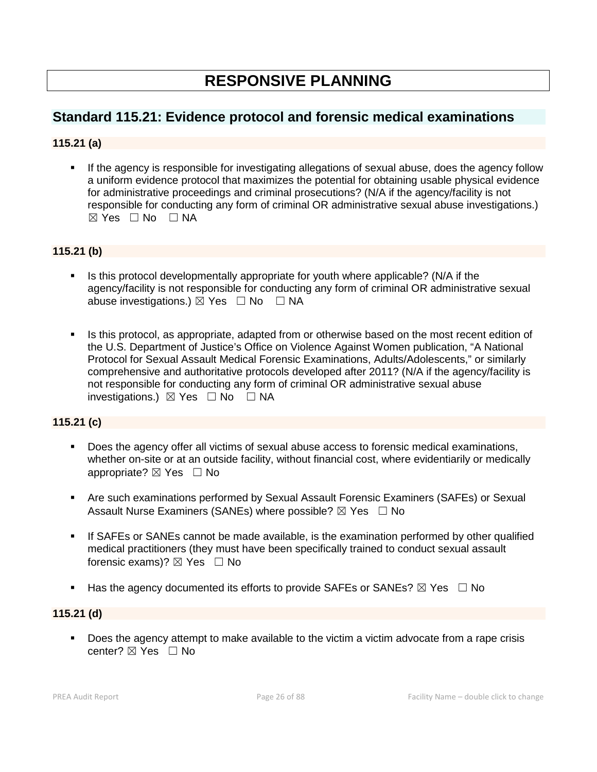# **RESPONSIVE PLANNING**

# **Standard 115.21: Evidence protocol and forensic medical examinations**

# **115.21 (a)**

 If the agency is responsible for investigating allegations of sexual abuse, does the agency follow a uniform evidence protocol that maximizes the potential for obtaining usable physical evidence for administrative proceedings and criminal prosecutions? (N/A if the agency/facility is not responsible for conducting any form of criminal OR administrative sexual abuse investigations.)  $\boxtimes$  Yes  $\Box$  No  $\Box$  NA

# **115.21 (b)**

- Is this protocol developmentally appropriate for youth where applicable? (N/A if the agency/facility is not responsible for conducting any form of criminal OR administrative sexual abuse investigations.)  $\boxtimes$  Yes  $\Box$  No  $\Box$  NA
- Is this protocol, as appropriate, adapted from or otherwise based on the most recent edition of the U.S. Department of Justice's Office on Violence Against Women publication, "A National Protocol for Sexual Assault Medical Forensic Examinations, Adults/Adolescents," or similarly comprehensive and authoritative protocols developed after 2011? (N/A if the agency/facility is not responsible for conducting any form of criminal OR administrative sexual abuse investigations.)  $\boxtimes$  Yes  $\Box$  No  $\Box$  NA

# **115.21 (c)**

- Does the agency offer all victims of sexual abuse access to forensic medical examinations, whether on-site or at an outside facility, without financial cost, where evidentiarily or medically appropriate? ⊠ Yes □ No
- Are such examinations performed by Sexual Assault Forensic Examiners (SAFEs) or Sexual Assault Nurse Examiners (SANEs) where possible?  $\boxtimes$  Yes  $\Box$  No
- If SAFEs or SANEs cannot be made available, is the examination performed by other qualified medical practitioners (they must have been specifically trained to conduct sexual assault forensic exams)?  $\boxtimes$  Yes  $\Box$  No
- Has the agency documented its efforts to provide SAFEs or SANEs?  $\boxtimes$  Yes  $\Box$  No

#### **115.21 (d)**

Does the agency attempt to make available to the victim a victim advocate from a rape crisis center?  $$\boxtimes$  Yes  $\Box$  No$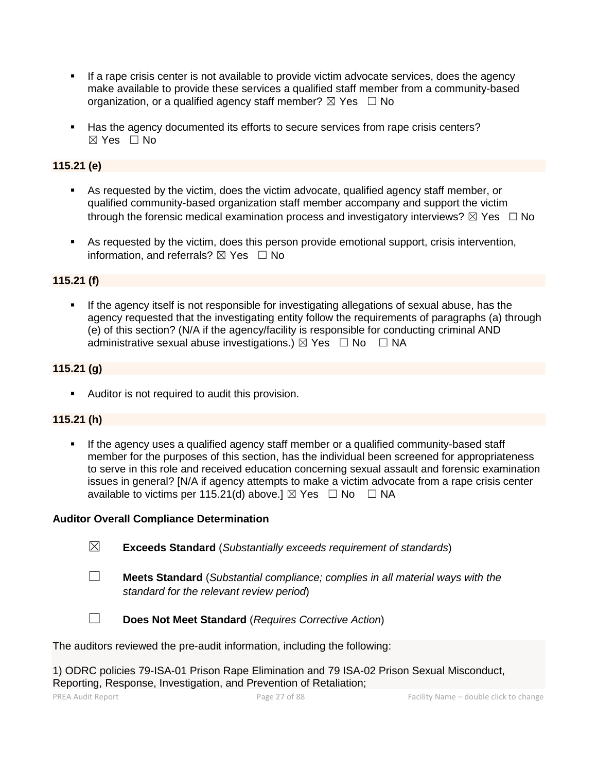- If a rape crisis center is not available to provide victim advocate services, does the agency make available to provide these services a qualified staff member from a community-based organization, or a qualified agency staff member?  $\boxtimes$  Yes  $\Box$  No
- Has the agency documented its efforts to secure services from rape crisis centers?  $\boxtimes$  Yes  $\Box$  No

# **115.21 (e)**

- As requested by the victim, does the victim advocate, qualified agency staff member, or qualified community-based organization staff member accompany and support the victim through the forensic medical examination process and investigatory interviews?  $\boxtimes$  Yes  $\Box$  No
- As requested by the victim, does this person provide emotional support, crisis intervention, information, and referrals?  $\boxtimes$  Yes  $\Box$  No

#### **115.21 (f)**

 If the agency itself is not responsible for investigating allegations of sexual abuse, has the agency requested that the investigating entity follow the requirements of paragraphs (a) through (e) of this section? (N/A if the agency/facility is responsible for conducting criminal AND administrative sexual abuse investigations.)  $\boxtimes$  Yes  $\Box$  No  $\Box$  NA

#### **115.21 (g)**

Auditor is not required to audit this provision.

# **115.21 (h)**

 If the agency uses a qualified agency staff member or a qualified community-based staff member for the purposes of this section, has the individual been screened for appropriateness to serve in this role and received education concerning sexual assault and forensic examination issues in general? [N/A if agency attempts to make a victim advocate from a rape crisis center available to victims per 115.21(d) above.]  $\boxtimes$  Yes  $\Box$  No  $\Box$  NA

#### **Auditor Overall Compliance Determination**

- ☒ **Exceeds Standard** (*Substantially exceeds requirement of standards*)
- ☐ **Meets Standard** (*Substantial compliance; complies in all material ways with the standard for the relevant review period*)



☐ **Does Not Meet Standard** (*Requires Corrective Action*)

The auditors reviewed the pre-audit information, including the following:

1) ODRC policies 79-ISA-01 Prison Rape Elimination and 79 ISA-02 Prison Sexual Misconduct, Reporting, Response, Investigation, and Prevention of Retaliation;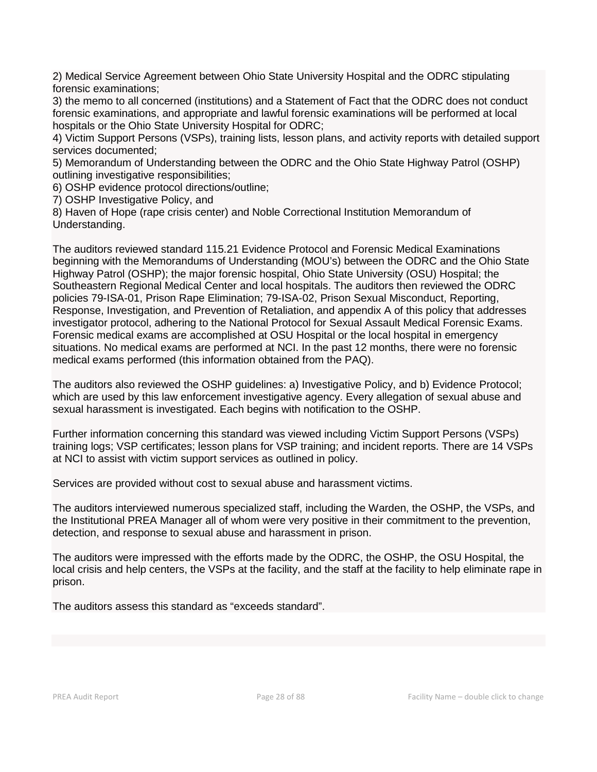2) Medical Service Agreement between Ohio State University Hospital and the ODRC stipulating forensic examinations;

3) the memo to all concerned (institutions) and a Statement of Fact that the ODRC does not conduct forensic examinations, and appropriate and lawful forensic examinations will be performed at local hospitals or the Ohio State University Hospital for ODRC;

4) Victim Support Persons (VSPs), training lists, lesson plans, and activity reports with detailed support services documented;

5) Memorandum of Understanding between the ODRC and the Ohio State Highway Patrol (OSHP) outlining investigative responsibilities;

6) OSHP evidence protocol directions/outline;

7) OSHP Investigative Policy, and

8) Haven of Hope (rape crisis center) and Noble Correctional Institution Memorandum of Understanding.

The auditors reviewed standard 115.21 Evidence Protocol and Forensic Medical Examinations beginning with the Memorandums of Understanding (MOU's) between the ODRC and the Ohio State Highway Patrol (OSHP); the major forensic hospital, Ohio State University (OSU) Hospital; the Southeastern Regional Medical Center and local hospitals. The auditors then reviewed the ODRC policies 79-ISA-01, Prison Rape Elimination; 79-ISA-02, Prison Sexual Misconduct, Reporting, Response, Investigation, and Prevention of Retaliation, and appendix A of this policy that addresses investigator protocol, adhering to the National Protocol for Sexual Assault Medical Forensic Exams. Forensic medical exams are accomplished at OSU Hospital or the local hospital in emergency situations. No medical exams are performed at NCI. In the past 12 months, there were no forensic medical exams performed (this information obtained from the PAQ).

The auditors also reviewed the OSHP guidelines: a) Investigative Policy, and b) Evidence Protocol; which are used by this law enforcement investigative agency. Every allegation of sexual abuse and sexual harassment is investigated. Each begins with notification to the OSHP.

Further information concerning this standard was viewed including Victim Support Persons (VSPs) training logs; VSP certificates; lesson plans for VSP training; and incident reports. There are 14 VSPs at NCI to assist with victim support services as outlined in policy.

Services are provided without cost to sexual abuse and harassment victims.

The auditors interviewed numerous specialized staff, including the Warden, the OSHP, the VSPs, and the Institutional PREA Manager all of whom were very positive in their commitment to the prevention, detection, and response to sexual abuse and harassment in prison.

The auditors were impressed with the efforts made by the ODRC, the OSHP, the OSU Hospital, the local crisis and help centers, the VSPs at the facility, and the staff at the facility to help eliminate rape in prison.

The auditors assess this standard as "exceeds standard".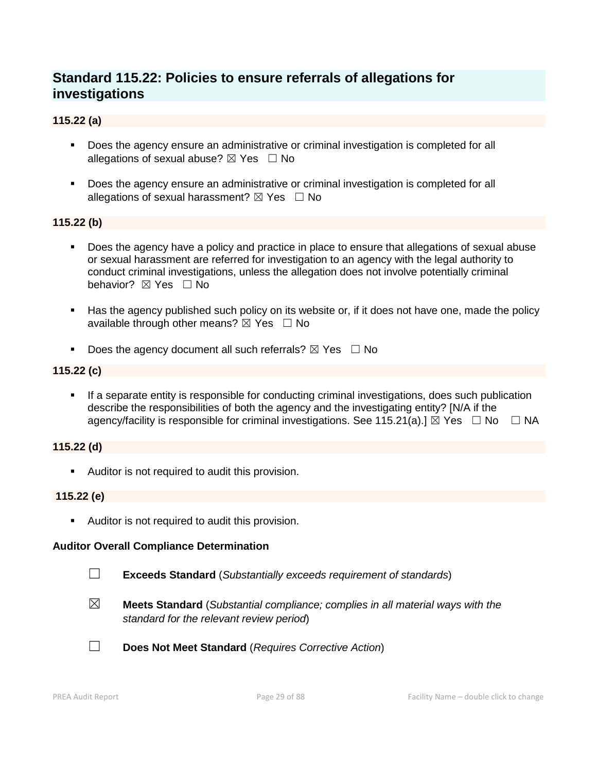# **Standard 115.22: Policies to ensure referrals of allegations for investigations**

# **115.22 (a)**

- Does the agency ensure an administrative or criminal investigation is completed for all allegations of sexual abuse?  $\boxtimes$  Yes  $\Box$  No
- Does the agency ensure an administrative or criminal investigation is completed for all allegations of sexual harassment?  $\boxtimes$  Yes  $\Box$  No

# **115.22 (b)**

- Does the agency have a policy and practice in place to ensure that allegations of sexual abuse or sexual harassment are referred for investigation to an agency with the legal authority to conduct criminal investigations, unless the allegation does not involve potentially criminal behavior? **⊠** Yes □ No
- Has the agency published such policy on its website or, if it does not have one, made the policy available through other means?  $\boxtimes$  Yes  $\Box$  No
- Does the agency document all such referrals?  $\boxtimes$  Yes  $\Box$  No

# **115.22 (c)**

 If a separate entity is responsible for conducting criminal investigations, does such publication describe the responsibilities of both the agency and the investigating entity? [N/A if the agency/facility is responsible for criminal investigations. See 115.21(a).]  $\boxtimes$  Yes  $\Box$  No  $\Box$  NA

# **115.22 (d)**

**Auditor is not required to audit this provision.** 

# **115.22 (e)**

Auditor is not required to audit this provision.

# **Auditor Overall Compliance Determination**

- ☐ **Exceeds Standard** (*Substantially exceeds requirement of standards*)
- ☒ **Meets Standard** (*Substantial compliance; complies in all material ways with the standard for the relevant review period*)
- ☐ **Does Not Meet Standard** (*Requires Corrective Action*)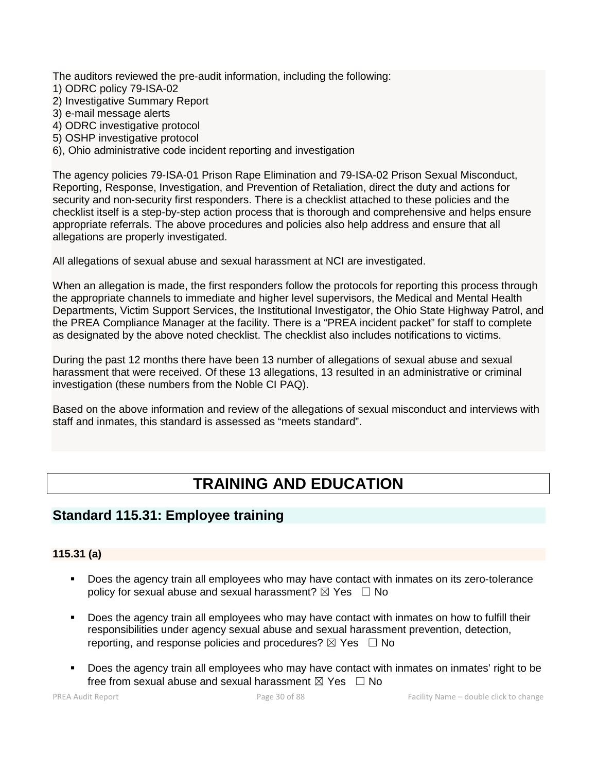The auditors reviewed the pre-audit information, including the following:

- 1) ODRC policy 79-ISA-02
- 2) Investigative Summary Report
- 3) e-mail message alerts
- 4) ODRC investigative protocol
- 5) OSHP investigative protocol
- 6), Ohio administrative code incident reporting and investigation

The agency policies 79-ISA-01 Prison Rape Elimination and 79-ISA-02 Prison Sexual Misconduct, Reporting, Response, Investigation, and Prevention of Retaliation, direct the duty and actions for security and non-security first responders. There is a checklist attached to these policies and the checklist itself is a step-by-step action process that is thorough and comprehensive and helps ensure appropriate referrals. The above procedures and policies also help address and ensure that all allegations are properly investigated.

All allegations of sexual abuse and sexual harassment at NCI are investigated.

When an allegation is made, the first responders follow the protocols for reporting this process through the appropriate channels to immediate and higher level supervisors, the Medical and Mental Health Departments, Victim Support Services, the Institutional Investigator, the Ohio State Highway Patrol, and the PREA Compliance Manager at the facility. There is a "PREA incident packet" for staff to complete as designated by the above noted checklist. The checklist also includes notifications to victims.

During the past 12 months there have been 13 number of allegations of sexual abuse and sexual harassment that were received. Of these 13 allegations, 13 resulted in an administrative or criminal investigation (these numbers from the Noble CI PAQ).

Based on the above information and review of the allegations of sexual misconduct and interviews with staff and inmates, this standard is assessed as "meets standard".

# **TRAINING AND EDUCATION**

# **Standard 115.31: Employee training**

# **115.31 (a)**

- **Does the agency train all employees who may have contact with inmates on its zero-tolerance** policy for sexual abuse and sexual harassment?  $\boxtimes$  Yes  $\Box$  No
- **Does the agency train all employees who may have contact with inmates on how to fulfill their** responsibilities under agency sexual abuse and sexual harassment prevention, detection, reporting, and response policies and procedures?  $\boxtimes$  Yes  $\Box$  No
- Does the agency train all employees who may have contact with inmates on inmates' right to be free from sexual abuse and sexual harassment  $\boxtimes$  Yes  $\Box$  No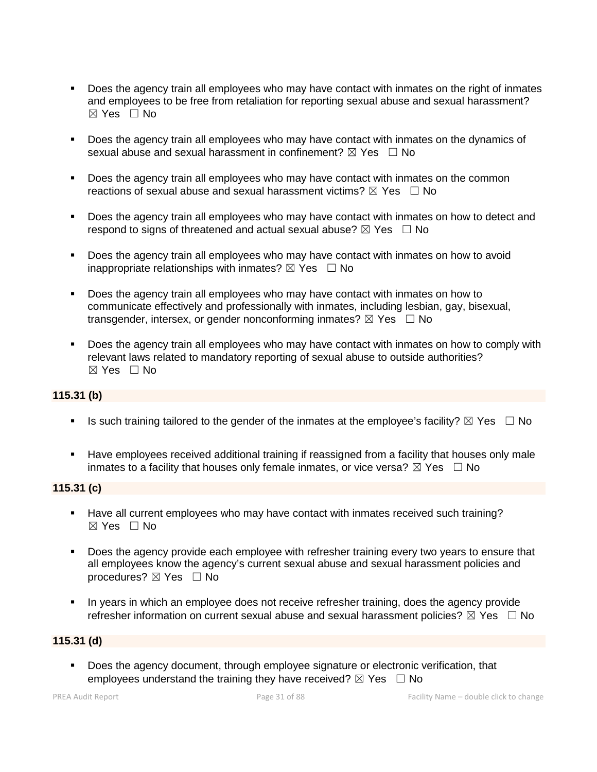- Does the agency train all employees who may have contact with inmates on the right of inmates and employees to be free from retaliation for reporting sexual abuse and sexual harassment? ☒ Yes ☐ No
- **Does the agency train all employees who may have contact with inmates on the dynamics of** sexual abuse and sexual harassment in confinement?  $\boxtimes$  Yes  $\Box$  No
- Does the agency train all employees who may have contact with inmates on the common reactions of sexual abuse and sexual harassment victims?  $\boxtimes$  Yes  $\Box$  No
- Does the agency train all employees who may have contact with inmates on how to detect and respond to signs of threatened and actual sexual abuse?  $\boxtimes$  Yes  $\Box$  No
- Does the agency train all employees who may have contact with inmates on how to avoid inappropriate relationships with inmates?  $\boxtimes$  Yes  $\Box$  No
- Does the agency train all employees who may have contact with inmates on how to communicate effectively and professionally with inmates, including lesbian, gay, bisexual, transgender, intersex, or gender nonconforming inmates?  $\boxtimes$  Yes  $\Box$  No
- Does the agency train all employees who may have contact with inmates on how to comply with relevant laws related to mandatory reporting of sexual abuse to outside authorities? ☒ Yes ☐ No

# **115.31 (b)**

- Is such training tailored to the gender of the inmates at the employee's facility?  $\boxtimes$  Yes  $\Box$  No
- Have employees received additional training if reassigned from a facility that houses only male inmates to a facility that houses only female inmates, or vice versa?  $\boxtimes$  Yes  $\Box$  No

# **115.31 (c)**

- Have all current employees who may have contact with inmates received such training? ☒ Yes ☐ No
- Does the agency provide each employee with refresher training every two years to ensure that all employees know the agency's current sexual abuse and sexual harassment policies and procedures? ⊠ Yes □ No
- In years in which an employee does not receive refresher training, does the agency provide refresher information on current sexual abuse and sexual harassment policies?  $\boxtimes$  Yes  $\Box$  No

# **115.31 (d)**

 Does the agency document, through employee signature or electronic verification, that employees understand the training they have received?  $\boxtimes$  Yes  $\Box$  No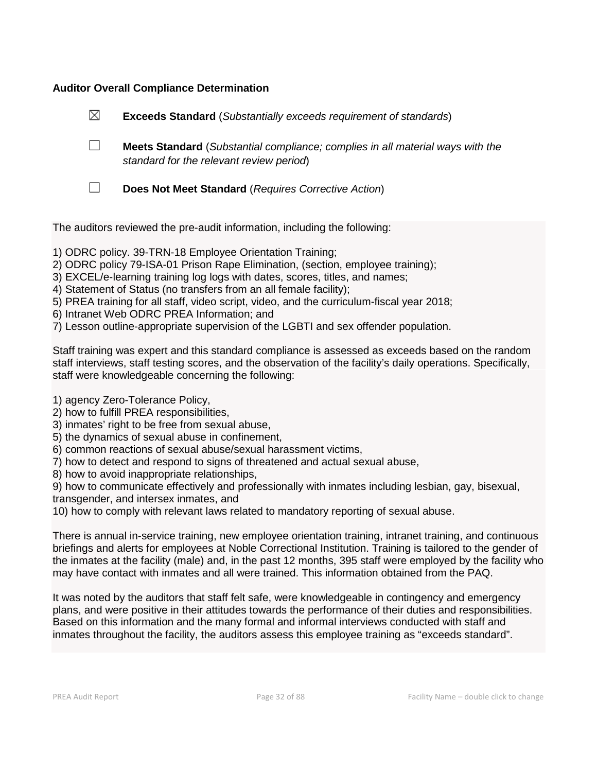# **Auditor Overall Compliance Determination**

| $\boxtimes$ | <b>Exceeds Standard</b> (Substantially exceeds requirement of standards)                                                          |
|-------------|-----------------------------------------------------------------------------------------------------------------------------------|
|             | <b>Meets Standard</b> (Substantial compliance; complies in all material ways with the<br>standard for the relevant review period) |
|             | Does Not Meet Standard (Requires Corrective Action)                                                                               |

The auditors reviewed the pre-audit information, including the following:

- 1) ODRC policy. 39-TRN-18 Employee Orientation Training;
- 2) ODRC policy 79-ISA-01 Prison Rape Elimination, (section, employee training);
- 3) EXCEL/e-learning training log logs with dates, scores, titles, and names;
- 4) Statement of Status (no transfers from an all female facility);
- 5) PREA training for all staff, video script, video, and the curriculum-fiscal year 2018;
- 6) Intranet Web ODRC PREA Information; and
- 7) Lesson outline-appropriate supervision of the LGBTI and sex offender population.

Staff training was expert and this standard compliance is assessed as exceeds based on the random staff interviews, staff testing scores, and the observation of the facility's daily operations. Specifically, staff were knowledgeable concerning the following:

- 1) agency Zero-Tolerance Policy,
- 2) how to fulfill PREA responsibilities,
- 3) inmates' right to be free from sexual abuse,
- 5) the dynamics of sexual abuse in confinement,
- 6) common reactions of sexual abuse/sexual harassment victims,
- 7) how to detect and respond to signs of threatened and actual sexual abuse,
- 8) how to avoid inappropriate relationships,

9) how to communicate effectively and professionally with inmates including lesbian, gay, bisexual, transgender, and intersex inmates, and

10) how to comply with relevant laws related to mandatory reporting of sexual abuse.

There is annual in-service training, new employee orientation training, intranet training, and continuous briefings and alerts for employees at Noble Correctional Institution. Training is tailored to the gender of the inmates at the facility (male) and, in the past 12 months, 395 staff were employed by the facility who may have contact with inmates and all were trained. This information obtained from the PAQ.

It was noted by the auditors that staff felt safe, were knowledgeable in contingency and emergency plans, and were positive in their attitudes towards the performance of their duties and responsibilities. Based on this information and the many formal and informal interviews conducted with staff and inmates throughout the facility, the auditors assess this employee training as "exceeds standard".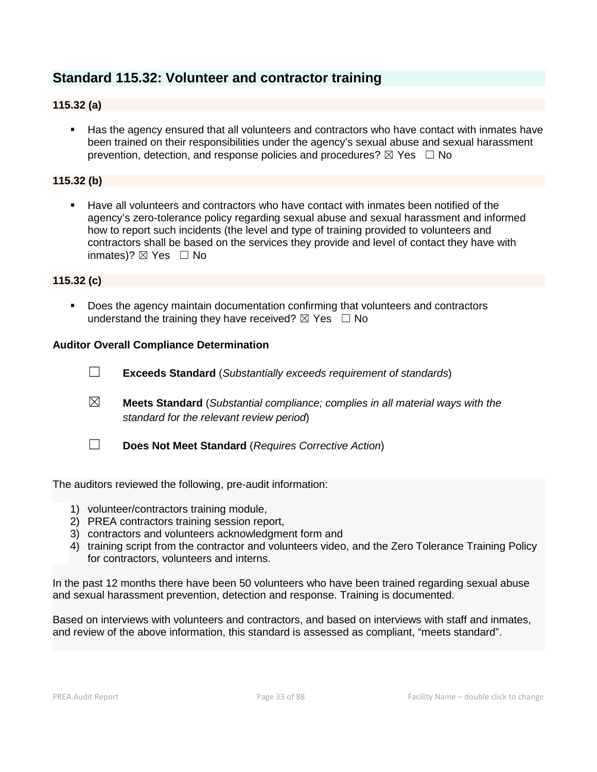# **Standard 115.32: Volunteer and contractor training**

# **115.32 (a)**

 Has the agency ensured that all volunteers and contractors who have contact with inmates have been trained on their responsibilities under the agency's sexual abuse and sexual harassment prevention, detection, and response policies and procedures?  $\boxtimes$  Yes  $\Box$  No

# **115.32 (b)**

 Have all volunteers and contractors who have contact with inmates been notified of the agency's zero-tolerance policy regarding sexual abuse and sexual harassment and informed how to report such incidents (the level and type of training provided to volunteers and contractors shall be based on the services they provide and level of contact they have with inmates)?  $\boxtimes$  Yes  $\Box$  No

#### **115.32 (c)**

 Does the agency maintain documentation confirming that volunteers and contractors understand the training they have received?  $\boxtimes$  Yes  $\Box$  No

#### **Auditor Overall Compliance Determination**

☐ **Exceeds Standard** (*Substantially exceeds requirement of standards*) ☒ **Meets Standard** (*Substantial compliance; complies in all material ways with the standard for the relevant review period*) ☐ **Does Not Meet Standard** (*Requires Corrective Action*)

The auditors reviewed the following, pre-audit information:

- 1) volunteer/contractors training module,
- 2) PREA contractors training session report,
- 3) contractors and volunteers acknowledgment form and
- 4) training script from the contractor and volunteers video, and the Zero Tolerance Training Policy for contractors, volunteers and interns.

In the past 12 months there have been 50 volunteers who have been trained regarding sexual abuse and sexual harassment prevention, detection and response. Training is documented.

Based on interviews with volunteers and contractors, and based on interviews with staff and inmates, and review of the above information, this standard is assessed as compliant, "meets standard".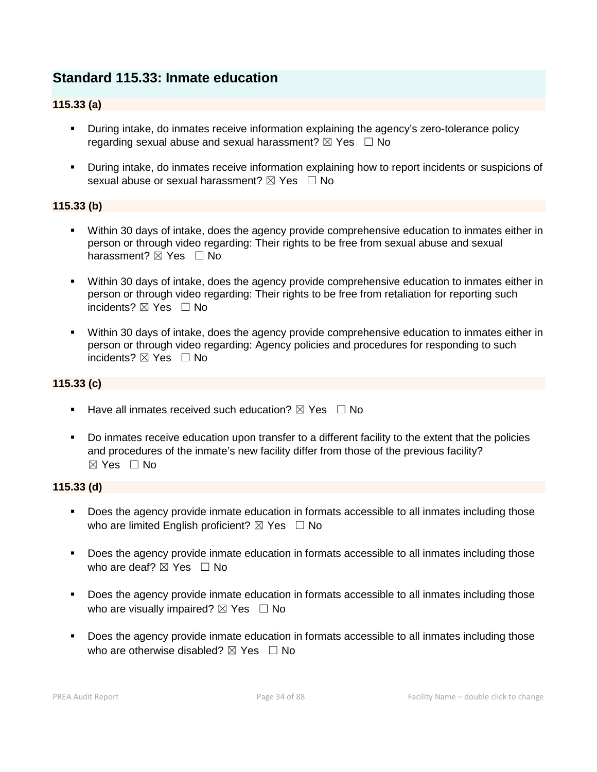# **Standard 115.33: Inmate education**

# **115.33 (a)**

- During intake, do inmates receive information explaining the agency's zero-tolerance policy regarding sexual abuse and sexual harassment?  $\boxtimes$  Yes  $\Box$  No
- During intake, do inmates receive information explaining how to report incidents or suspicions of sexual abuse or sexual harassment?  $\boxtimes$  Yes  $\Box$  No

# **115.33 (b)**

- Within 30 days of intake, does the agency provide comprehensive education to inmates either in person or through video regarding: Their rights to be free from sexual abuse and sexual harassment? ⊠ Yes □ No
- Within 30 days of intake, does the agency provide comprehensive education to inmates either in person or through video regarding: Their rights to be free from retaliation for reporting such incidents? ⊠ Yes □ No
- Within 30 days of intake, does the agency provide comprehensive education to inmates either in person or through video regarding: Agency policies and procedures for responding to such incidents? ☒ Yes ☐ No

# **115.33 (c)**

- **Have all inmates received such education?**  $\boxtimes$  Yes  $\Box$  No
- Do inmates receive education upon transfer to a different facility to the extent that the policies and procedures of the inmate's new facility differ from those of the previous facility? ☒ Yes ☐ No

#### **115.33 (d)**

- Does the agency provide inmate education in formats accessible to all inmates including those who are limited English proficient?  $\boxtimes$  Yes  $\Box$  No
- **Does the agency provide inmate education in formats accessible to all inmates including those** who are deaf?  $\boxtimes$  Yes  $\Box$  No
- **Does the agency provide inmate education in formats accessible to all inmates including those** who are visually impaired?  $\boxtimes$  Yes  $\Box$  No
- **Does the agency provide inmate education in formats accessible to all inmates including those** who are otherwise disabled?  $\boxtimes$  Yes  $\Box$  No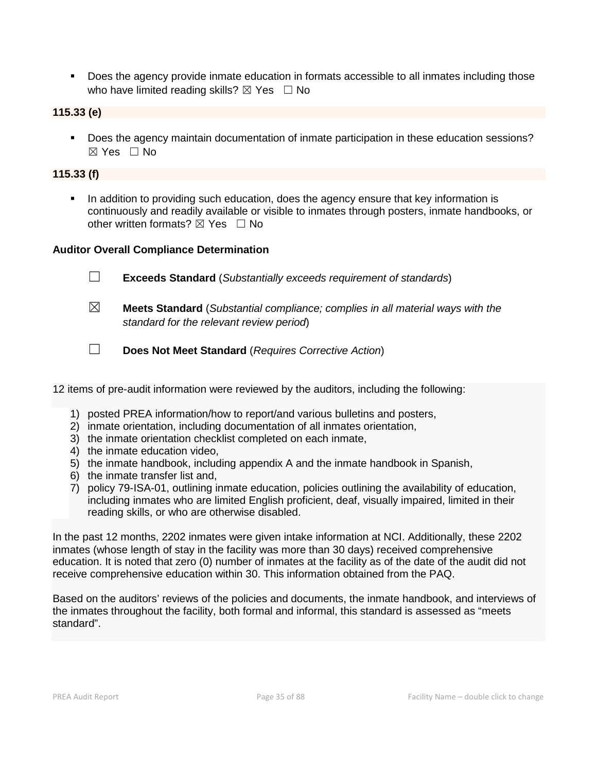Does the agency provide inmate education in formats accessible to all inmates including those who have limited reading skills?  $\boxtimes$  Yes  $\Box$  No

**115.33 (e)**

 Does the agency maintain documentation of inmate participation in these education sessions?  $\boxtimes$  Yes  $\Box$  No

# **115.33 (f)**

 In addition to providing such education, does the agency ensure that key information is continuously and readily available or visible to inmates through posters, inmate handbooks, or other written formats?  $\boxtimes$  Yes  $\Box$  No

# **Auditor Overall Compliance Determination**

- ☐ **Exceeds Standard** (*Substantially exceeds requirement of standards*)
- ☒ **Meets Standard** (*Substantial compliance; complies in all material ways with the standard for the relevant review period*)
- ☐ **Does Not Meet Standard** (*Requires Corrective Action*)
- 12 items of pre-audit information were reviewed by the auditors, including the following:
	- 1) posted PREA information/how to report/and various bulletins and posters,
	- 2) inmate orientation, including documentation of all inmates orientation,
	- 3) the inmate orientation checklist completed on each inmate,
	- 4) the inmate education video,
	- 5) the inmate handbook, including appendix A and the inmate handbook in Spanish,
	- 6) the inmate transfer list and,
	- 7) policy 79-ISA-01, outlining inmate education, policies outlining the availability of education, including inmates who are limited English proficient, deaf, visually impaired, limited in their reading skills, or who are otherwise disabled.

In the past 12 months, 2202 inmates were given intake information at NCI. Additionally, these 2202 inmates (whose length of stay in the facility was more than 30 days) received comprehensive education. It is noted that zero (0) number of inmates at the facility as of the date of the audit did not receive comprehensive education within 30. This information obtained from the PAQ.

Based on the auditors' reviews of the policies and documents, the inmate handbook, and interviews of the inmates throughout the facility, both formal and informal, this standard is assessed as "meets standard".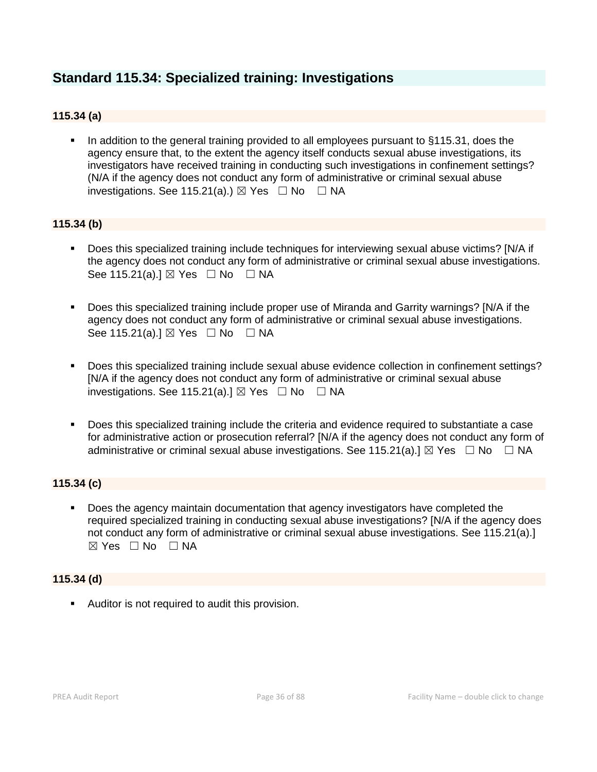# **Standard 115.34: Specialized training: Investigations**

# **115.34 (a)**

 In addition to the general training provided to all employees pursuant to §115.31, does the agency ensure that, to the extent the agency itself conducts sexual abuse investigations, its investigators have received training in conducting such investigations in confinement settings? (N/A if the agency does not conduct any form of administrative or criminal sexual abuse investigations. See 115.21(a).)  $\boxtimes$  Yes  $\Box$  No  $\Box$  NA

# **115.34 (b)**

- Does this specialized training include techniques for interviewing sexual abuse victims? [N/A if the agency does not conduct any form of administrative or criminal sexual abuse investigations. See 115.21(a).] ⊠ Yes □ No □ NA
- Does this specialized training include proper use of Miranda and Garrity warnings? [N/A if the agency does not conduct any form of administrative or criminal sexual abuse investigations. See 115.21(a).]  $\boxtimes$  Yes  $\Box$  No  $\Box$  NA
- Does this specialized training include sexual abuse evidence collection in confinement settings? [N/A if the agency does not conduct any form of administrative or criminal sexual abuse investigations. See 115.21(a).]  $\boxtimes$  Yes  $\Box$  No  $\Box$  NA
- Does this specialized training include the criteria and evidence required to substantiate a case for administrative action or prosecution referral? [N/A if the agency does not conduct any form of administrative or criminal sexual abuse investigations. See 115.21(a).]  $\boxtimes$  Yes  $\Box$  No  $\Box$  NA

# **115.34 (c)**

 Does the agency maintain documentation that agency investigators have completed the required specialized training in conducting sexual abuse investigations? [N/A if the agency does not conduct any form of administrative or criminal sexual abuse investigations. See 115.21(a).]  $\boxtimes$  Yes  $\Box$  No  $\Box$  NA

# **115.34 (d)**

**Auditor is not required to audit this provision.**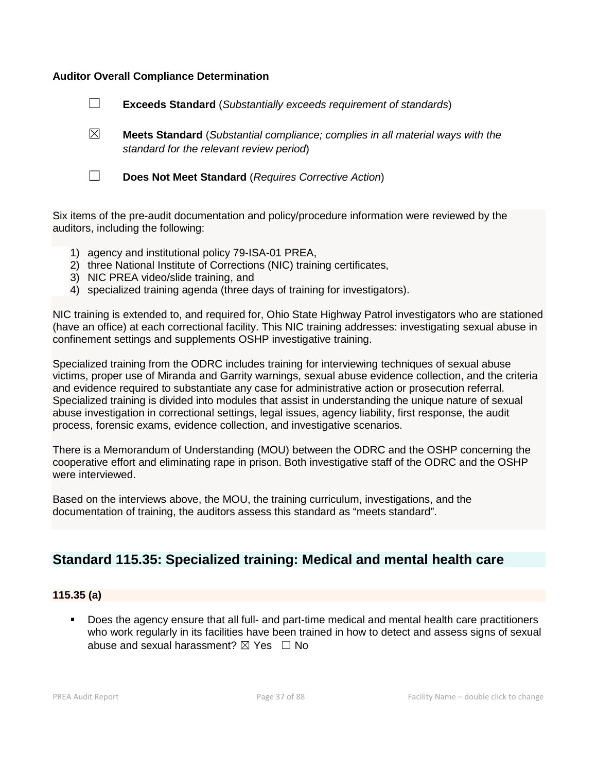#### **Auditor Overall Compliance Determination**



Six items of the pre-audit documentation and policy/procedure information were reviewed by the auditors, including the following:

- 1) agency and institutional policy 79-ISA-01 PREA,
- 2) three National Institute of Corrections (NIC) training certificates,
- 3) NIC PREA video/slide training, and
- 4) specialized training agenda (three days of training for investigators).

NIC training is extended to, and required for, Ohio State Highway Patrol investigators who are stationed (have an office) at each correctional facility. This NIC training addresses: investigating sexual abuse in confinement settings and supplements OSHP investigative training.

Specialized training from the ODRC includes training for interviewing techniques of sexual abuse victims, proper use of Miranda and Garrity warnings, sexual abuse evidence collection, and the criteria and evidence required to substantiate any case for administrative action or prosecution referral. Specialized training is divided into modules that assist in understanding the unique nature of sexual abuse investigation in correctional settings, legal issues, agency liability, first response, the audit process, forensic exams, evidence collection, and investigative scenarios.

There is a Memorandum of Understanding (MOU) between the ODRC and the OSHP concerning the cooperative effort and eliminating rape in prison. Both investigative staff of the ODRC and the OSHP were interviewed.

Based on the interviews above, the MOU, the training curriculum, investigations, and the documentation of training, the auditors assess this standard as "meets standard".

# **Standard 115.35: Specialized training: Medical and mental health care**

#### **115.35 (a)**

 Does the agency ensure that all full- and part-time medical and mental health care practitioners who work regularly in its facilities have been trained in how to detect and assess signs of sexual abuse and sexual harassment?  $\boxtimes$  Yes  $\Box$  No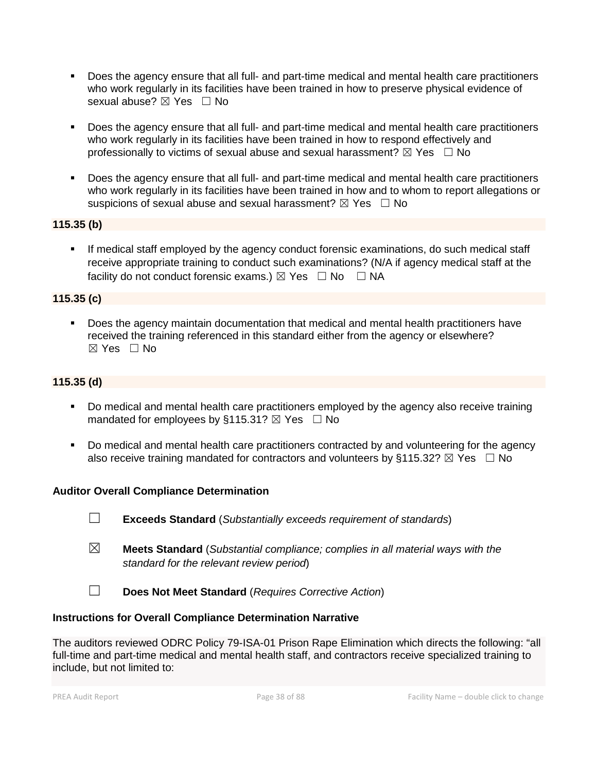- Does the agency ensure that all full- and part-time medical and mental health care practitioners who work regularly in its facilities have been trained in how to preserve physical evidence of sexual abuse? ⊠ Yes □ No
- Does the agency ensure that all full- and part-time medical and mental health care practitioners who work regularly in its facilities have been trained in how to respond effectively and professionally to victims of sexual abuse and sexual harassment?  $\boxtimes$  Yes  $\Box$  No
- Does the agency ensure that all full- and part-time medical and mental health care practitioners who work regularly in its facilities have been trained in how and to whom to report allegations or suspicions of sexual abuse and sexual harassment?  $\boxtimes$  Yes  $\Box$  No

## **115.35 (b)**

 If medical staff employed by the agency conduct forensic examinations, do such medical staff receive appropriate training to conduct such examinations? (N/A if agency medical staff at the facility do not conduct forensic exams.)  $\boxtimes$  Yes  $\Box$  No  $\Box$  NA

#### **115.35 (c)**

 Does the agency maintain documentation that medical and mental health practitioners have received the training referenced in this standard either from the agency or elsewhere?  $\boxtimes$  Yes  $\Box$  No

### **115.35 (d)**

- Do medical and mental health care practitioners employed by the agency also receive training mandated for employees by §115.31?  $\boxtimes$  Yes  $\Box$  No
- Do medical and mental health care practitioners contracted by and volunteering for the agency also receive training mandated for contractors and volunteers by §115.32?  $\boxtimes$  Yes  $\Box$  No

#### **Auditor Overall Compliance Determination**

- ☐ **Exceeds Standard** (*Substantially exceeds requirement of standards*)
- ☒ **Meets Standard** (*Substantial compliance; complies in all material ways with the standard for the relevant review period*)
- ☐ **Does Not Meet Standard** (*Requires Corrective Action*)

#### **Instructions for Overall Compliance Determination Narrative**

The auditors reviewed ODRC Policy 79-ISA-01 Prison Rape Elimination which directs the following: "all full-time and part-time medical and mental health staff, and contractors receive specialized training to include, but not limited to: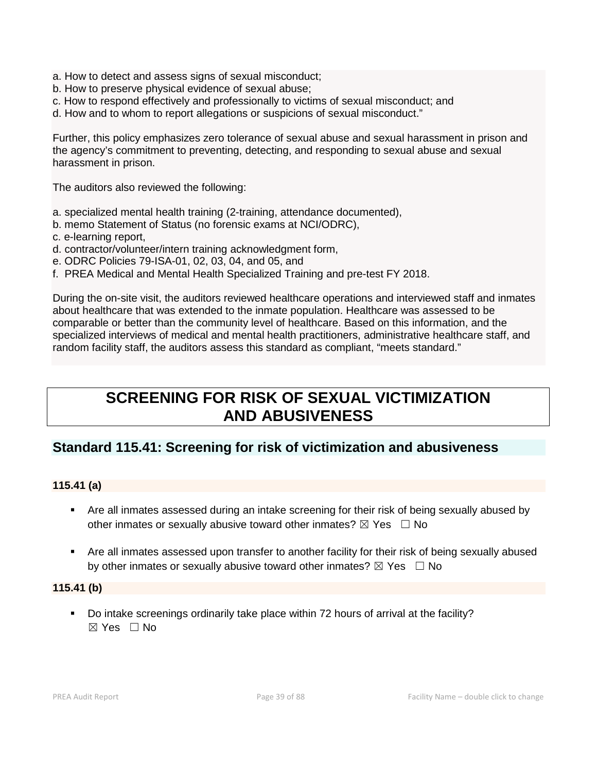- a. How to detect and assess signs of sexual misconduct;
- b. How to preserve physical evidence of sexual abuse;
- c. How to respond effectively and professionally to victims of sexual misconduct; and
- d. How and to whom to report allegations or suspicions of sexual misconduct."

Further, this policy emphasizes zero tolerance of sexual abuse and sexual harassment in prison and the agency's commitment to preventing, detecting, and responding to sexual abuse and sexual harassment in prison.

The auditors also reviewed the following:

- a. specialized mental health training (2-training, attendance documented),
- b. memo Statement of Status (no forensic exams at NCI/ODRC),
- c. e-learning report,
- d. contractor/volunteer/intern training acknowledgment form,
- e. ODRC Policies 79-ISA-01, 02, 03, 04, and 05, and
- f. PREA Medical and Mental Health Specialized Training and pre-test FY 2018.

During the on-site visit, the auditors reviewed healthcare operations and interviewed staff and inmates about healthcare that was extended to the inmate population. Healthcare was assessed to be comparable or better than the community level of healthcare. Based on this information, and the specialized interviews of medical and mental health practitioners, administrative healthcare staff, and random facility staff, the auditors assess this standard as compliant, "meets standard."

# **SCREENING FOR RISK OF SEXUAL VICTIMIZATION AND ABUSIVENESS**

## **Standard 115.41: Screening for risk of victimization and abusiveness**

#### **115.41 (a)**

- Are all inmates assessed during an intake screening for their risk of being sexually abused by other inmates or sexually abusive toward other inmates?  $\boxtimes$  Yes  $\Box$  No
- Are all inmates assessed upon transfer to another facility for their risk of being sexually abused by other inmates or sexually abusive toward other inmates?  $\boxtimes$  Yes  $\Box$  No

#### **115.41 (b)**

 Do intake screenings ordinarily take place within 72 hours of arrival at the facility? ☒ Yes ☐ No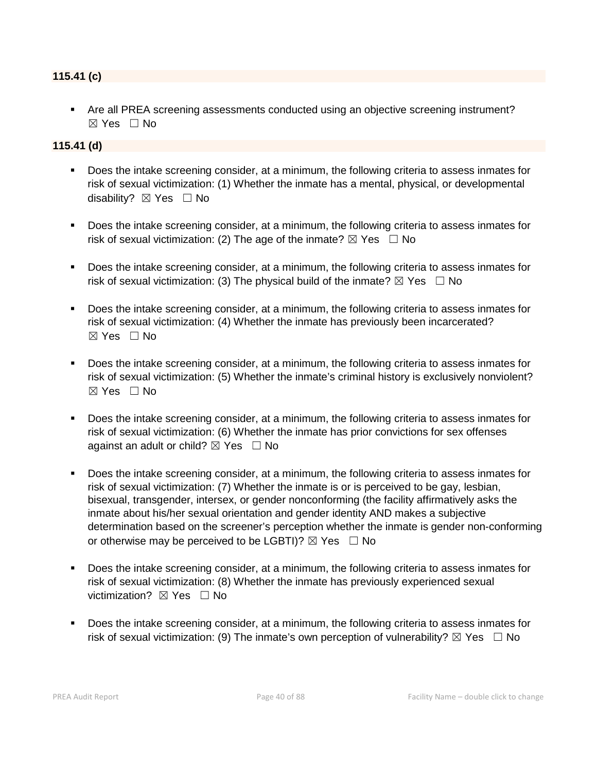#### **115.41 (c)**

 Are all PREA screening assessments conducted using an objective screening instrument? ☒ Yes ☐ No

#### **115.41 (d)**

- Does the intake screening consider, at a minimum, the following criteria to assess inmates for risk of sexual victimization: (1) Whether the inmate has a mental, physical, or developmental disability?  $\boxtimes$  Yes  $\Box$  No
- Does the intake screening consider, at a minimum, the following criteria to assess inmates for risk of sexual victimization: (2) The age of the inmate?  $\boxtimes$  Yes  $\Box$  No
- **Does the intake screening consider, at a minimum, the following criteria to assess inmates for** risk of sexual victimization: (3) The physical build of the inmate?  $\boxtimes$  Yes  $\Box$  No
- Does the intake screening consider, at a minimum, the following criteria to assess inmates for risk of sexual victimization: (4) Whether the inmate has previously been incarcerated? ☒ Yes ☐ No
- **Does the intake screening consider, at a minimum, the following criteria to assess inmates for** risk of sexual victimization: (5) Whether the inmate's criminal history is exclusively nonviolent? ☒ Yes ☐ No
- Does the intake screening consider, at a minimum, the following criteria to assess inmates for risk of sexual victimization: (6) Whether the inmate has prior convictions for sex offenses against an adult or child?  $\boxtimes$  Yes  $\Box$  No
- Does the intake screening consider, at a minimum, the following criteria to assess inmates for risk of sexual victimization: (7) Whether the inmate is or is perceived to be gay, lesbian, bisexual, transgender, intersex, or gender nonconforming (the facility affirmatively asks the inmate about his/her sexual orientation and gender identity AND makes a subjective determination based on the screener's perception whether the inmate is gender non-conforming or otherwise may be perceived to be LGBTI)?  $\boxtimes$  Yes  $\Box$  No
- Does the intake screening consider, at a minimum, the following criteria to assess inmates for risk of sexual victimization: (8) Whether the inmate has previously experienced sexual victimization? **⊠** Yes □ No
- Does the intake screening consider, at a minimum, the following criteria to assess inmates for risk of sexual victimization: (9) The inmate's own perception of vulnerability?  $\boxtimes$  Yes  $\Box$  No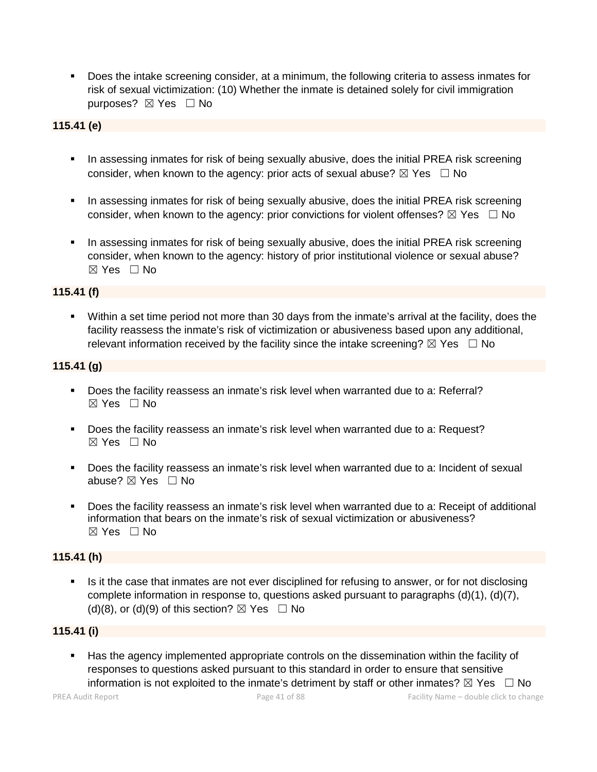Does the intake screening consider, at a minimum, the following criteria to assess inmates for risk of sexual victimization: (10) Whether the inmate is detained solely for civil immigration purposes? ⊠ Yes □ No

## **115.41 (e)**

- In assessing inmates for risk of being sexually abusive, does the initial PREA risk screening consider, when known to the agency: prior acts of sexual abuse?  $\boxtimes$  Yes  $\Box$  No
- In assessing inmates for risk of being sexually abusive, does the initial PREA risk screening consider, when known to the agency: prior convictions for violent offenses?  $\boxtimes$  Yes  $\Box$  No
- In assessing inmates for risk of being sexually abusive, does the initial PREA risk screening consider, when known to the agency: history of prior institutional violence or sexual abuse? ☒ Yes ☐ No

#### **115.41 (f)**

 Within a set time period not more than 30 days from the inmate's arrival at the facility, does the facility reassess the inmate's risk of victimization or abusiveness based upon any additional, relevant information received by the facility since the intake screening?  $\boxtimes$  Yes  $\Box$  No

#### **115.41 (g)**

- Does the facility reassess an inmate's risk level when warranted due to a: Referral? ☒ Yes ☐ No
- **Does the facility reassess an inmate's risk level when warranted due to a: Request?**  $\boxtimes$  Yes  $\Box$  No
- Does the facility reassess an inmate's risk level when warranted due to a: Incident of sexual abuse?  $\boxtimes$  Yes  $\Box$  No
- Does the facility reassess an inmate's risk level when warranted due to a: Receipt of additional information that bears on the inmate's risk of sexual victimization or abusiveness?  $\boxtimes$  Yes  $\Box$  No

#### **115.41 (h)**

Is it the case that inmates are not ever disciplined for refusing to answer, or for not disclosing complete information in response to, questions asked pursuant to paragraphs (d)(1), (d)(7), (d)(8), or (d)(9) of this section?  $\boxtimes$  Yes  $\Box$  No

#### **115.41 (i)**

 Has the agency implemented appropriate controls on the dissemination within the facility of responses to questions asked pursuant to this standard in order to ensure that sensitive information is not exploited to the inmate's detriment by staff or other inmates?  $\boxtimes$  Yes  $\Box$  No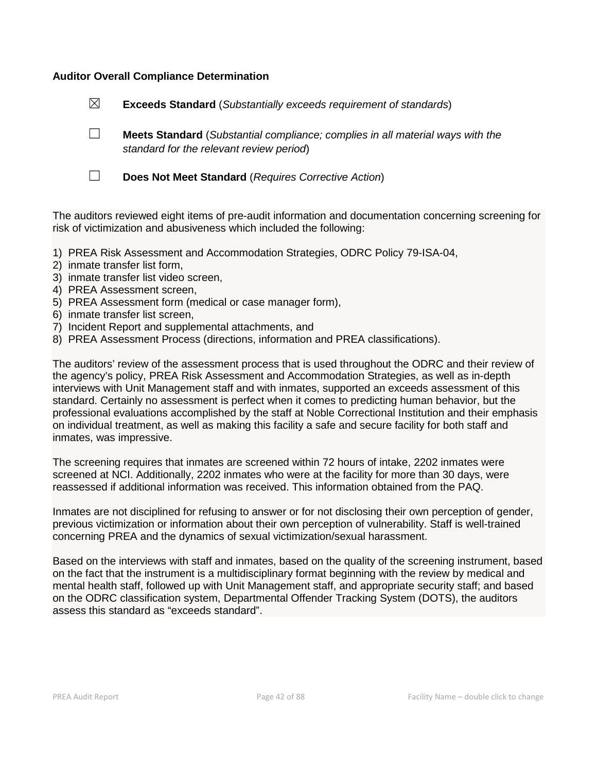#### **Auditor Overall Compliance Determination**

|   | Does Not Meet Standard (Requires Corrective Action)                                                                               |
|---|-----------------------------------------------------------------------------------------------------------------------------------|
|   | <b>Meets Standard</b> (Substantial compliance; complies in all material ways with the<br>standard for the relevant review period) |
| ⊠ | <b>Exceeds Standard</b> (Substantially exceeds requirement of standards)                                                          |

The auditors reviewed eight items of pre-audit information and documentation concerning screening for risk of victimization and abusiveness which included the following:

- 1) PREA Risk Assessment and Accommodation Strategies, ODRC Policy 79-ISA-04,
- 2) inmate transfer list form,
- 3) inmate transfer list video screen,
- 4) PREA Assessment screen,
- 5) PREA Assessment form (medical or case manager form),
- 6) inmate transfer list screen,
- 7) Incident Report and supplemental attachments, and
- 8) PREA Assessment Process (directions, information and PREA classifications).

The auditors' review of the assessment process that is used throughout the ODRC and their review of the agency's policy, PREA Risk Assessment and Accommodation Strategies, as well as in-depth interviews with Unit Management staff and with inmates, supported an exceeds assessment of this standard. Certainly no assessment is perfect when it comes to predicting human behavior, but the professional evaluations accomplished by the staff at Noble Correctional Institution and their emphasis on individual treatment, as well as making this facility a safe and secure facility for both staff and inmates, was impressive.

The screening requires that inmates are screened within 72 hours of intake, 2202 inmates were screened at NCI. Additionally, 2202 inmates who were at the facility for more than 30 days, were reassessed if additional information was received. This information obtained from the PAQ.

Inmates are not disciplined for refusing to answer or for not disclosing their own perception of gender, previous victimization or information about their own perception of vulnerability. Staff is well-trained concerning PREA and the dynamics of sexual victimization/sexual harassment.

Based on the interviews with staff and inmates, based on the quality of the screening instrument, based on the fact that the instrument is a multidisciplinary format beginning with the review by medical and mental health staff, followed up with Unit Management staff, and appropriate security staff; and based on the ODRC classification system, Departmental Offender Tracking System (DOTS), the auditors assess this standard as "exceeds standard".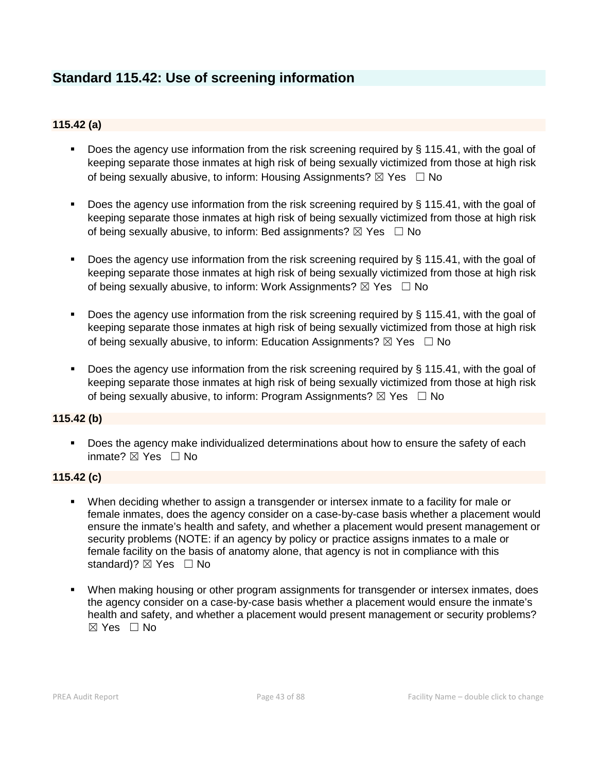# **Standard 115.42: Use of screening information**

## **115.42 (a)**

- Does the agency use information from the risk screening required by § 115.41, with the goal of keeping separate those inmates at high risk of being sexually victimized from those at high risk of being sexually abusive, to inform: Housing Assignments?  $\boxtimes$  Yes  $\Box$  No
- Does the agency use information from the risk screening required by § 115.41, with the goal of keeping separate those inmates at high risk of being sexually victimized from those at high risk of being sexually abusive, to inform: Bed assignments?  $\boxtimes$  Yes  $\Box$  No
- Does the agency use information from the risk screening required by § 115.41, with the goal of keeping separate those inmates at high risk of being sexually victimized from those at high risk of being sexually abusive, to inform: Work Assignments?  $\boxtimes$  Yes  $\Box$  No
- Does the agency use information from the risk screening required by  $\S$  115.41, with the goal of keeping separate those inmates at high risk of being sexually victimized from those at high risk of being sexually abusive, to inform: Education Assignments?  $\boxtimes$  Yes  $\Box$  No
- Does the agency use information from the risk screening required by § 115.41, with the goal of keeping separate those inmates at high risk of being sexually victimized from those at high risk of being sexually abusive, to inform: Program Assignments?  $\boxtimes$  Yes  $\Box$  No

#### **115.42 (b)**

**Does the agency make individualized determinations about how to ensure the safety of each** inmate? ⊠ Yes □ No

#### **115.42 (c)**

- When deciding whether to assign a transgender or intersex inmate to a facility for male or female inmates, does the agency consider on a case-by-case basis whether a placement would ensure the inmate's health and safety, and whether a placement would present management or security problems (NOTE: if an agency by policy or practice assigns inmates to a male or female facility on the basis of anatomy alone, that agency is not in compliance with this standard)? ⊠ Yes □ No
- When making housing or other program assignments for transgender or intersex inmates, does the agency consider on a case-by-case basis whether a placement would ensure the inmate's health and safety, and whether a placement would present management or security problems? ☒ Yes ☐ No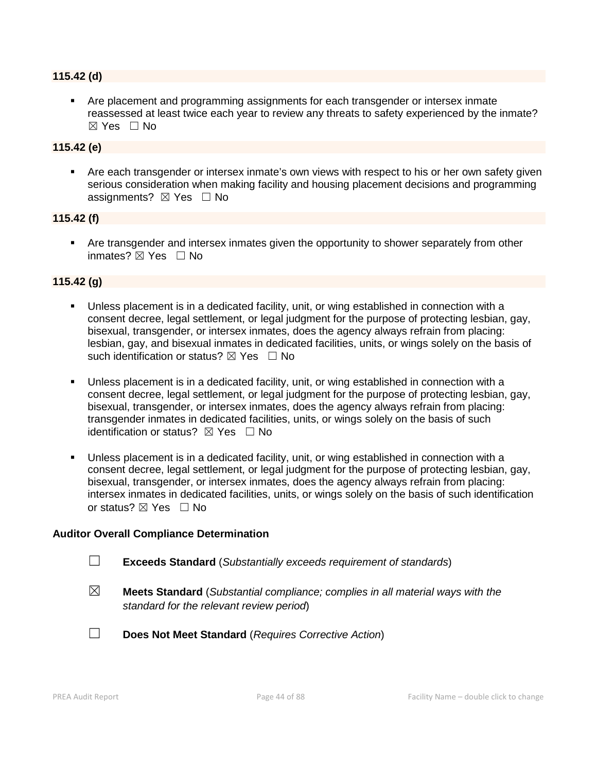#### **115.42 (d)**

 Are placement and programming assignments for each transgender or intersex inmate reassessed at least twice each year to review any threats to safety experienced by the inmate?  $\boxtimes$  Yes  $\Box$  No

#### **115.42 (e)**

 Are each transgender or intersex inmate's own views with respect to his or her own safety given serious consideration when making facility and housing placement decisions and programming assignments?  $\boxtimes$  Yes  $\Box$  No

#### **115.42 (f)**

 Are transgender and intersex inmates given the opportunity to shower separately from other inmates? ⊠ Yes □ No

#### **115.42 (g)**

- Unless placement is in a dedicated facility, unit, or wing established in connection with a consent decree, legal settlement, or legal judgment for the purpose of protecting lesbian, gay, bisexual, transgender, or intersex inmates, does the agency always refrain from placing: lesbian, gay, and bisexual inmates in dedicated facilities, units, or wings solely on the basis of such identification or status?  $\boxtimes$  Yes  $\Box$  No
- Unless placement is in a dedicated facility, unit, or wing established in connection with a consent decree, legal settlement, or legal judgment for the purpose of protecting lesbian, gay, bisexual, transgender, or intersex inmates, does the agency always refrain from placing: transgender inmates in dedicated facilities, units, or wings solely on the basis of such identification or status?  $\boxtimes$  Yes  $\Box$  No
- Unless placement is in a dedicated facility, unit, or wing established in connection with a consent decree, legal settlement, or legal judgment for the purpose of protecting lesbian, gay, bisexual, transgender, or intersex inmates, does the agency always refrain from placing: intersex inmates in dedicated facilities, units, or wings solely on the basis of such identification or status?  $\boxtimes$  Yes  $\Box$  No

#### **Auditor Overall Compliance Determination**

- ☐ **Exceeds Standard** (*Substantially exceeds requirement of standards*)
- ☒ **Meets Standard** (*Substantial compliance; complies in all material ways with the standard for the relevant review period*)
- ☐ **Does Not Meet Standard** (*Requires Corrective Action*)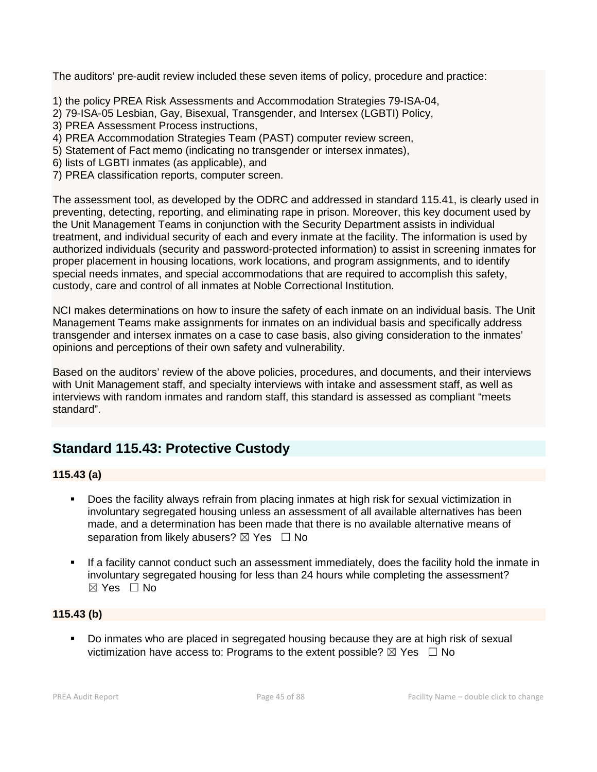The auditors' pre-audit review included these seven items of policy, procedure and practice:

1) the policy PREA Risk Assessments and Accommodation Strategies 79-ISA-04,

- 2) 79-ISA-05 Lesbian, Gay, Bisexual, Transgender, and Intersex (LGBTI) Policy,
- 3) PREA Assessment Process instructions,
- 4) PREA Accommodation Strategies Team (PAST) computer review screen,
- 5) Statement of Fact memo (indicating no transgender or intersex inmates),
- 6) lists of LGBTI inmates (as applicable), and
- 7) PREA classification reports, computer screen.

The assessment tool, as developed by the ODRC and addressed in standard 115.41, is clearly used in preventing, detecting, reporting, and eliminating rape in prison. Moreover, this key document used by the Unit Management Teams in conjunction with the Security Department assists in individual treatment, and individual security of each and every inmate at the facility. The information is used by authorized individuals (security and password-protected information) to assist in screening inmates for proper placement in housing locations, work locations, and program assignments, and to identify special needs inmates, and special accommodations that are required to accomplish this safety, custody, care and control of all inmates at Noble Correctional Institution.

NCI makes determinations on how to insure the safety of each inmate on an individual basis. The Unit Management Teams make assignments for inmates on an individual basis and specifically address transgender and intersex inmates on a case to case basis, also giving consideration to the inmates' opinions and perceptions of their own safety and vulnerability.

Based on the auditors' review of the above policies, procedures, and documents, and their interviews with Unit Management staff, and specialty interviews with intake and assessment staff, as well as interviews with random inmates and random staff, this standard is assessed as compliant "meets standard".

# **Standard 115.43: Protective Custody**

## **115.43 (a)**

- Does the facility always refrain from placing inmates at high risk for sexual victimization in involuntary segregated housing unless an assessment of all available alternatives has been made, and a determination has been made that there is no available alternative means of separation from likely abusers?  $\boxtimes$  Yes  $\Box$  No
- If a facility cannot conduct such an assessment immediately, does the facility hold the inmate in involuntary segregated housing for less than 24 hours while completing the assessment?  $\boxtimes$  Yes  $\Box$  No

## **115.43 (b)**

 Do inmates who are placed in segregated housing because they are at high risk of sexual victimization have access to: Programs to the extent possible?  $\boxtimes$  Yes  $\Box$  No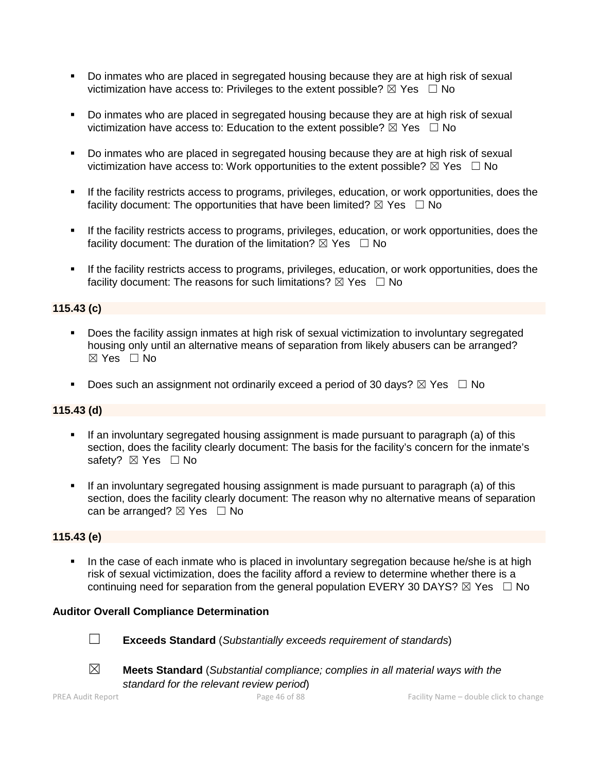- Do inmates who are placed in segregated housing because they are at high risk of sexual victimization have access to: Privileges to the extent possible?  $\boxtimes$  Yes  $\Box$  No
- Do inmates who are placed in segregated housing because they are at high risk of sexual victimization have access to: Education to the extent possible?  $\boxtimes$  Yes  $\Box$  No
- Do inmates who are placed in segregated housing because they are at high risk of sexual victimization have access to: Work opportunities to the extent possible?  $\boxtimes$  Yes  $\Box$  No
- If the facility restricts access to programs, privileges, education, or work opportunities, does the facility document: The opportunities that have been limited?  $\boxtimes$  Yes  $\Box$  No
- If the facility restricts access to programs, privileges, education, or work opportunities, does the facility document: The duration of the limitation?  $\boxtimes$  Yes  $\Box$  No
- If the facility restricts access to programs, privileges, education, or work opportunities, does the facility document: The reasons for such limitations?  $\boxtimes$  Yes  $\Box$  No

## **115.43 (c)**

- Does the facility assign inmates at high risk of sexual victimization to involuntary segregated housing only until an alternative means of separation from likely abusers can be arranged? ☒ Yes ☐ No
- Does such an assignment not ordinarily exceed a period of 30 days?  $\boxtimes$  Yes  $\Box$  No

#### **115.43 (d)**

- If an involuntary segregated housing assignment is made pursuant to paragraph (a) of this section, does the facility clearly document: The basis for the facility's concern for the inmate's safety? ⊠ Yes □ No
- If an involuntary segregated housing assignment is made pursuant to paragraph (a) of this section, does the facility clearly document: The reason why no alternative means of separation can be arranged?  $\boxtimes$  Yes  $\Box$  No

#### **115.43 (e)**

In the case of each inmate who is placed in involuntary segregation because he/she is at high risk of sexual victimization, does the facility afford a review to determine whether there is a continuing need for separation from the general population EVERY 30 DAYS?  $\boxtimes$  Yes  $\Box$  No

#### **Auditor Overall Compliance Determination**

☐ **Exceeds Standard** (*Substantially exceeds requirement of standards*)





☒ **Meets Standard** (*Substantial compliance; complies in all material ways with the standard for the relevant review period*)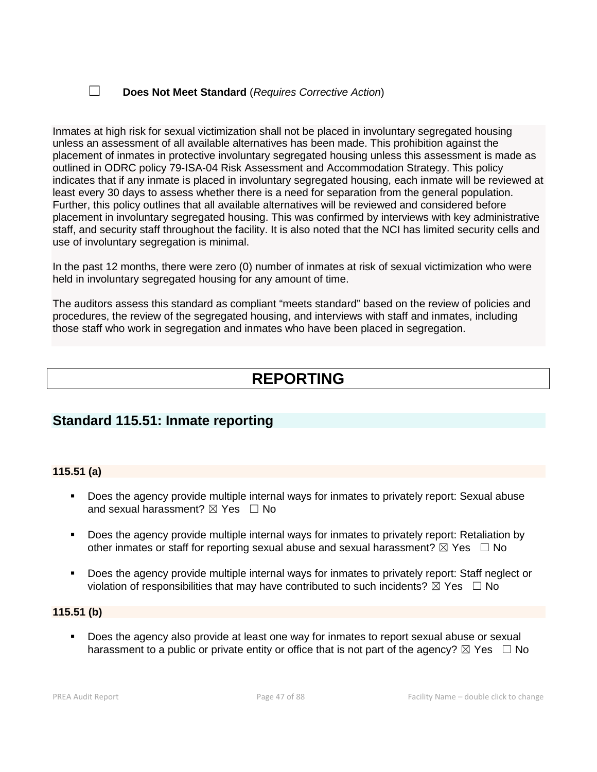## ☐ **Does Not Meet Standard** (*Requires Corrective Action*)

Inmates at high risk for sexual victimization shall not be placed in involuntary segregated housing unless an assessment of all available alternatives has been made. This prohibition against the placement of inmates in protective involuntary segregated housing unless this assessment is made as outlined in ODRC policy 79-ISA-04 Risk Assessment and Accommodation Strategy. This policy indicates that if any inmate is placed in involuntary segregated housing, each inmate will be reviewed at least every 30 days to assess whether there is a need for separation from the general population. Further, this policy outlines that all available alternatives will be reviewed and considered before placement in involuntary segregated housing. This was confirmed by interviews with key administrative staff, and security staff throughout the facility. It is also noted that the NCI has limited security cells and use of involuntary segregation is minimal.

In the past 12 months, there were zero (0) number of inmates at risk of sexual victimization who were held in involuntary segregated housing for any amount of time.

The auditors assess this standard as compliant "meets standard" based on the review of policies and procedures, the review of the segregated housing, and interviews with staff and inmates, including those staff who work in segregation and inmates who have been placed in segregation.

# **REPORTING**

# **Standard 115.51: Inmate reporting**

#### **115.51 (a)**

- Does the agency provide multiple internal ways for inmates to privately report: Sexual abuse and sexual harassment?  $\boxtimes$  Yes  $\Box$  No
- Does the agency provide multiple internal ways for inmates to privately report: Retaliation by other inmates or staff for reporting sexual abuse and sexual harassment?  $\boxtimes$  Yes  $\Box$  No
- Does the agency provide multiple internal ways for inmates to privately report: Staff neglect or violation of responsibilities that may have contributed to such incidents?  $\boxtimes$  Yes  $\Box$  No

#### **115.51 (b)**

 Does the agency also provide at least one way for inmates to report sexual abuse or sexual harassment to a public or private entity or office that is not part of the agency?  $\boxtimes$  Yes  $\Box$  No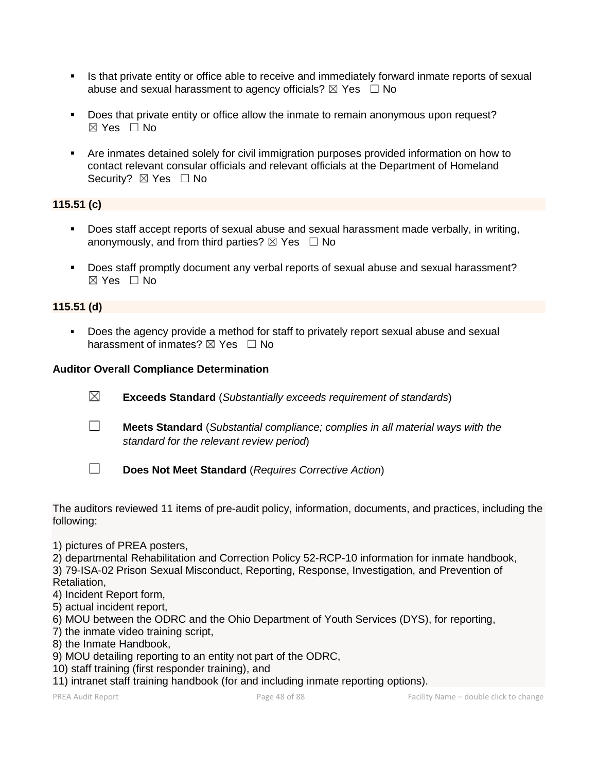- Is that private entity or office able to receive and immediately forward inmate reports of sexual abuse and sexual harassment to agency officials?  $\boxtimes$  Yes  $\Box$  No
- Does that private entity or office allow the inmate to remain anonymous upon request?  $\boxtimes$  Yes  $\Box$  No
- Are inmates detained solely for civil immigration purposes provided information on how to contact relevant consular officials and relevant officials at the Department of Homeland Security? ⊠ Yes □ No

## **115.51 (c)**

- Does staff accept reports of sexual abuse and sexual harassment made verbally, in writing, anonymously, and from third parties?  $\boxtimes$  Yes  $\Box$  No
- Does staff promptly document any verbal reports of sexual abuse and sexual harassment?  $\boxtimes$  Yes  $\Box$  No

## **115.51 (d)**

 Does the agency provide a method for staff to privately report sexual abuse and sexual harassment of inmates?  $\boxtimes$  Yes  $\Box$  No

#### **Auditor Overall Compliance Determination**

- ☒ **Exceeds Standard** (*Substantially exceeds requirement of standards*)
- ☐ **Meets Standard** (*Substantial compliance; complies in all material ways with the standard for the relevant review period*)
- ☐ **Does Not Meet Standard** (*Requires Corrective Action*)

The auditors reviewed 11 items of pre-audit policy, information, documents, and practices, including the following:

- 1) pictures of PREA posters,
- 2) departmental Rehabilitation and Correction Policy 52-RCP-10 information for inmate handbook,

3) 79-ISA-02 Prison Sexual Misconduct, Reporting, Response, Investigation, and Prevention of Retaliation,

- 4) Incident Report form,
- 5) actual incident report,
- 6) MOU between the ODRC and the Ohio Department of Youth Services (DYS), for reporting,
- 7) the inmate video training script,
- 8) the Inmate Handbook,
- 9) MOU detailing reporting to an entity not part of the ODRC,
- 10) staff training (first responder training), and
- 11) intranet staff training handbook (for and including inmate reporting options).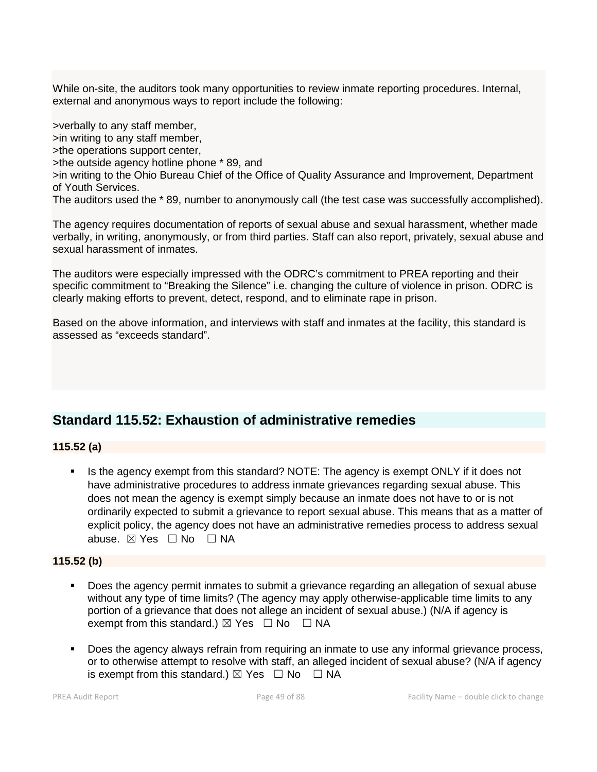While on-site, the auditors took many opportunities to review inmate reporting procedures. Internal, external and anonymous ways to report include the following:

>verbally to any staff member, >in writing to any staff member, >the operations support center, >the outside agency hotline phone \* 89, and >in writing to the Ohio Bureau Chief of the Office of Quality Assurance and Improvement, Department of Youth Services. The auditors used the \* 89, number to anonymously call (the test case was successfully accomplished).

The agency requires documentation of reports of sexual abuse and sexual harassment, whether made verbally, in writing, anonymously, or from third parties. Staff can also report, privately, sexual abuse and sexual harassment of inmates.

The auditors were especially impressed with the ODRC's commitment to PREA reporting and their specific commitment to "Breaking the Silence" i.e. changing the culture of violence in prison. ODRC is clearly making efforts to prevent, detect, respond, and to eliminate rape in prison.

Based on the above information, and interviews with staff and inmates at the facility, this standard is assessed as "exceeds standard".

# **Standard 115.52: Exhaustion of administrative remedies**

#### **115.52 (a)**

 Is the agency exempt from this standard? NOTE: The agency is exempt ONLY if it does not have administrative procedures to address inmate grievances regarding sexual abuse. This does not mean the agency is exempt simply because an inmate does not have to or is not ordinarily expected to submit a grievance to report sexual abuse. This means that as a matter of explicit policy, the agency does not have an administrative remedies process to address sexual abuse. ⊠ Yes □ No □ NA

## **115.52 (b)**

- Does the agency permit inmates to submit a grievance regarding an allegation of sexual abuse without any type of time limits? (The agency may apply otherwise-applicable time limits to any portion of a grievance that does not allege an incident of sexual abuse.) (N/A if agency is exempt from this standard.)  $\boxtimes$  Yes  $\Box$  No  $\Box$  NA
- Does the agency always refrain from requiring an inmate to use any informal grievance process, or to otherwise attempt to resolve with staff, an alleged incident of sexual abuse? (N/A if agency is exempt from this standard.)  $\boxtimes$  Yes  $\Box$  No  $\Box$  NA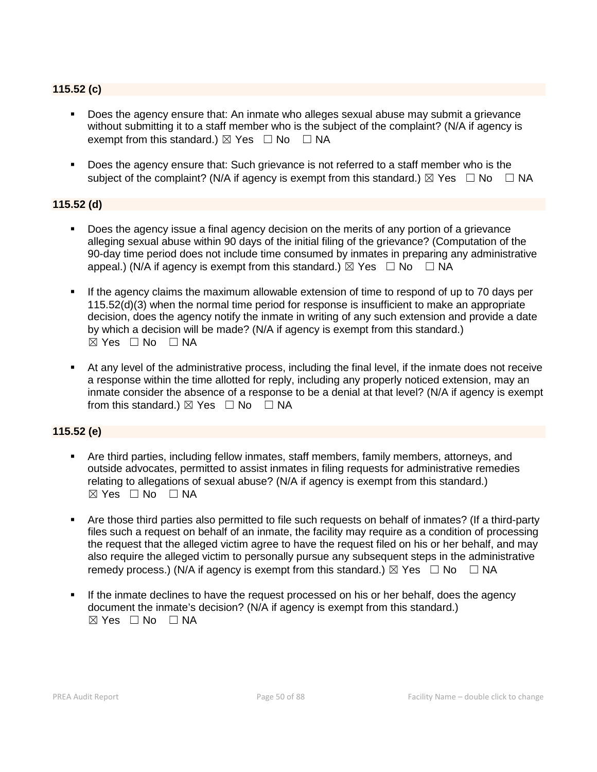## **115.52 (c)**

- Does the agency ensure that: An inmate who alleges sexual abuse may submit a grievance without submitting it to a staff member who is the subject of the complaint? (N/A if agency is exempt from this standard.)  $\boxtimes$  Yes  $\Box$  No  $\Box$  NA
- Does the agency ensure that: Such grievance is not referred to a staff member who is the subject of the complaint? (N/A if agency is exempt from this standard.)  $\boxtimes$  Yes  $\Box$  No  $\Box$  NA

#### **115.52 (d)**

- Does the agency issue a final agency decision on the merits of any portion of a grievance alleging sexual abuse within 90 days of the initial filing of the grievance? (Computation of the 90-day time period does not include time consumed by inmates in preparing any administrative appeal.) (N/A if agency is exempt from this standard.)  $\boxtimes$  Yes  $\Box$  No  $\Box$  NA
- If the agency claims the maximum allowable extension of time to respond of up to 70 days per 115.52(d)(3) when the normal time period for response is insufficient to make an appropriate decision, does the agency notify the inmate in writing of any such extension and provide a date by which a decision will be made? (N/A if agency is exempt from this standard.)  $\boxtimes$  Yes  $\Box$  No  $\Box$  NA
- At any level of the administrative process, including the final level, if the inmate does not receive a response within the time allotted for reply, including any properly noticed extension, may an inmate consider the absence of a response to be a denial at that level? (N/A if agency is exempt from this standard.)  $\boxtimes$  Yes  $\Box$  No  $\Box$  NA

#### **115.52 (e)**

- Are third parties, including fellow inmates, staff members, family members, attorneys, and outside advocates, permitted to assist inmates in filing requests for administrative remedies relating to allegations of sexual abuse? (N/A if agency is exempt from this standard.) ☒ Yes ☐ No ☐ NA
- Are those third parties also permitted to file such requests on behalf of inmates? (If a third-party files such a request on behalf of an inmate, the facility may require as a condition of processing the request that the alleged victim agree to have the request filed on his or her behalf, and may also require the alleged victim to personally pursue any subsequent steps in the administrative remedy process.) (N/A if agency is exempt from this standard.)  $\boxtimes$  Yes  $\Box$  No  $\Box$  NA
- If the inmate declines to have the request processed on his or her behalf, does the agency document the inmate's decision? (N/A if agency is exempt from this standard.)  $\boxtimes$  Yes  $\Box$  No  $\Box$  NA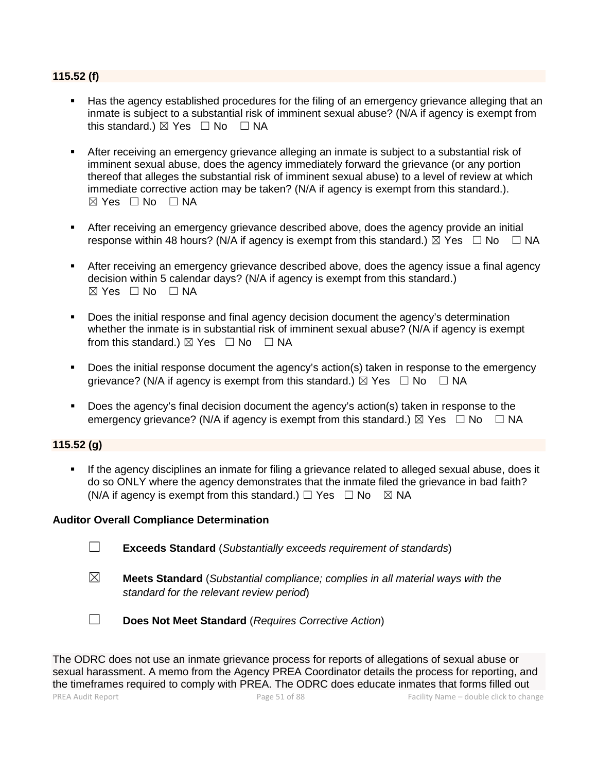#### **115.52 (f)**

- Has the agency established procedures for the filing of an emergency grievance alleging that an inmate is subject to a substantial risk of imminent sexual abuse? (N/A if agency is exempt from this standard.)  $\boxtimes$  Yes  $\Box$  No  $\Box$  NA
- After receiving an emergency grievance alleging an inmate is subject to a substantial risk of imminent sexual abuse, does the agency immediately forward the grievance (or any portion thereof that alleges the substantial risk of imminent sexual abuse) to a level of review at which immediate corrective action may be taken? (N/A if agency is exempt from this standard.).  $\boxtimes$  Yes  $\Box$  No  $\Box$  NA
- After receiving an emergency grievance described above, does the agency provide an initial response within 48 hours? (N/A if agency is exempt from this standard.)  $\boxtimes$  Yes  $\Box$  No  $\Box$  NA
- After receiving an emergency grievance described above, does the agency issue a final agency decision within 5 calendar days? (N/A if agency is exempt from this standard.)  $\boxtimes$  Yes  $\Box$  No  $\Box$  NA
- **Does the initial response and final agency decision document the agency's determination** whether the inmate is in substantial risk of imminent sexual abuse? (N/A if agency is exempt from this standard.)  $\boxtimes$  Yes  $\Box$  No  $\Box$  NA
- Does the initial response document the agency's action(s) taken in response to the emergency grievance? (N/A if agency is exempt from this standard.)  $\boxtimes$  Yes  $\Box$  No  $\Box$  NA
- Does the agency's final decision document the agency's action(s) taken in response to the emergency grievance? (N/A if agency is exempt from this standard.)  $\boxtimes$  Yes  $\Box$  No  $\Box$  NA

### **115.52 (g)**

 If the agency disciplines an inmate for filing a grievance related to alleged sexual abuse, does it do so ONLY where the agency demonstrates that the inmate filed the grievance in bad faith? (N/A if agency is exempt from this standard.)  $\Box$  Yes  $\Box$  No  $\boxtimes$  NA

#### **Auditor Overall Compliance Determination**

- ☐ **Exceeds Standard** (*Substantially exceeds requirement of standards*)
- ☒ **Meets Standard** (*Substantial compliance; complies in all material ways with the standard for the relevant review period*)
- ☐ **Does Not Meet Standard** (*Requires Corrective Action*)

PREA Audit Report Page 51 of 88 Facility Name – double click to change The ODRC does not use an inmate grievance process for reports of allegations of sexual abuse or sexual harassment. A memo from the Agency PREA Coordinator details the process for reporting, and the timeframes required to comply with PREA. The ODRC does educate inmates that forms filled out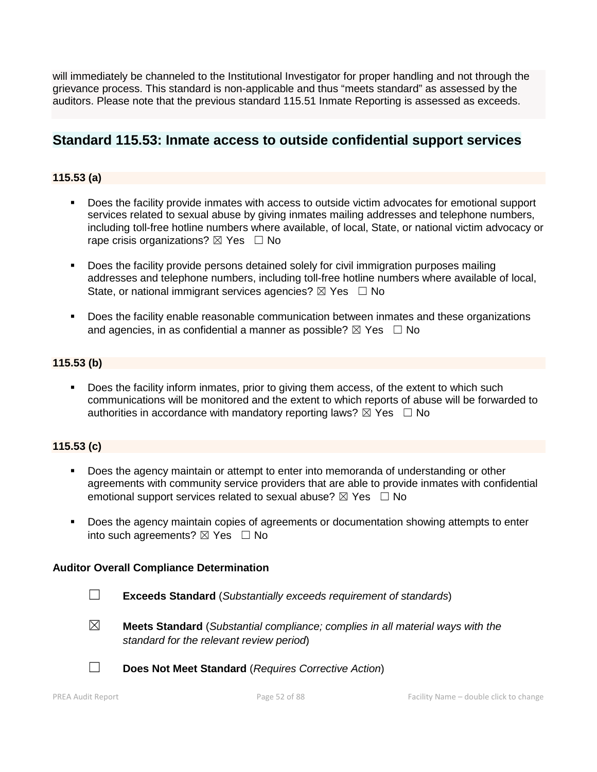will immediately be channeled to the Institutional Investigator for proper handling and not through the grievance process. This standard is non-applicable and thus "meets standard" as assessed by the auditors. Please note that the previous standard 115.51 Inmate Reporting is assessed as exceeds.

## **Standard 115.53: Inmate access to outside confidential support services**

## **115.53 (a)**

- Does the facility provide inmates with access to outside victim advocates for emotional support services related to sexual abuse by giving inmates mailing addresses and telephone numbers, including toll-free hotline numbers where available, of local, State, or national victim advocacy or rape crisis organizations?  $\boxtimes$  Yes  $\Box$  No
- **Does the facility provide persons detained solely for civil immigration purposes mailing** addresses and telephone numbers, including toll-free hotline numbers where available of local, State, or national immigrant services agencies?  $\boxtimes$  Yes  $\Box$  No
- **Does the facility enable reasonable communication between inmates and these organizations** and agencies, in as confidential a manner as possible?  $\boxtimes$  Yes  $\Box$  No

#### **115.53 (b)**

 Does the facility inform inmates, prior to giving them access, of the extent to which such communications will be monitored and the extent to which reports of abuse will be forwarded to authorities in accordance with mandatory reporting laws?  $\boxtimes$  Yes  $\Box$  No

#### **115.53 (c)**

- Does the agency maintain or attempt to enter into memoranda of understanding or other agreements with community service providers that are able to provide inmates with confidential emotional support services related to sexual abuse?  $\boxtimes$  Yes  $\Box$  No
- Does the agency maintain copies of agreements or documentation showing attempts to enter into such agreements?  $\boxtimes$  Yes  $\Box$  No

#### **Auditor Overall Compliance Determination**

- ☐ **Exceeds Standard** (*Substantially exceeds requirement of standards*)
- 
- ☒ **Meets Standard** (*Substantial compliance; complies in all material ways with the standard for the relevant review period*)
- ☐ **Does Not Meet Standard** (*Requires Corrective Action*)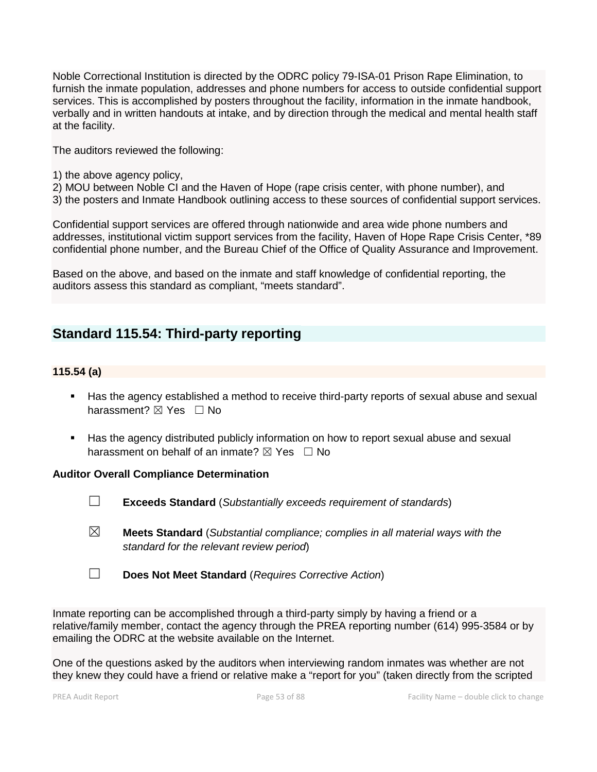Noble Correctional Institution is directed by the ODRC policy 79-ISA-01 Prison Rape Elimination, to furnish the inmate population, addresses and phone numbers for access to outside confidential support services. This is accomplished by posters throughout the facility, information in the inmate handbook, verbally and in written handouts at intake, and by direction through the medical and mental health staff at the facility.

The auditors reviewed the following:

- 1) the above agency policy,
- 2) MOU between Noble CI and the Haven of Hope (rape crisis center, with phone number), and
- 3) the posters and Inmate Handbook outlining access to these sources of confidential support services.

Confidential support services are offered through nationwide and area wide phone numbers and addresses, institutional victim support services from the facility, Haven of Hope Rape Crisis Center, \*89 confidential phone number, and the Bureau Chief of the Office of Quality Assurance and Improvement.

Based on the above, and based on the inmate and staff knowledge of confidential reporting, the auditors assess this standard as compliant, "meets standard".

# **Standard 115.54: Third-party reporting**

#### **115.54 (a)**

- Has the agency established a method to receive third-party reports of sexual abuse and sexual harassment? ⊠ Yes □ No
- Has the agency distributed publicly information on how to report sexual abuse and sexual harassment on behalf of an inmate?  $\boxtimes$  Yes  $\Box$  No

#### **Auditor Overall Compliance Determination**

- ☐ **Exceeds Standard** (*Substantially exceeds requirement of standards*)
- ☒ **Meets Standard** (*Substantial compliance; complies in all material ways with the standard for the relevant review period*)
- ☐ **Does Not Meet Standard** (*Requires Corrective Action*)

Inmate reporting can be accomplished through a third-party simply by having a friend or a relative/family member, contact the agency through the PREA reporting number (614) 995-3584 or by emailing the ODRC at the website available on the Internet.

One of the questions asked by the auditors when interviewing random inmates was whether are not they knew they could have a friend or relative make a "report for you" (taken directly from the scripted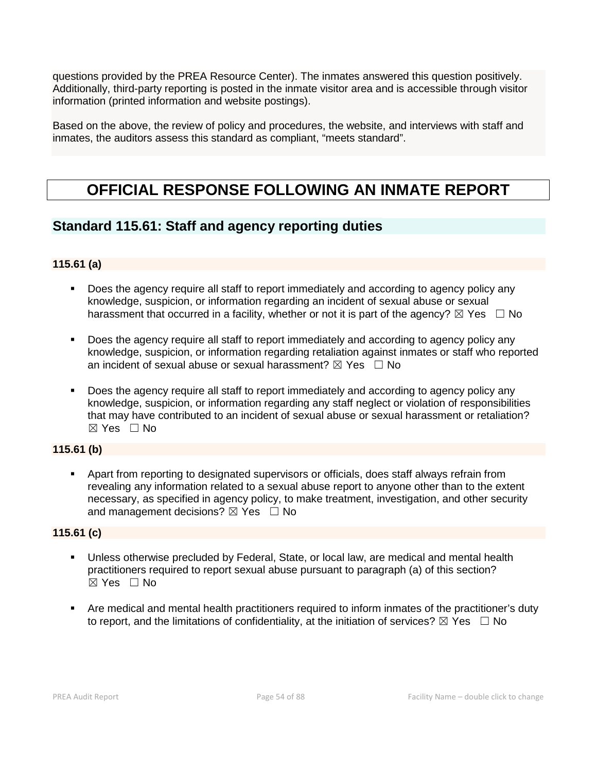questions provided by the PREA Resource Center). The inmates answered this question positively. Additionally, third-party reporting is posted in the inmate visitor area and is accessible through visitor information (printed information and website postings).

Based on the above, the review of policy and procedures, the website, and interviews with staff and inmates, the auditors assess this standard as compliant, "meets standard".

# **OFFICIAL RESPONSE FOLLOWING AN INMATE REPORT**

# **Standard 115.61: Staff and agency reporting duties**

## **115.61 (a)**

- Does the agency require all staff to report immediately and according to agency policy any knowledge, suspicion, or information regarding an incident of sexual abuse or sexual harassment that occurred in a facility, whether or not it is part of the agency?  $\boxtimes$  Yes  $\Box$  No
- Does the agency require all staff to report immediately and according to agency policy any knowledge, suspicion, or information regarding retaliation against inmates or staff who reported an incident of sexual abuse or sexual harassment?  $\boxtimes$  Yes  $\Box$  No
- Does the agency require all staff to report immediately and according to agency policy any knowledge, suspicion, or information regarding any staff neglect or violation of responsibilities that may have contributed to an incident of sexual abuse or sexual harassment or retaliation?  $\boxtimes$  Yes  $\Box$  No

## **115.61 (b)**

 Apart from reporting to designated supervisors or officials, does staff always refrain from revealing any information related to a sexual abuse report to anyone other than to the extent necessary, as specified in agency policy, to make treatment, investigation, and other security and management decisions?  $\boxtimes$  Yes  $\Box$  No

## **115.61 (c)**

- Unless otherwise precluded by Federal, State, or local law, are medical and mental health practitioners required to report sexual abuse pursuant to paragraph (a) of this section? ☒ Yes ☐ No
- Are medical and mental health practitioners required to inform inmates of the practitioner's duty to report, and the limitations of confidentiality, at the initiation of services?  $\boxtimes$  Yes  $\Box$  No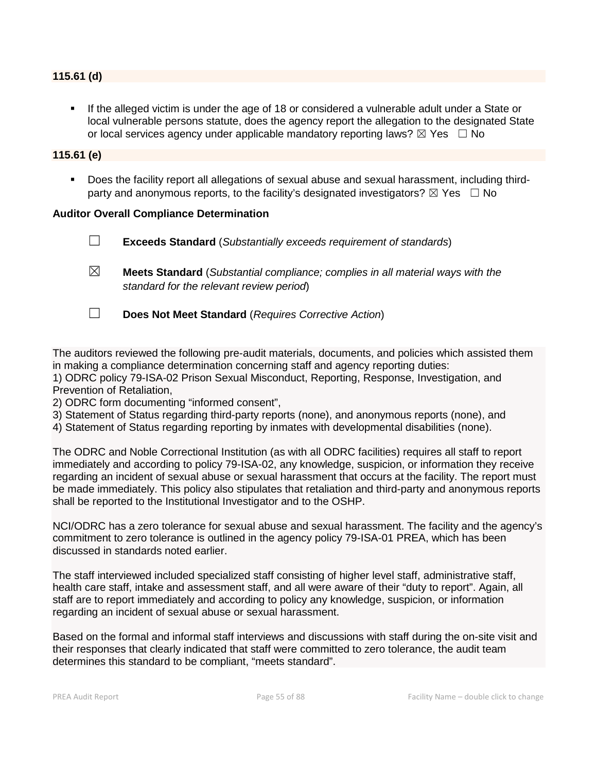#### **115.61 (d)**

 If the alleged victim is under the age of 18 or considered a vulnerable adult under a State or local vulnerable persons statute, does the agency report the allegation to the designated State or local services agency under applicable mandatory reporting laws?  $\boxtimes$  Yes  $\Box$  No

#### **115.61 (e)**

 Does the facility report all allegations of sexual abuse and sexual harassment, including thirdparty and anonymous reports, to the facility's designated investigators?  $\boxtimes$  Yes  $\Box$  No

#### **Auditor Overall Compliance Determination**

☐ **Exceeds Standard** (*Substantially exceeds requirement of standards*) ☒ **Meets Standard** (*Substantial compliance; complies in all material ways with the standard for the relevant review period*) ☐ **Does Not Meet Standard** (*Requires Corrective Action*)

The auditors reviewed the following pre-audit materials, documents, and policies which assisted them in making a compliance determination concerning staff and agency reporting duties: 1) ODRC policy 79-ISA-02 Prison Sexual Misconduct, Reporting, Response, Investigation, and Prevention of Retaliation,

2) ODRC form documenting "informed consent",

- 3) Statement of Status regarding third-party reports (none), and anonymous reports (none), and
- 4) Statement of Status regarding reporting by inmates with developmental disabilities (none).

The ODRC and Noble Correctional Institution (as with all ODRC facilities) requires all staff to report immediately and according to policy 79-ISA-02, any knowledge, suspicion, or information they receive regarding an incident of sexual abuse or sexual harassment that occurs at the facility. The report must be made immediately. This policy also stipulates that retaliation and third-party and anonymous reports shall be reported to the Institutional Investigator and to the OSHP.

NCI/ODRC has a zero tolerance for sexual abuse and sexual harassment. The facility and the agency's commitment to zero tolerance is outlined in the agency policy 79-ISA-01 PREA, which has been discussed in standards noted earlier.

The staff interviewed included specialized staff consisting of higher level staff, administrative staff, health care staff, intake and assessment staff, and all were aware of their "duty to report". Again, all staff are to report immediately and according to policy any knowledge, suspicion, or information regarding an incident of sexual abuse or sexual harassment.

Based on the formal and informal staff interviews and discussions with staff during the on-site visit and their responses that clearly indicated that staff were committed to zero tolerance, the audit team determines this standard to be compliant, "meets standard".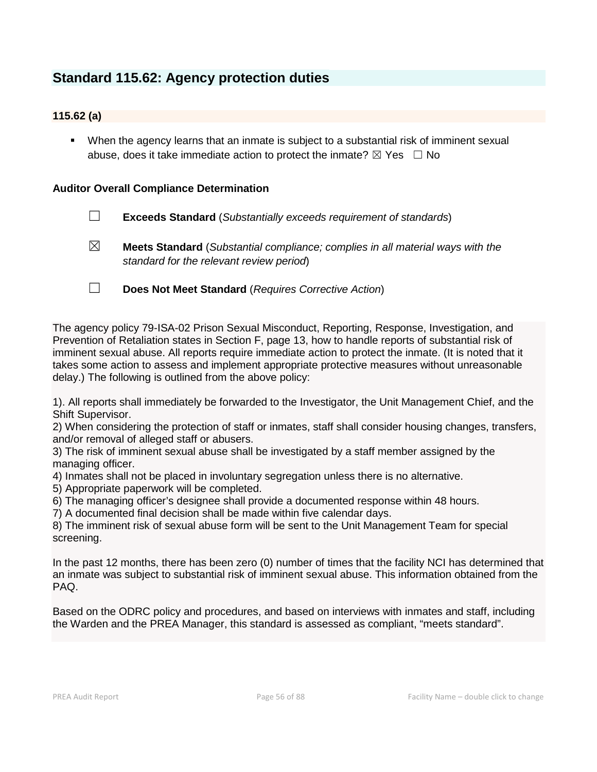# **Standard 115.62: Agency protection duties**

## **115.62 (a)**

 When the agency learns that an inmate is subject to a substantial risk of imminent sexual abuse, does it take immediate action to protect the inmate?  $\boxtimes$  Yes  $\Box$  No

### **Auditor Overall Compliance Determination**

- ☐ **Exceeds Standard** (*Substantially exceeds requirement of standards*)
- ☒ **Meets Standard** (*Substantial compliance; complies in all material ways with the standard for the relevant review period*)
- ☐ **Does Not Meet Standard** (*Requires Corrective Action*)

The agency policy 79-ISA-02 Prison Sexual Misconduct, Reporting, Response, Investigation, and Prevention of Retaliation states in Section F, page 13, how to handle reports of substantial risk of imminent sexual abuse. All reports require immediate action to protect the inmate. (It is noted that it takes some action to assess and implement appropriate protective measures without unreasonable delay.) The following is outlined from the above policy:

1). All reports shall immediately be forwarded to the Investigator, the Unit Management Chief, and the Shift Supervisor.

2) When considering the protection of staff or inmates, staff shall consider housing changes, transfers, and/or removal of alleged staff or abusers.

3) The risk of imminent sexual abuse shall be investigated by a staff member assigned by the managing officer.

4) Inmates shall not be placed in involuntary segregation unless there is no alternative.

5) Appropriate paperwork will be completed.

6) The managing officer's designee shall provide a documented response within 48 hours.

7) A documented final decision shall be made within five calendar days.

8) The imminent risk of sexual abuse form will be sent to the Unit Management Team for special screening.

In the past 12 months, there has been zero (0) number of times that the facility NCI has determined that an inmate was subject to substantial risk of imminent sexual abuse. This information obtained from the PAQ.

Based on the ODRC policy and procedures, and based on interviews with inmates and staff, including the Warden and the PREA Manager, this standard is assessed as compliant, "meets standard".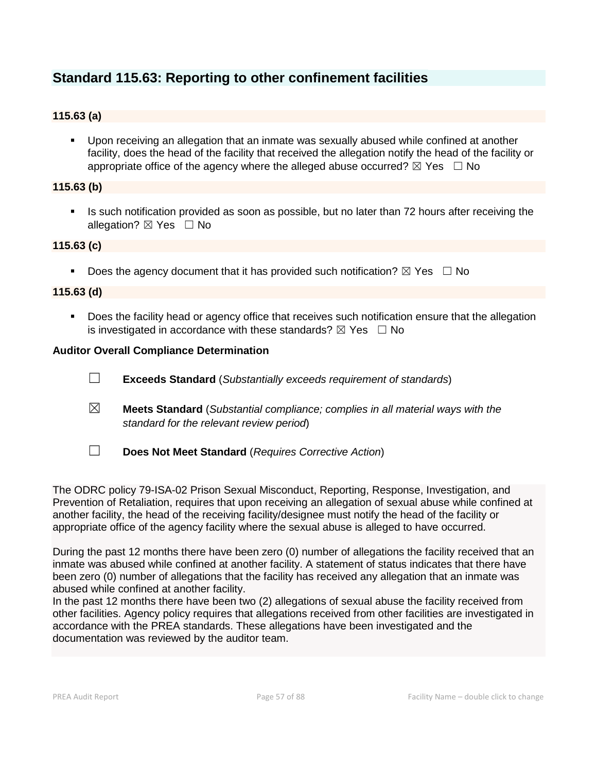# **Standard 115.63: Reporting to other confinement facilities**

## **115.63 (a)**

 Upon receiving an allegation that an inmate was sexually abused while confined at another facility, does the head of the facility that received the allegation notify the head of the facility or appropriate office of the agency where the alleged abuse occurred?  $\boxtimes$  Yes  $\Box$  No

#### **115.63 (b)**

Is such notification provided as soon as possible, but no later than 72 hours after receiving the allegation?  $\boxtimes$  Yes  $\Box$  No

#### **115.63 (c)**

Does the agency document that it has provided such notification?  $\boxtimes$  Yes  $\Box$  No

#### **115.63 (d)**

**Does the facility head or agency office that receives such notification ensure that the allegation** is investigated in accordance with these standards?  $\boxtimes$  Yes  $\Box$  No

#### **Auditor Overall Compliance Determination**

- ☐ **Exceeds Standard** (*Substantially exceeds requirement of standards*)
- ☒ **Meets Standard** (*Substantial compliance; complies in all material ways with the standard for the relevant review period*)
- ☐ **Does Not Meet Standard** (*Requires Corrective Action*)

The ODRC policy 79-ISA-02 Prison Sexual Misconduct, Reporting, Response, Investigation, and Prevention of Retaliation, requires that upon receiving an allegation of sexual abuse while confined at another facility, the head of the receiving facility/designee must notify the head of the facility or appropriate office of the agency facility where the sexual abuse is alleged to have occurred.

During the past 12 months there have been zero (0) number of allegations the facility received that an inmate was abused while confined at another facility. A statement of status indicates that there have been zero (0) number of allegations that the facility has received any allegation that an inmate was abused while confined at another facility.

In the past 12 months there have been two (2) allegations of sexual abuse the facility received from other facilities. Agency policy requires that allegations received from other facilities are investigated in accordance with the PREA standards. These allegations have been investigated and the documentation was reviewed by the auditor team.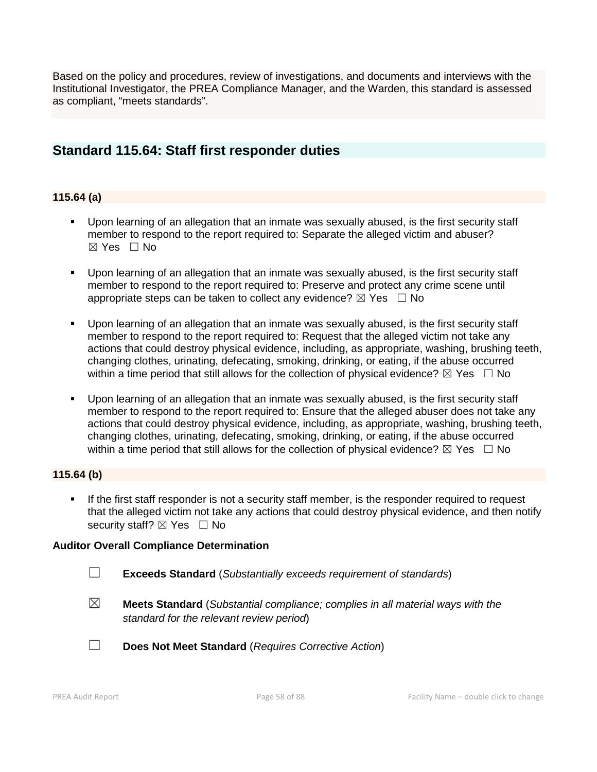Based on the policy and procedures, review of investigations, and documents and interviews with the Institutional Investigator, the PREA Compliance Manager, and the Warden, this standard is assessed as compliant, "meets standards".

## **Standard 115.64: Staff first responder duties**

#### **115.64 (a)**

- Upon learning of an allegation that an inmate was sexually abused, is the first security staff member to respond to the report required to: Separate the alleged victim and abuser? ☒ Yes ☐ No
- Upon learning of an allegation that an inmate was sexually abused, is the first security staff member to respond to the report required to: Preserve and protect any crime scene until appropriate steps can be taken to collect any evidence?  $\boxtimes$  Yes  $\Box$  No
- Upon learning of an allegation that an inmate was sexually abused, is the first security staff member to respond to the report required to: Request that the alleged victim not take any actions that could destroy physical evidence, including, as appropriate, washing, brushing teeth, changing clothes, urinating, defecating, smoking, drinking, or eating, if the abuse occurred within a time period that still allows for the collection of physical evidence?  $\boxtimes$  Yes  $\Box$  No
- Upon learning of an allegation that an inmate was sexually abused, is the first security staff member to respond to the report required to: Ensure that the alleged abuser does not take any actions that could destroy physical evidence, including, as appropriate, washing, brushing teeth, changing clothes, urinating, defecating, smoking, drinking, or eating, if the abuse occurred within a time period that still allows for the collection of physical evidence?  $\boxtimes$  Yes  $\Box$  No

#### **115.64 (b)**

If the first staff responder is not a security staff member, is the responder required to request that the alleged victim not take any actions that could destroy physical evidence, and then notify security staff?  $\boxtimes$  Yes  $\Box$  No

#### **Auditor Overall Compliance Determination**

- ☐ **Exceeds Standard** (*Substantially exceeds requirement of standards*)
- ☒ **Meets Standard** (*Substantial compliance; complies in all material ways with the standard for the relevant review period*)
- ☐ **Does Not Meet Standard** (*Requires Corrective Action*)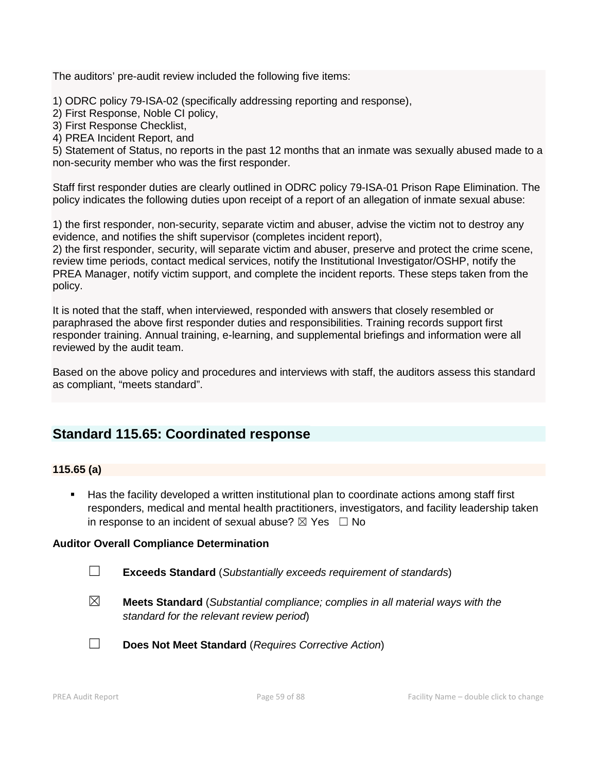The auditors' pre-audit review included the following five items:

1) ODRC policy 79-ISA-02 (specifically addressing reporting and response),

2) First Response, Noble CI policy,

3) First Response Checklist,

4) PREA Incident Report, and

5) Statement of Status, no reports in the past 12 months that an inmate was sexually abused made to a non-security member who was the first responder.

Staff first responder duties are clearly outlined in ODRC policy 79-ISA-01 Prison Rape Elimination. The policy indicates the following duties upon receipt of a report of an allegation of inmate sexual abuse:

1) the first responder, non-security, separate victim and abuser, advise the victim not to destroy any evidence, and notifies the shift supervisor (completes incident report),

2) the first responder, security, will separate victim and abuser, preserve and protect the crime scene, review time periods, contact medical services, notify the Institutional Investigator/OSHP, notify the PREA Manager, notify victim support, and complete the incident reports. These steps taken from the policy.

It is noted that the staff, when interviewed, responded with answers that closely resembled or paraphrased the above first responder duties and responsibilities. Training records support first responder training. Annual training, e-learning, and supplemental briefings and information were all reviewed by the audit team.

Based on the above policy and procedures and interviews with staff, the auditors assess this standard as compliant, "meets standard".

# **Standard 115.65: Coordinated response**

#### **115.65 (a)**

 Has the facility developed a written institutional plan to coordinate actions among staff first responders, medical and mental health practitioners, investigators, and facility leadership taken in response to an incident of sexual abuse?  $\boxtimes$  Yes  $\Box$  No

#### **Auditor Overall Compliance Determination**

- ☐ **Exceeds Standard** (*Substantially exceeds requirement of standards*)
- ☒ **Meets Standard** (*Substantial compliance; complies in all material ways with the standard for the relevant review period*)
- ☐ **Does Not Meet Standard** (*Requires Corrective Action*)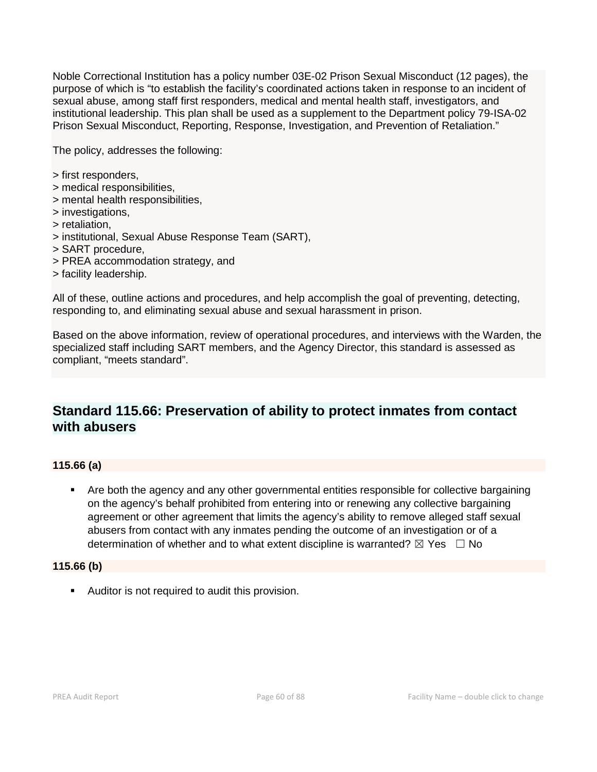Noble Correctional Institution has a policy number 03E-02 Prison Sexual Misconduct (12 pages), the purpose of which is "to establish the facility's coordinated actions taken in response to an incident of sexual abuse, among staff first responders, medical and mental health staff, investigators, and institutional leadership. This plan shall be used as a supplement to the Department policy 79-ISA-02 Prison Sexual Misconduct, Reporting, Response, Investigation, and Prevention of Retaliation."

The policy, addresses the following:

- > first responders,
- > medical responsibilities,
- > mental health responsibilities,
- > investigations,
- > retaliation,
- > institutional, Sexual Abuse Response Team (SART),
- > SART procedure,
- > PREA accommodation strategy, and
- > facility leadership.

All of these, outline actions and procedures, and help accomplish the goal of preventing, detecting, responding to, and eliminating sexual abuse and sexual harassment in prison.

Based on the above information, review of operational procedures, and interviews with the Warden, the specialized staff including SART members, and the Agency Director, this standard is assessed as compliant, "meets standard".

# **Standard 115.66: Preservation of ability to protect inmates from contact with abusers**

## **115.66 (a)**

 Are both the agency and any other governmental entities responsible for collective bargaining on the agency's behalf prohibited from entering into or renewing any collective bargaining agreement or other agreement that limits the agency's ability to remove alleged staff sexual abusers from contact with any inmates pending the outcome of an investigation or of a determination of whether and to what extent discipline is warranted?  $\boxtimes$  Yes  $\Box$  No

#### **115.66 (b)**

Auditor is not required to audit this provision.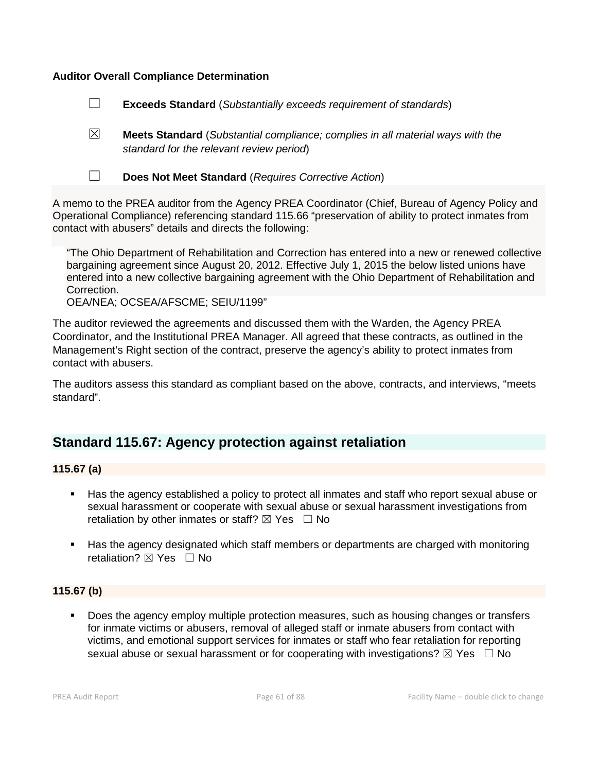#### **Auditor Overall Compliance Determination**

☐ **Exceeds Standard** (*Substantially exceeds requirement of standards*)

☒ **Meets Standard** (*Substantial compliance; complies in all material ways with the standard for the relevant review period*)



☐ **Does Not Meet Standard** (*Requires Corrective Action*)

A memo to the PREA auditor from the Agency PREA Coordinator (Chief, Bureau of Agency Policy and Operational Compliance) referencing standard 115.66 "preservation of ability to protect inmates from contact with abusers" details and directs the following:

"The Ohio Department of Rehabilitation and Correction has entered into a new or renewed collective bargaining agreement since August 20, 2012. Effective July 1, 2015 the below listed unions have entered into a new collective bargaining agreement with the Ohio Department of Rehabilitation and Correction.

OEA/NEA; OCSEA/AFSCME; SEIU/1199"

The auditor reviewed the agreements and discussed them with the Warden, the Agency PREA Coordinator, and the Institutional PREA Manager. All agreed that these contracts, as outlined in the Management's Right section of the contract, preserve the agency's ability to protect inmates from contact with abusers.

The auditors assess this standard as compliant based on the above, contracts, and interviews, "meets standard".

# **Standard 115.67: Agency protection against retaliation**

#### **115.67 (a)**

- Has the agency established a policy to protect all inmates and staff who report sexual abuse or sexual harassment or cooperate with sexual abuse or sexual harassment investigations from retaliation by other inmates or staff?  $\boxtimes$  Yes  $\Box$  No
- Has the agency designated which staff members or departments are charged with monitoring retaliation? **⊠** Yes □ No

#### **115.67 (b)**

 Does the agency employ multiple protection measures, such as housing changes or transfers for inmate victims or abusers, removal of alleged staff or inmate abusers from contact with victims, and emotional support services for inmates or staff who fear retaliation for reporting sexual abuse or sexual harassment or for cooperating with investigations?  $\boxtimes$  Yes  $\Box$  No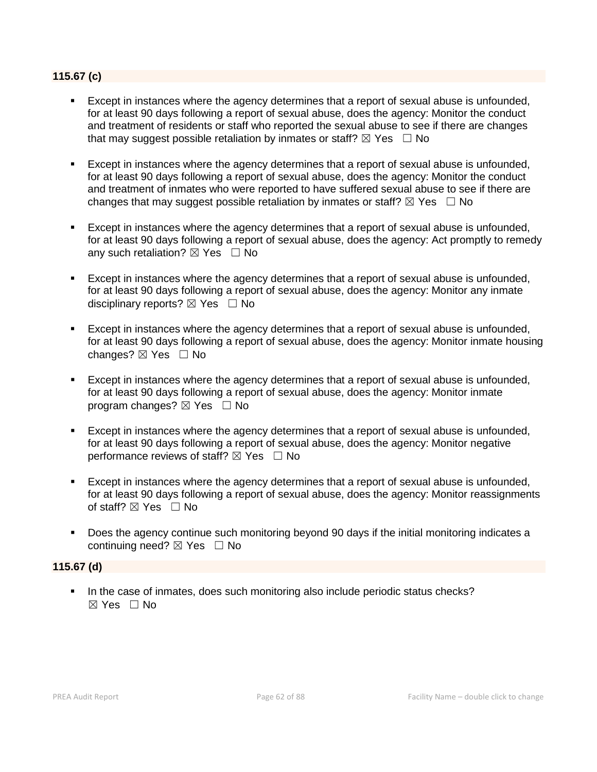#### **115.67 (c)**

- Except in instances where the agency determines that a report of sexual abuse is unfounded, for at least 90 days following a report of sexual abuse, does the agency: Monitor the conduct and treatment of residents or staff who reported the sexual abuse to see if there are changes that may suggest possible retaliation by inmates or staff?  $\boxtimes$  Yes  $\Box$  No
- Except in instances where the agency determines that a report of sexual abuse is unfounded, for at least 90 days following a report of sexual abuse, does the agency: Monitor the conduct and treatment of inmates who were reported to have suffered sexual abuse to see if there are changes that may suggest possible retaliation by inmates or staff?  $\boxtimes$  Yes  $\Box$  No
- Except in instances where the agency determines that a report of sexual abuse is unfounded, for at least 90 days following a report of sexual abuse, does the agency: Act promptly to remedy any such retaliation?  $\boxtimes$  Yes  $\Box$  No
- Except in instances where the agency determines that a report of sexual abuse is unfounded, for at least 90 days following a report of sexual abuse, does the agency: Monitor any inmate disciplinary reports?  $\boxtimes$  Yes  $\Box$  No
- Except in instances where the agency determines that a report of sexual abuse is unfounded, for at least 90 days following a report of sexual abuse, does the agency: Monitor inmate housing changes? ⊠ Yes □ No
- Except in instances where the agency determines that a report of sexual abuse is unfounded, for at least 90 days following a report of sexual abuse, does the agency: Monitor inmate program changes?  $\boxtimes$  Yes  $\Box$  No
- Except in instances where the agency determines that a report of sexual abuse is unfounded, for at least 90 days following a report of sexual abuse, does the agency: Monitor negative performance reviews of staff?  $\boxtimes$  Yes  $\Box$  No
- Except in instances where the agency determines that a report of sexual abuse is unfounded, for at least 90 days following a report of sexual abuse, does the agency: Monitor reassignments of staff?  $\boxtimes$  Yes  $\Box$  No
- Does the agency continue such monitoring beyond 90 days if the initial monitoring indicates a continuing need?  $\boxtimes$  Yes  $\Box$  No

#### **115.67 (d)**

In the case of inmates, does such monitoring also include periodic status checks?  $\boxtimes$  Yes  $\Box$  No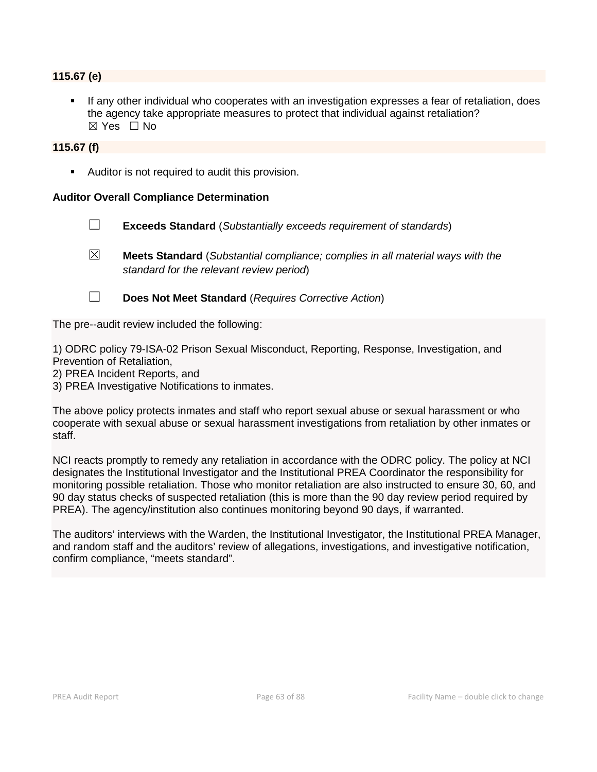#### **115.67 (e)**

 If any other individual who cooperates with an investigation expresses a fear of retaliation, does the agency take appropriate measures to protect that individual against retaliation?  $\boxtimes$  Yes  $\Box$  No

#### **115.67 (f)**

Auditor is not required to audit this provision.

#### **Auditor Overall Compliance Determination**

- ☐ **Exceeds Standard** (*Substantially exceeds requirement of standards*)
- ☒ **Meets Standard** (*Substantial compliance; complies in all material ways with the standard for the relevant review period*)
- ☐ **Does Not Meet Standard** (*Requires Corrective Action*)

The pre--audit review included the following:

1) ODRC policy 79-ISA-02 Prison Sexual Misconduct, Reporting, Response, Investigation, and Prevention of Retaliation,

2) PREA Incident Reports, and

3) PREA Investigative Notifications to inmates.

The above policy protects inmates and staff who report sexual abuse or sexual harassment or who cooperate with sexual abuse or sexual harassment investigations from retaliation by other inmates or staff.

NCI reacts promptly to remedy any retaliation in accordance with the ODRC policy. The policy at NCI designates the Institutional Investigator and the Institutional PREA Coordinator the responsibility for monitoring possible retaliation. Those who monitor retaliation are also instructed to ensure 30, 60, and 90 day status checks of suspected retaliation (this is more than the 90 day review period required by PREA). The agency/institution also continues monitoring beyond 90 days, if warranted.

The auditors' interviews with the Warden, the Institutional Investigator, the Institutional PREA Manager, and random staff and the auditors' review of allegations, investigations, and investigative notification, confirm compliance, "meets standard".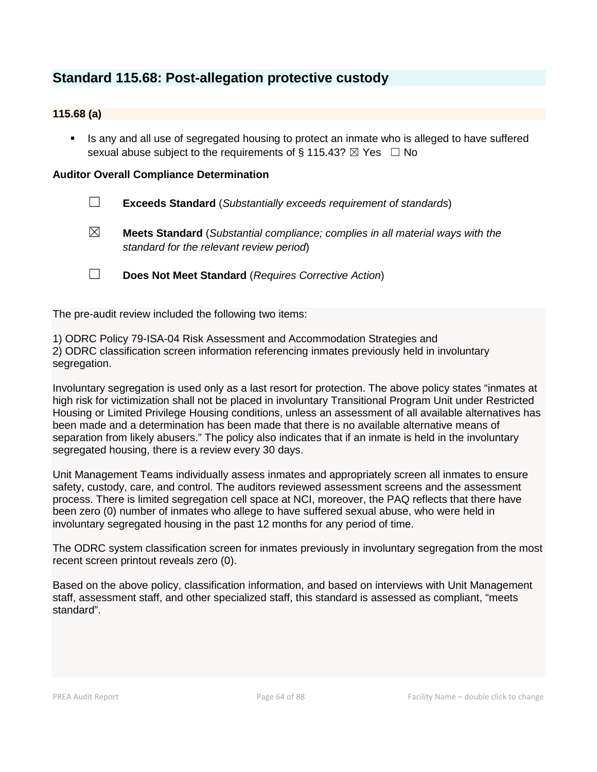# **Standard 115.68: Post-allegation protective custody**

## **115.68 (a)**

 Is any and all use of segregated housing to protect an inmate who is alleged to have suffered sexual abuse subject to the requirements of § 115.43?  $\boxtimes$  Yes  $\Box$  No

#### **Auditor Overall Compliance Determination**

- ☐ **Exceeds Standard** (*Substantially exceeds requirement of standards*)
- ☒ **Meets Standard** (*Substantial compliance; complies in all material ways with the standard for the relevant review period*)
- ☐ **Does Not Meet Standard** (*Requires Corrective Action*)

The pre-audit review included the following two items:

1) ODRC Policy 79-ISA-04 Risk Assessment and Accommodation Strategies and

2) ODRC classification screen information referencing inmates previously held in involuntary segregation.

Involuntary segregation is used only as a last resort for protection. The above policy states "inmates at high risk for victimization shall not be placed in involuntary Transitional Program Unit under Restricted Housing or Limited Privilege Housing conditions, unless an assessment of all available alternatives has been made and a determination has been made that there is no available alternative means of separation from likely abusers." The policy also indicates that if an inmate is held in the involuntary segregated housing, there is a review every 30 days.

Unit Management Teams individually assess inmates and appropriately screen all inmates to ensure safety, custody, care, and control. The auditors reviewed assessment screens and the assessment process. There is limited segregation cell space at NCI, moreover, the PAQ reflects that there have been zero (0) number of inmates who allege to have suffered sexual abuse, who were held in involuntary segregated housing in the past 12 months for any period of time.

The ODRC system classification screen for inmates previously in involuntary segregation from the most recent screen printout reveals zero (0).

Based on the above policy, classification information, and based on interviews with Unit Management staff, assessment staff, and other specialized staff, this standard is assessed as compliant, "meets standard".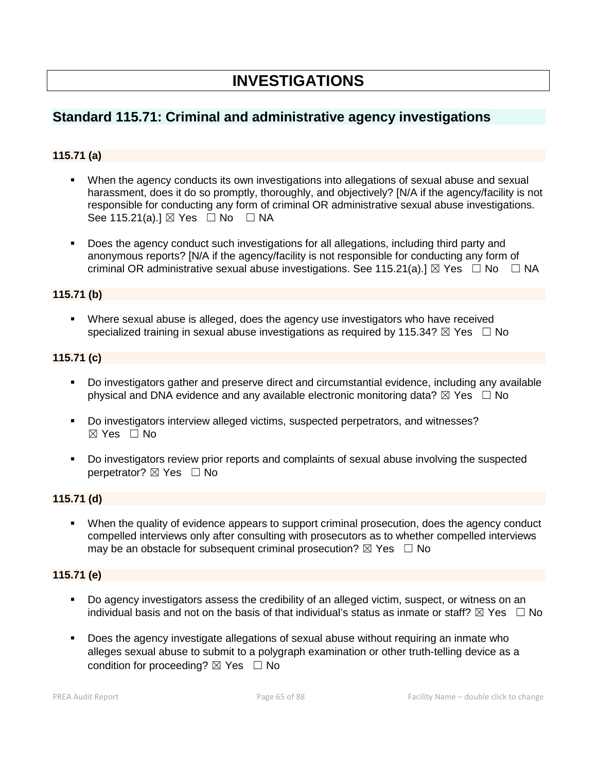# **INVESTIGATIONS**

# **Standard 115.71: Criminal and administrative agency investigations**

## **115.71 (a)**

- When the agency conducts its own investigations into allegations of sexual abuse and sexual harassment, does it do so promptly, thoroughly, and objectively? [N/A if the agency/facility is not responsible for conducting any form of criminal OR administrative sexual abuse investigations. See 115.21(a).]  $\boxtimes$  Yes  $\Box$  No  $\Box$  NA
- Does the agency conduct such investigations for all allegations, including third party and anonymous reports? [N/A if the agency/facility is not responsible for conducting any form of criminal OR administrative sexual abuse investigations. See 115.21(a).]  $\boxtimes$  Yes  $\Box$  No  $\Box$  NA

## **115.71 (b)**

 Where sexual abuse is alleged, does the agency use investigators who have received specialized training in sexual abuse investigations as required by 115.34?  $\boxtimes$  Yes  $\Box$  No

#### **115.71 (c)**

- Do investigators gather and preserve direct and circumstantial evidence, including any available physical and DNA evidence and any available electronic monitoring data?  $\boxtimes$  Yes  $\Box$  No
- Do investigators interview alleged victims, suspected perpetrators, and witnesses? ☒ Yes ☐ No
- Do investigators review prior reports and complaints of sexual abuse involving the suspected perpetrator? ⊠ Yes □ No

## **115.71 (d)**

 When the quality of evidence appears to support criminal prosecution, does the agency conduct compelled interviews only after consulting with prosecutors as to whether compelled interviews may be an obstacle for subsequent criminal prosecution?  $\boxtimes$  Yes  $\Box$  No

### **115.71 (e)**

- Do agency investigators assess the credibility of an alleged victim, suspect, or witness on an individual basis and not on the basis of that individual's status as inmate or staff?  $\boxtimes$  Yes  $\Box$  No
- **Does the agency investigate allegations of sexual abuse without requiring an inmate who** alleges sexual abuse to submit to a polygraph examination or other truth-telling device as a condition for proceeding?  $\boxtimes$  Yes  $\Box$  No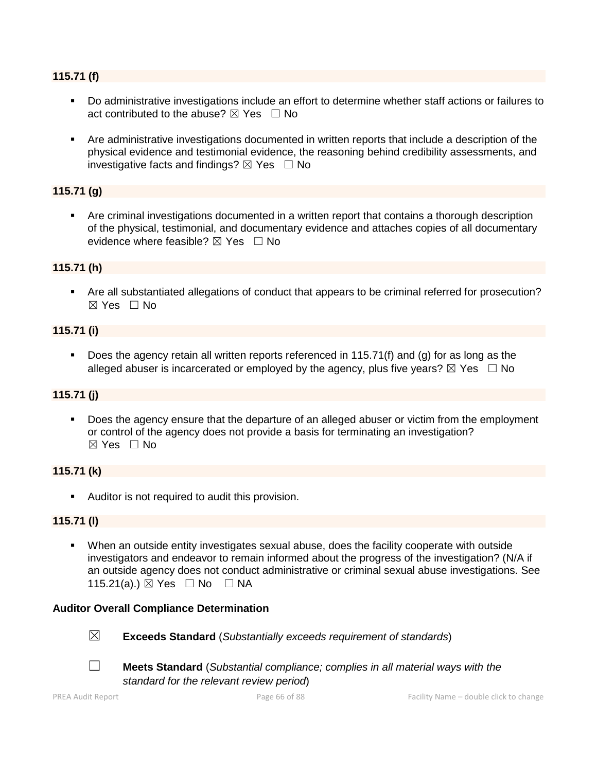#### **115.71 (f)**

- Do administrative investigations include an effort to determine whether staff actions or failures to act contributed to the abuse?  $\boxtimes$  Yes  $\Box$  No
- Are administrative investigations documented in written reports that include a description of the physical evidence and testimonial evidence, the reasoning behind credibility assessments, and investigative facts and findings?  $\boxtimes$  Yes  $\Box$  No

## **115.71 (g)**

 Are criminal investigations documented in a written report that contains a thorough description of the physical, testimonial, and documentary evidence and attaches copies of all documentary evidence where feasible?  $\boxtimes$  Yes  $\Box$  No

#### **115.71 (h)**

 Are all substantiated allegations of conduct that appears to be criminal referred for prosecution? ☒ Yes ☐ No

#### **115.71 (i)**

Does the agency retain all written reports referenced in 115.71(f) and (q) for as long as the alleged abuser is incarcerated or employed by the agency, plus five years?  $\boxtimes$  Yes  $\Box$  No

#### **115.71 (j)**

 Does the agency ensure that the departure of an alleged abuser or victim from the employment or control of the agency does not provide a basis for terminating an investigation? ☒ Yes ☐ No

#### **115.71 (k)**

Auditor is not required to audit this provision.

#### **115.71 (l)**

 When an outside entity investigates sexual abuse, does the facility cooperate with outside investigators and endeavor to remain informed about the progress of the investigation? (N/A if an outside agency does not conduct administrative or criminal sexual abuse investigations. See 115.21(a).) ⊠ Yes □ No □ NA

#### **Auditor Overall Compliance Determination**



☒ **Exceeds Standard** (*Substantially exceeds requirement of standards*)



☐ **Meets Standard** (*Substantial compliance; complies in all material ways with the* 

*standard for the relevant review period*)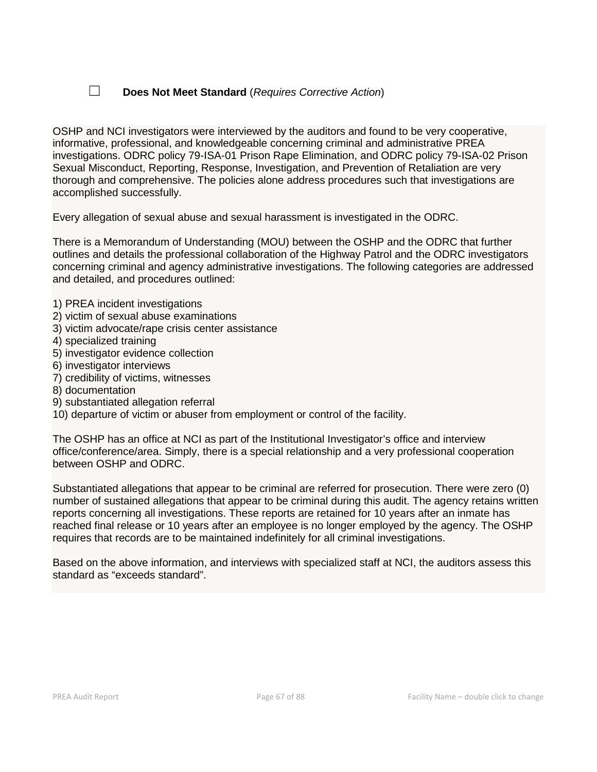## ☐ **Does Not Meet Standard** (*Requires Corrective Action*)

OSHP and NCI investigators were interviewed by the auditors and found to be very cooperative, informative, professional, and knowledgeable concerning criminal and administrative PREA investigations. ODRC policy 79-ISA-01 Prison Rape Elimination, and ODRC policy 79-ISA-02 Prison Sexual Misconduct, Reporting, Response, Investigation, and Prevention of Retaliation are very thorough and comprehensive. The policies alone address procedures such that investigations are accomplished successfully.

Every allegation of sexual abuse and sexual harassment is investigated in the ODRC.

There is a Memorandum of Understanding (MOU) between the OSHP and the ODRC that further outlines and details the professional collaboration of the Highway Patrol and the ODRC investigators concerning criminal and agency administrative investigations. The following categories are addressed and detailed, and procedures outlined:

#### 1) PREA incident investigations

- 2) victim of sexual abuse examinations
- 3) victim advocate/rape crisis center assistance
- 4) specialized training
- 5) investigator evidence collection
- 6) investigator interviews
- 7) credibility of victims, witnesses
- 8) documentation
- 9) substantiated allegation referral
- 10) departure of victim or abuser from employment or control of the facility.

The OSHP has an office at NCI as part of the Institutional Investigator's office and interview office/conference/area. Simply, there is a special relationship and a very professional cooperation between OSHP and ODRC.

Substantiated allegations that appear to be criminal are referred for prosecution. There were zero (0) number of sustained allegations that appear to be criminal during this audit. The agency retains written reports concerning all investigations. These reports are retained for 10 years after an inmate has reached final release or 10 years after an employee is no longer employed by the agency. The OSHP requires that records are to be maintained indefinitely for all criminal investigations.

Based on the above information, and interviews with specialized staff at NCI, the auditors assess this standard as "exceeds standard".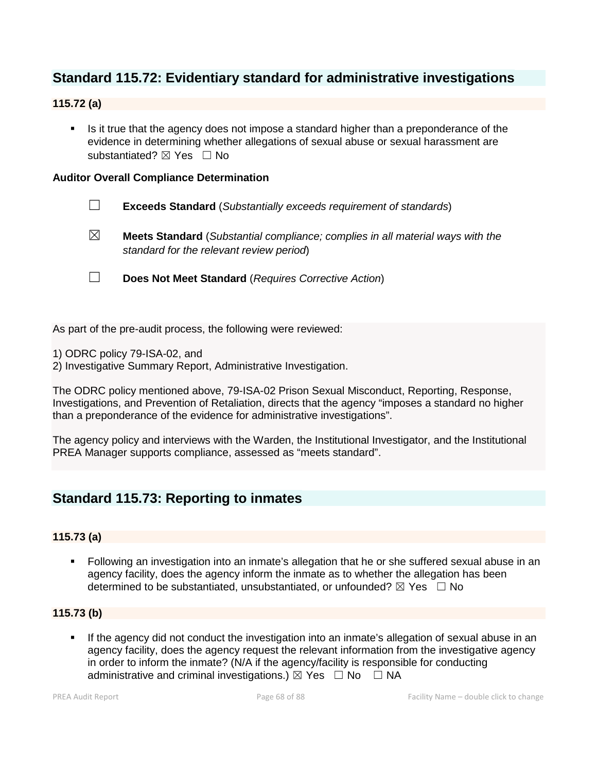# **Standard 115.72: Evidentiary standard for administrative investigations**

## **115.72 (a)**

Is it true that the agency does not impose a standard higher than a preponderance of the evidence in determining whether allegations of sexual abuse or sexual harassment are substantiated? ⊠ Yes □ No

#### **Auditor Overall Compliance Determination**

- ☐ **Exceeds Standard** (*Substantially exceeds requirement of standards*)
- ☒ **Meets Standard** (*Substantial compliance; complies in all material ways with the standard for the relevant review period*)
- ☐ **Does Not Meet Standard** (*Requires Corrective Action*)

As part of the pre-audit process, the following were reviewed:

- 1) ODRC policy 79-ISA-02, and
- 2) Investigative Summary Report, Administrative Investigation.

The ODRC policy mentioned above, 79-ISA-02 Prison Sexual Misconduct, Reporting, Response, Investigations, and Prevention of Retaliation, directs that the agency "imposes a standard no higher than a preponderance of the evidence for administrative investigations".

The agency policy and interviews with the Warden, the Institutional Investigator, and the Institutional PREA Manager supports compliance, assessed as "meets standard".

# **Standard 115.73: Reporting to inmates**

#### **115.73 (a)**

 Following an investigation into an inmate's allegation that he or she suffered sexual abuse in an agency facility, does the agency inform the inmate as to whether the allegation has been determined to be substantiated, unsubstantiated, or unfounded?  $\boxtimes$  Yes  $\Box$  No

### **115.73 (b)**

 If the agency did not conduct the investigation into an inmate's allegation of sexual abuse in an agency facility, does the agency request the relevant information from the investigative agency in order to inform the inmate? (N/A if the agency/facility is responsible for conducting administrative and criminal investigations.)  $\boxtimes$  Yes  $\Box$  No  $\Box$  NA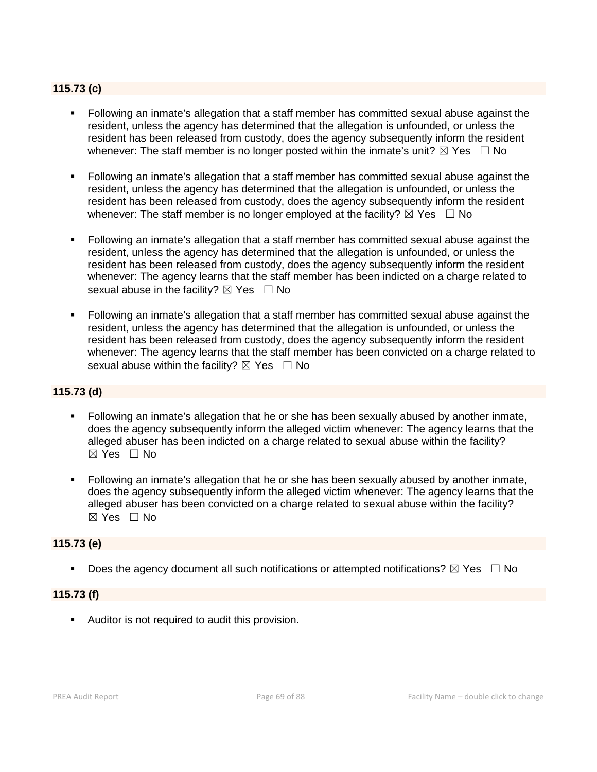## **115.73 (c)**

- Following an inmate's allegation that a staff member has committed sexual abuse against the resident, unless the agency has determined that the allegation is unfounded, or unless the resident has been released from custody, does the agency subsequently inform the resident whenever: The staff member is no longer posted within the inmate's unit?  $\boxtimes$  Yes  $\Box$  No
- Following an inmate's allegation that a staff member has committed sexual abuse against the resident, unless the agency has determined that the allegation is unfounded, or unless the resident has been released from custody, does the agency subsequently inform the resident whenever: The staff member is no longer employed at the facility?  $\boxtimes$  Yes  $\Box$  No
- Following an inmate's allegation that a staff member has committed sexual abuse against the resident, unless the agency has determined that the allegation is unfounded, or unless the resident has been released from custody, does the agency subsequently inform the resident whenever: The agency learns that the staff member has been indicted on a charge related to sexual abuse in the facility?  $\boxtimes$  Yes  $\Box$  No
- Following an inmate's allegation that a staff member has committed sexual abuse against the resident, unless the agency has determined that the allegation is unfounded, or unless the resident has been released from custody, does the agency subsequently inform the resident whenever: The agency learns that the staff member has been convicted on a charge related to sexual abuse within the facility?  $\boxtimes$  Yes  $\Box$  No

#### **115.73 (d)**

- Following an inmate's allegation that he or she has been sexually abused by another inmate, does the agency subsequently inform the alleged victim whenever: The agency learns that the alleged abuser has been indicted on a charge related to sexual abuse within the facility?  $\boxtimes$  Yes  $\Box$  No
- Following an inmate's allegation that he or she has been sexually abused by another inmate, does the agency subsequently inform the alleged victim whenever: The agency learns that the alleged abuser has been convicted on a charge related to sexual abuse within the facility?  $\boxtimes$  Yes  $\Box$  No

#### **115.73 (e)**

Does the agency document all such notifications or attempted notifications?  $\boxtimes$  Yes  $\Box$  No

#### **115.73 (f)**

Auditor is not required to audit this provision.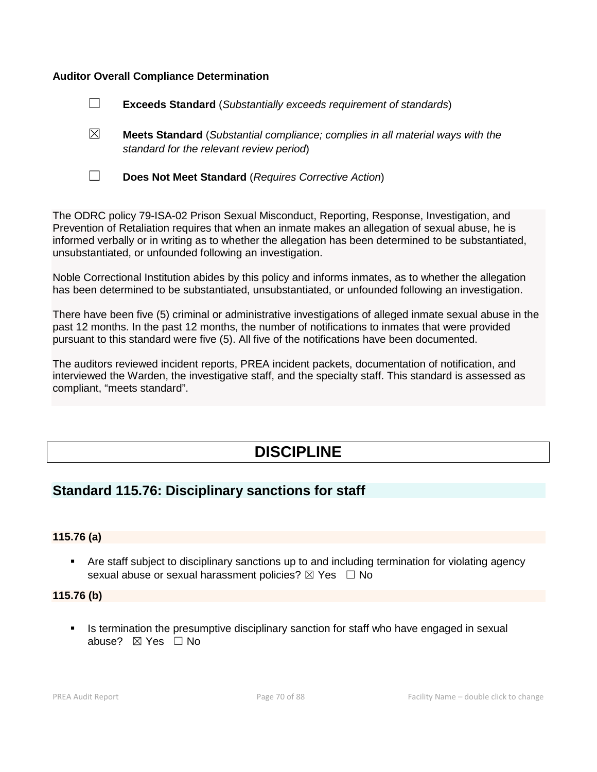#### **Auditor Overall Compliance Determination**



- ☒ **Meets Standard** (*Substantial compliance; complies in all material ways with the standard for the relevant review period*)
- 
- ☐ **Does Not Meet Standard** (*Requires Corrective Action*)

The ODRC policy 79-ISA-02 Prison Sexual Misconduct, Reporting, Response, Investigation, and Prevention of Retaliation requires that when an inmate makes an allegation of sexual abuse, he is informed verbally or in writing as to whether the allegation has been determined to be substantiated, unsubstantiated, or unfounded following an investigation.

Noble Correctional Institution abides by this policy and informs inmates, as to whether the allegation has been determined to be substantiated, unsubstantiated, or unfounded following an investigation.

There have been five (5) criminal or administrative investigations of alleged inmate sexual abuse in the past 12 months. In the past 12 months, the number of notifications to inmates that were provided pursuant to this standard were five (5). All five of the notifications have been documented.

The auditors reviewed incident reports, PREA incident packets, documentation of notification, and interviewed the Warden, the investigative staff, and the specialty staff. This standard is assessed as compliant, "meets standard".

# **DISCIPLINE**

# **Standard 115.76: Disciplinary sanctions for staff**

#### **115.76 (a)**

 Are staff subject to disciplinary sanctions up to and including termination for violating agency sexual abuse or sexual harassment policies?  $\boxtimes$  Yes  $\Box$  No

#### **115.76 (b)**

Is termination the presumptive disciplinary sanction for staff who have engaged in sexual abuse? ☒ Yes ☐ No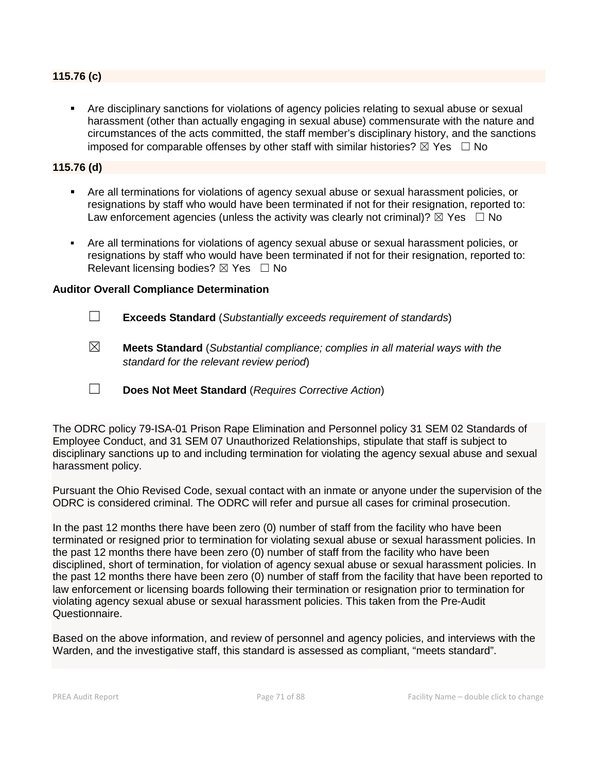#### **115.76 (c)**

 Are disciplinary sanctions for violations of agency policies relating to sexual abuse or sexual harassment (other than actually engaging in sexual abuse) commensurate with the nature and circumstances of the acts committed, the staff member's disciplinary history, and the sanctions imposed for comparable offenses by other staff with similar histories?  $\boxtimes$  Yes  $\Box$  No

#### **115.76 (d)**

- Are all terminations for violations of agency sexual abuse or sexual harassment policies, or resignations by staff who would have been terminated if not for their resignation, reported to: Law enforcement agencies (unless the activity was clearly not criminal)?  $\boxtimes$  Yes  $\Box$  No
- Are all terminations for violations of agency sexual abuse or sexual harassment policies, or resignations by staff who would have been terminated if not for their resignation, reported to: Relevant licensing bodies?  $\boxtimes$  Yes  $\Box$  No

#### **Auditor Overall Compliance Determination**

- ☐ **Exceeds Standard** (*Substantially exceeds requirement of standards*)
- ☒ **Meets Standard** (*Substantial compliance; complies in all material ways with the standard for the relevant review period*)
- ☐ **Does Not Meet Standard** (*Requires Corrective Action*)

The ODRC policy 79-ISA-01 Prison Rape Elimination and Personnel policy 31 SEM 02 Standards of Employee Conduct, and 31 SEM 07 Unauthorized Relationships, stipulate that staff is subject to disciplinary sanctions up to and including termination for violating the agency sexual abuse and sexual harassment policy.

Pursuant the Ohio Revised Code, sexual contact with an inmate or anyone under the supervision of the ODRC is considered criminal. The ODRC will refer and pursue all cases for criminal prosecution.

In the past 12 months there have been zero (0) number of staff from the facility who have been terminated or resigned prior to termination for violating sexual abuse or sexual harassment policies. In the past 12 months there have been zero (0) number of staff from the facility who have been disciplined, short of termination, for violation of agency sexual abuse or sexual harassment policies. In the past 12 months there have been zero (0) number of staff from the facility that have been reported to law enforcement or licensing boards following their termination or resignation prior to termination for violating agency sexual abuse or sexual harassment policies. This taken from the Pre-Audit Questionnaire.

Based on the above information, and review of personnel and agency policies, and interviews with the Warden, and the investigative staff, this standard is assessed as compliant, "meets standard".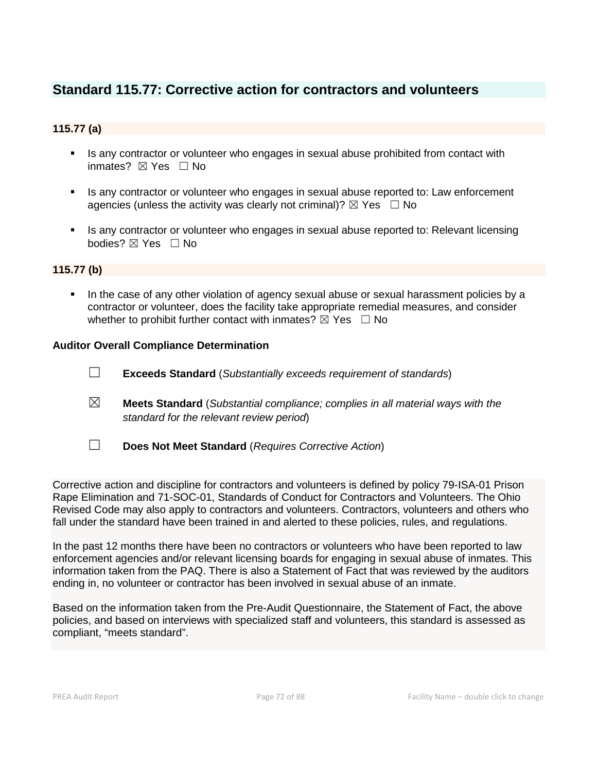# **Standard 115.77: Corrective action for contractors and volunteers**

## **115.77 (a)**

- Is any contractor or volunteer who engages in sexual abuse prohibited from contact with inmates? ☒ Yes ☐ No
- Is any contractor or volunteer who engages in sexual abuse reported to: Law enforcement agencies (unless the activity was clearly not criminal)?  $\boxtimes$  Yes  $\Box$  No
- Is any contractor or volunteer who engages in sexual abuse reported to: Relevant licensing bodies? ☒ Yes ☐ No

#### **115.77 (b)**

 In the case of any other violation of agency sexual abuse or sexual harassment policies by a contractor or volunteer, does the facility take appropriate remedial measures, and consider whether to prohibit further contact with inmates?  $\boxtimes$  Yes  $\Box$  No

#### **Auditor Overall Compliance Determination**

- ☐ **Exceeds Standard** (*Substantially exceeds requirement of standards*)
- ☒ **Meets Standard** (*Substantial compliance; complies in all material ways with the standard for the relevant review period*)
- ☐ **Does Not Meet Standard** (*Requires Corrective Action*)

Corrective action and discipline for contractors and volunteers is defined by policy 79-ISA-01 Prison Rape Elimination and 71-SOC-01, Standards of Conduct for Contractors and Volunteers. The Ohio Revised Code may also apply to contractors and volunteers. Contractors, volunteers and others who fall under the standard have been trained in and alerted to these policies, rules, and regulations.

In the past 12 months there have been no contractors or volunteers who have been reported to law enforcement agencies and/or relevant licensing boards for engaging in sexual abuse of inmates. This information taken from the PAQ. There is also a Statement of Fact that was reviewed by the auditors ending in, no volunteer or contractor has been involved in sexual abuse of an inmate.

Based on the information taken from the Pre-Audit Questionnaire, the Statement of Fact, the above policies, and based on interviews with specialized staff and volunteers, this standard is assessed as compliant, "meets standard".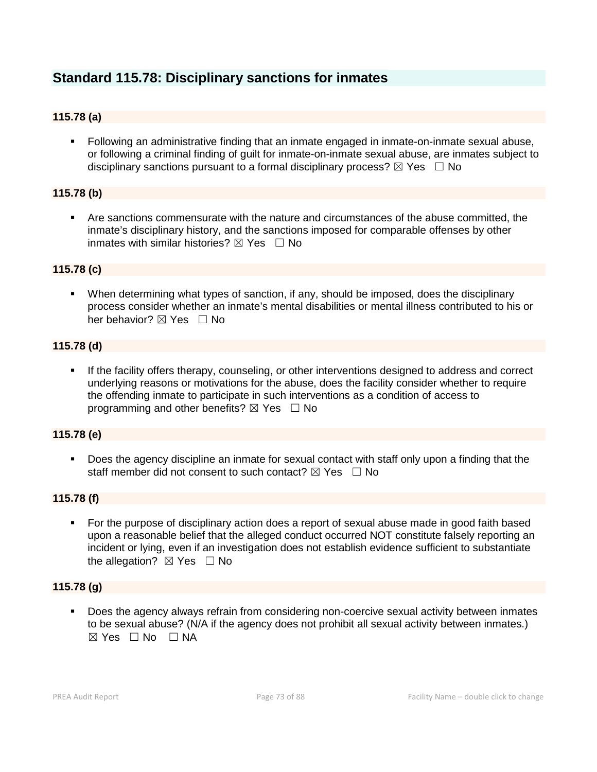# **Standard 115.78: Disciplinary sanctions for inmates**

# **115.78 (a)**

 Following an administrative finding that an inmate engaged in inmate-on-inmate sexual abuse, or following a criminal finding of guilt for inmate-on-inmate sexual abuse, are inmates subject to disciplinary sanctions pursuant to a formal disciplinary process?  $\boxtimes$  Yes  $\Box$  No

# **115.78 (b)**

 Are sanctions commensurate with the nature and circumstances of the abuse committed, the inmate's disciplinary history, and the sanctions imposed for comparable offenses by other inmates with similar histories?  $\boxtimes$  Yes  $\Box$  No

# **115.78 (c)**

 When determining what types of sanction, if any, should be imposed, does the disciplinary process consider whether an inmate's mental disabilities or mental illness contributed to his or her behavior?  $\boxtimes$  Yes  $\Box$  No

# **115.78 (d)**

 If the facility offers therapy, counseling, or other interventions designed to address and correct underlying reasons or motivations for the abuse, does the facility consider whether to require the offending inmate to participate in such interventions as a condition of access to programming and other benefits?  $\boxtimes$  Yes  $\Box$  No

# **115.78 (e)**

 Does the agency discipline an inmate for sexual contact with staff only upon a finding that the staff member did not consent to such contact?  $\boxtimes$  Yes  $\Box$  No

# **115.78 (f)**

 For the purpose of disciplinary action does a report of sexual abuse made in good faith based upon a reasonable belief that the alleged conduct occurred NOT constitute falsely reporting an incident or lying, even if an investigation does not establish evidence sufficient to substantiate the allegation?  $\boxtimes$  Yes  $\Box$  No

#### **115.78 (g)**

 Does the agency always refrain from considering non-coercive sexual activity between inmates to be sexual abuse? (N/A if the agency does not prohibit all sexual activity between inmates.)  $\boxtimes$  Yes  $\Box$  No  $\Box$  NA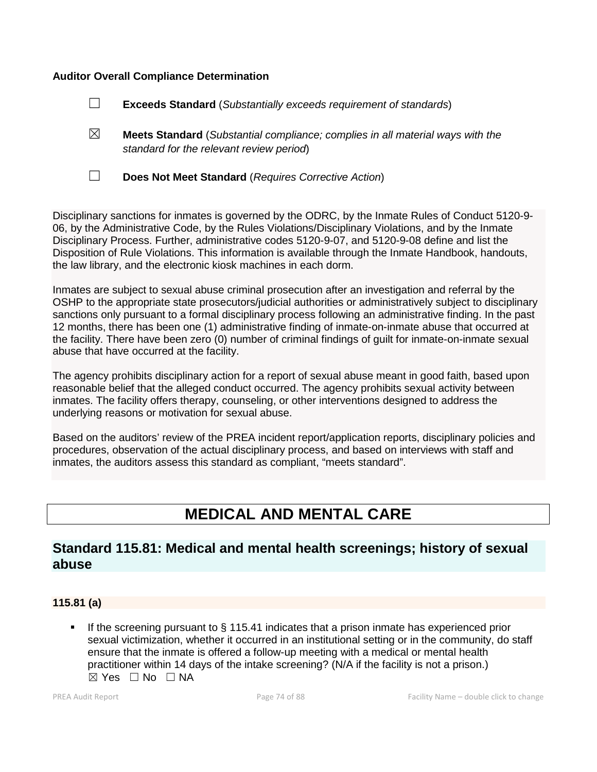### **Auditor Overall Compliance Determination**

| $\Box$ |  |  | <b>Exceeds Standard</b> (Substantially exceeds requirement of standards) |
|--------|--|--|--------------------------------------------------------------------------|
|--------|--|--|--------------------------------------------------------------------------|

- ☒ **Meets Standard** (*Substantial compliance; complies in all material ways with the standard for the relevant review period*)
- 

☐ **Does Not Meet Standard** (*Requires Corrective Action*)

Disciplinary sanctions for inmates is governed by the ODRC, by the Inmate Rules of Conduct 5120-9- 06, by the Administrative Code, by the Rules Violations/Disciplinary Violations, and by the Inmate Disciplinary Process. Further, administrative codes 5120-9-07, and 5120-9-08 define and list the Disposition of Rule Violations. This information is available through the Inmate Handbook, handouts, the law library, and the electronic kiosk machines in each dorm.

Inmates are subject to sexual abuse criminal prosecution after an investigation and referral by the OSHP to the appropriate state prosecutors/judicial authorities or administratively subject to disciplinary sanctions only pursuant to a formal disciplinary process following an administrative finding. In the past 12 months, there has been one (1) administrative finding of inmate-on-inmate abuse that occurred at the facility. There have been zero (0) number of criminal findings of guilt for inmate-on-inmate sexual abuse that have occurred at the facility.

The agency prohibits disciplinary action for a report of sexual abuse meant in good faith, based upon reasonable belief that the alleged conduct occurred. The agency prohibits sexual activity between inmates. The facility offers therapy, counseling, or other interventions designed to address the underlying reasons or motivation for sexual abuse.

Based on the auditors' review of the PREA incident report/application reports, disciplinary policies and procedures, observation of the actual disciplinary process, and based on interviews with staff and inmates, the auditors assess this standard as compliant, "meets standard".

# **MEDICAL AND MENTAL CARE**

# **Standard 115.81: Medical and mental health screenings; history of sexual abuse**

# **115.81 (a)**

 If the screening pursuant to § 115.41 indicates that a prison inmate has experienced prior sexual victimization, whether it occurred in an institutional setting or in the community, do staff ensure that the inmate is offered a follow-up meeting with a medical or mental health practitioner within 14 days of the intake screening? (N/A if the facility is not a prison.)  $\boxtimes$  Yes  $\Box$  No  $\Box$  NA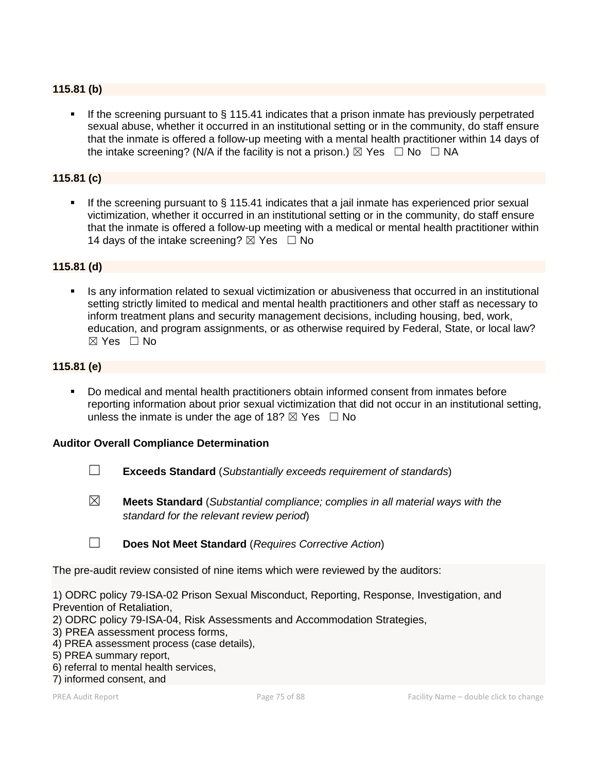# **115.81 (b)**

If the screening pursuant to  $\S$  115.41 indicates that a prison inmate has previously perpetrated sexual abuse, whether it occurred in an institutional setting or in the community, do staff ensure that the inmate is offered a follow-up meeting with a mental health practitioner within 14 days of the intake screening? (N/A if the facility is not a prison.)  $\boxtimes$  Yes  $\Box$  No  $\Box$  NA

# **115.81 (c)**

 If the screening pursuant to § 115.41 indicates that a jail inmate has experienced prior sexual victimization, whether it occurred in an institutional setting or in the community, do staff ensure that the inmate is offered a follow-up meeting with a medical or mental health practitioner within 14 days of the intake screening?  $\boxtimes$  Yes  $\Box$  No

#### **115.81 (d)**

**In any information related to sexual victimization or abusiveness that occurred in an institutional** setting strictly limited to medical and mental health practitioners and other staff as necessary to inform treatment plans and security management decisions, including housing, bed, work, education, and program assignments, or as otherwise required by Federal, State, or local law?  $\boxtimes$  Yes  $\Box$  No

# **115.81 (e)**

 Do medical and mental health practitioners obtain informed consent from inmates before reporting information about prior sexual victimization that did not occur in an institutional setting, unless the inmate is under the age of 18?  $\boxtimes$  Yes  $\Box$  No

#### **Auditor Overall Compliance Determination**

- ☐ **Exceeds Standard** (*Substantially exceeds requirement of standards*)
- ☒ **Meets Standard** (*Substantial compliance; complies in all material ways with the standard for the relevant review period*)

☐ **Does Not Meet Standard** (*Requires Corrective Action*)

The pre-audit review consisted of nine items which were reviewed by the auditors:

1) ODRC policy 79-ISA-02 Prison Sexual Misconduct, Reporting, Response, Investigation, and Prevention of Retaliation,

- 2) ODRC policy 79-ISA-04, Risk Assessments and Accommodation Strategies,
- 3) PREA assessment process forms,
- 4) PREA assessment process (case details),
- 5) PREA summary report,
- 6) referral to mental health services,
- 7) informed consent, and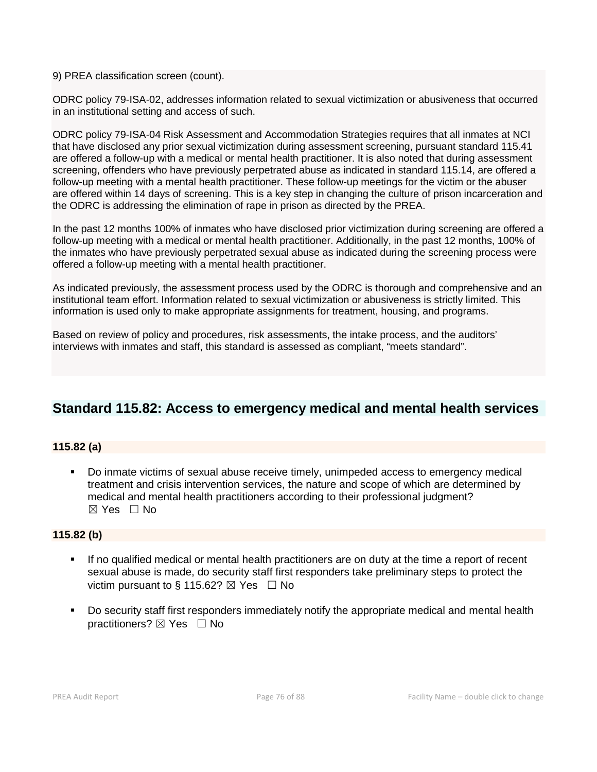9) PREA classification screen (count).

ODRC policy 79-ISA-02, addresses information related to sexual victimization or abusiveness that occurred in an institutional setting and access of such.

ODRC policy 79-ISA-04 Risk Assessment and Accommodation Strategies requires that all inmates at NCI that have disclosed any prior sexual victimization during assessment screening, pursuant standard 115.41 are offered a follow-up with a medical or mental health practitioner. It is also noted that during assessment screening, offenders who have previously perpetrated abuse as indicated in standard 115.14, are offered a follow-up meeting with a mental health practitioner. These follow-up meetings for the victim or the abuser are offered within 14 days of screening. This is a key step in changing the culture of prison incarceration and the ODRC is addressing the elimination of rape in prison as directed by the PREA.

In the past 12 months 100% of inmates who have disclosed prior victimization during screening are offered a follow-up meeting with a medical or mental health practitioner. Additionally, in the past 12 months, 100% of the inmates who have previously perpetrated sexual abuse as indicated during the screening process were offered a follow-up meeting with a mental health practitioner.

As indicated previously, the assessment process used by the ODRC is thorough and comprehensive and an institutional team effort. Information related to sexual victimization or abusiveness is strictly limited. This information is used only to make appropriate assignments for treatment, housing, and programs.

Based on review of policy and procedures, risk assessments, the intake process, and the auditors' interviews with inmates and staff, this standard is assessed as compliant, "meets standard".

# **Standard 115.82: Access to emergency medical and mental health services**

# **115.82 (a)**

 Do inmate victims of sexual abuse receive timely, unimpeded access to emergency medical treatment and crisis intervention services, the nature and scope of which are determined by medical and mental health practitioners according to their professional judgment?  $\boxtimes$  Yes  $\Box$  No

# **115.82 (b)**

- If no qualified medical or mental health practitioners are on duty at the time a report of recent sexual abuse is made, do security staff first responders take preliminary steps to protect the victim pursuant to § 115.62?  $\boxtimes$  Yes  $\Box$  No
- Do security staff first responders immediately notify the appropriate medical and mental health practitioners? ⊠ Yes □ No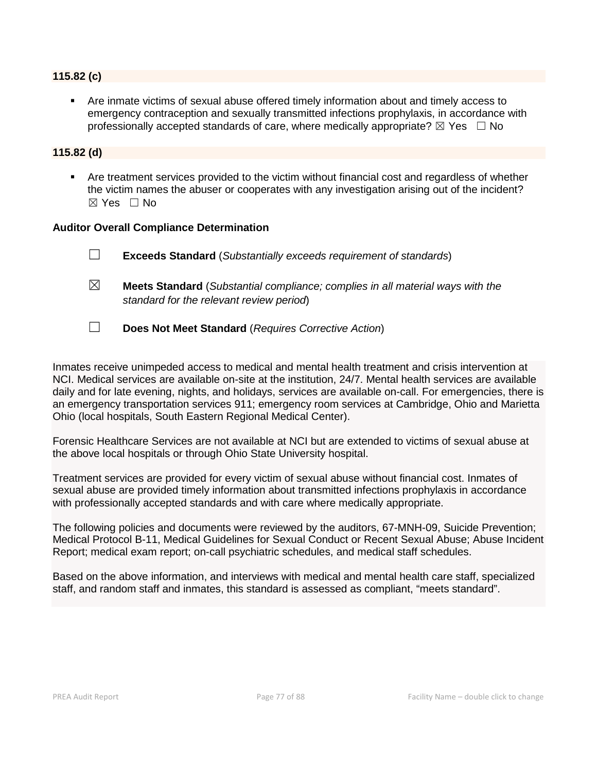#### **115.82 (c)**

 Are inmate victims of sexual abuse offered timely information about and timely access to emergency contraception and sexually transmitted infections prophylaxis, in accordance with professionally accepted standards of care, where medically appropriate?  $\boxtimes$  Yes  $\Box$  No

### **115.82 (d)**

 Are treatment services provided to the victim without financial cost and regardless of whether the victim names the abuser or cooperates with any investigation arising out of the incident?  $\boxtimes$  Yes  $\Box$  No

#### **Auditor Overall Compliance Determination**

|             | <b>Exceeds Standard</b> (Substantially exceeds requirement of standards)              |
|-------------|---------------------------------------------------------------------------------------|
| $\boxtimes$ | <b>Meets Standard</b> (Substantial compliance; complies in all material ways with the |

☐ **Does Not Meet Standard** (*Requires Corrective Action*)

*standard for the relevant review period*)

Inmates receive unimpeded access to medical and mental health treatment and crisis intervention at NCI. Medical services are available on-site at the institution, 24/7. Mental health services are available daily and for late evening, nights, and holidays, services are available on-call. For emergencies, there is an emergency transportation services 911; emergency room services at Cambridge, Ohio and Marietta Ohio (local hospitals, South Eastern Regional Medical Center).

Forensic Healthcare Services are not available at NCI but are extended to victims of sexual abuse at the above local hospitals or through Ohio State University hospital.

Treatment services are provided for every victim of sexual abuse without financial cost. Inmates of sexual abuse are provided timely information about transmitted infections prophylaxis in accordance with professionally accepted standards and with care where medically appropriate.

The following policies and documents were reviewed by the auditors, 67-MNH-09, Suicide Prevention; Medical Protocol B-11, Medical Guidelines for Sexual Conduct or Recent Sexual Abuse; Abuse Incident Report; medical exam report; on-call psychiatric schedules, and medical staff schedules.

Based on the above information, and interviews with medical and mental health care staff, specialized staff, and random staff and inmates, this standard is assessed as compliant, "meets standard".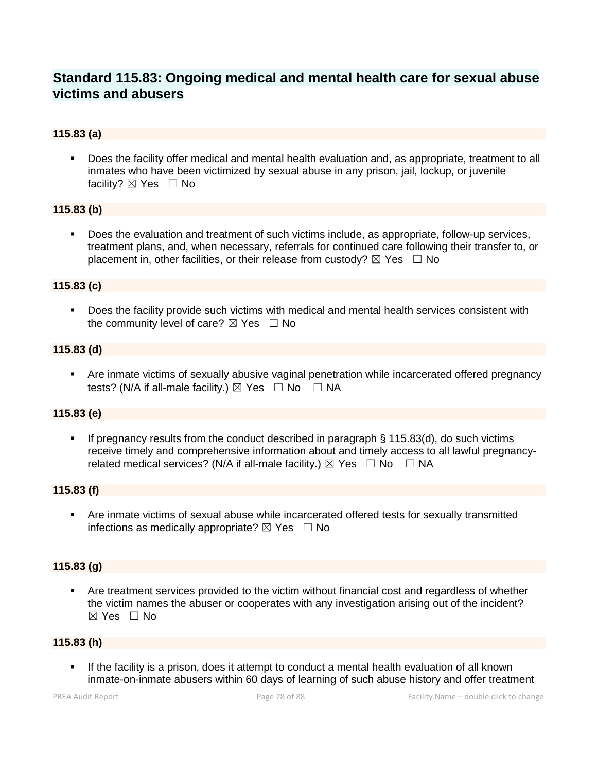# **Standard 115.83: Ongoing medical and mental health care for sexual abuse victims and abusers**

# **115.83 (a)**

 Does the facility offer medical and mental health evaluation and, as appropriate, treatment to all inmates who have been victimized by sexual abuse in any prison, jail, lockup, or juvenile facility? ⊠ Yes □ No

# **115.83 (b)**

 Does the evaluation and treatment of such victims include, as appropriate, follow-up services, treatment plans, and, when necessary, referrals for continued care following their transfer to, or placement in, other facilities, or their release from custody?  $\boxtimes$  Yes  $\Box$  No

#### **115.83 (c)**

 Does the facility provide such victims with medical and mental health services consistent with the community level of care?  $\boxtimes$  Yes  $\Box$  No

#### **115.83 (d)**

 Are inmate victims of sexually abusive vaginal penetration while incarcerated offered pregnancy tests? (N/A if all-male facility.)  $\boxtimes$  Yes  $\Box$  No  $\Box$  NA

#### **115.83 (e)**

 If pregnancy results from the conduct described in paragraph § 115.83(d), do such victims receive timely and comprehensive information about and timely access to all lawful pregnancyrelated medical services? (N/A if all-male facility.)  $\boxtimes$  Yes  $\Box$  No  $\Box$  NA

#### **115.83 (f)**

 Are inmate victims of sexual abuse while incarcerated offered tests for sexually transmitted infections as medically appropriate?  $\boxtimes$  Yes  $\Box$  No

# **115.83 (g)**

 Are treatment services provided to the victim without financial cost and regardless of whether the victim names the abuser or cooperates with any investigation arising out of the incident?  $\boxtimes$  Yes  $\Box$  No

# **115.83 (h)**

 If the facility is a prison, does it attempt to conduct a mental health evaluation of all known inmate-on-inmate abusers within 60 days of learning of such abuse history and offer treatment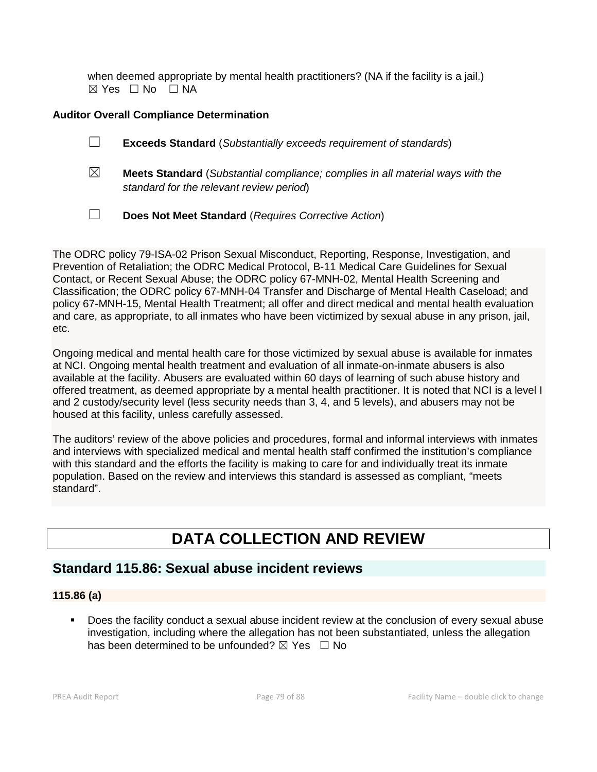when deemed appropriate by mental health practitioners? (NA if the facility is a jail.)  $\boxtimes$  Yes  $\Box$  No  $\Box$  NA

# **Auditor Overall Compliance Determination**

- ☐ **Exceeds Standard** (*Substantially exceeds requirement of standards*)
- ☒ **Meets Standard** (*Substantial compliance; complies in all material ways with the standard for the relevant review period*)
- ☐ **Does Not Meet Standard** (*Requires Corrective Action*)

The ODRC policy 79-ISA-02 Prison Sexual Misconduct, Reporting, Response, Investigation, and Prevention of Retaliation; the ODRC Medical Protocol, B-11 Medical Care Guidelines for Sexual Contact, or Recent Sexual Abuse; the ODRC policy 67-MNH-02, Mental Health Screening and Classification; the ODRC policy 67-MNH-04 Transfer and Discharge of Mental Health Caseload; and policy 67-MNH-15, Mental Health Treatment; all offer and direct medical and mental health evaluation and care, as appropriate, to all inmates who have been victimized by sexual abuse in any prison, jail, etc.

Ongoing medical and mental health care for those victimized by sexual abuse is available for inmates at NCI. Ongoing mental health treatment and evaluation of all inmate-on-inmate abusers is also available at the facility. Abusers are evaluated within 60 days of learning of such abuse history and offered treatment, as deemed appropriate by a mental health practitioner. It is noted that NCI is a level I and 2 custody/security level (less security needs than 3, 4, and 5 levels), and abusers may not be housed at this facility, unless carefully assessed.

The auditors' review of the above policies and procedures, formal and informal interviews with inmates and interviews with specialized medical and mental health staff confirmed the institution's compliance with this standard and the efforts the facility is making to care for and individually treat its inmate population. Based on the review and interviews this standard is assessed as compliant, "meets standard".

# **DATA COLLECTION AND REVIEW**

# **Standard 115.86: Sexual abuse incident reviews**

# **115.86 (a)**

 Does the facility conduct a sexual abuse incident review at the conclusion of every sexual abuse investigation, including where the allegation has not been substantiated, unless the allegation has been determined to be unfounded?  $\boxtimes$  Yes  $\Box$  No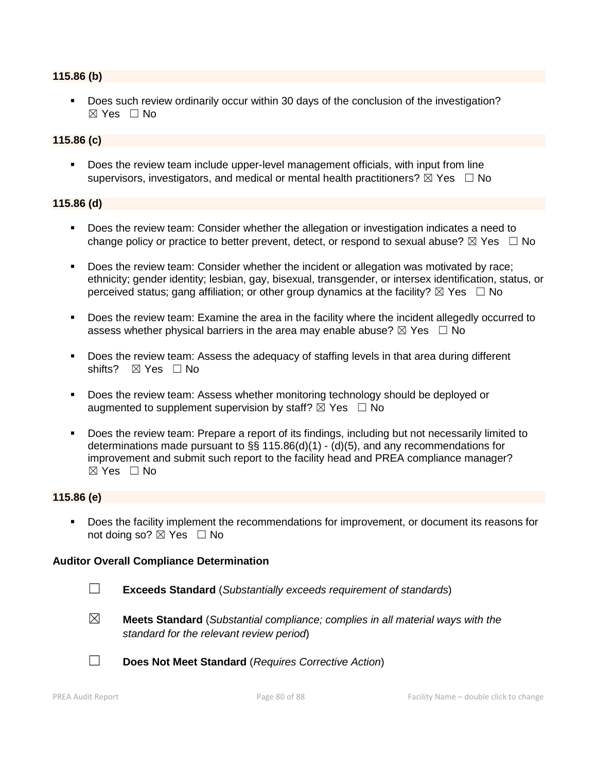#### **115.86 (b)**

**Does such review ordinarily occur within 30 days of the conclusion of the investigation?**  $\boxtimes$  Yes  $\Box$  No

#### **115.86 (c)**

 Does the review team include upper-level management officials, with input from line supervisors, investigators, and medical or mental health practitioners?  $\boxtimes$  Yes  $\Box$  No

#### **115.86 (d)**

- Does the review team: Consider whether the allegation or investigation indicates a need to change policy or practice to better prevent, detect, or respond to sexual abuse?  $\boxtimes$  Yes  $\Box$  No
- Does the review team: Consider whether the incident or allegation was motivated by race; ethnicity; gender identity; lesbian, gay, bisexual, transgender, or intersex identification, status, or perceived status; gang affiliation; or other group dynamics at the facility?  $\boxtimes$  Yes  $\Box$  No
- Does the review team: Examine the area in the facility where the incident allegedly occurred to assess whether physical barriers in the area may enable abuse?  $\boxtimes$  Yes  $\Box$  No
- Does the review team: Assess the adequacy of staffing levels in that area during different shifts? ⊠ Yes □ No
- **Does the review team: Assess whether monitoring technology should be deployed or** augmented to supplement supervision by staff?  $\boxtimes$  Yes  $\Box$  No
- Does the review team: Prepare a report of its findings, including but not necessarily limited to determinations made pursuant to §§ 115.86(d)(1) - (d)(5), and any recommendations for improvement and submit such report to the facility head and PREA compliance manager?  $\boxtimes$  Yes  $\Box$  No

#### **115.86 (e)**

 Does the facility implement the recommendations for improvement, or document its reasons for not doing so? ⊠ Yes □ No

#### **Auditor Overall Compliance Determination**

- ☐ **Exceeds Standard** (*Substantially exceeds requirement of standards*)
- ☒ **Meets Standard** (*Substantial compliance; complies in all material ways with the standard for the relevant review period*)
- 
- ☐ **Does Not Meet Standard** (*Requires Corrective Action*)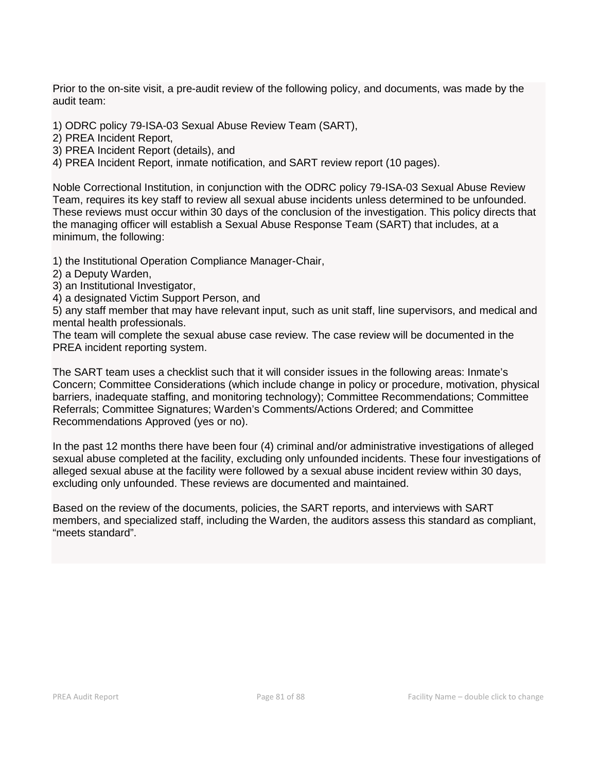Prior to the on-site visit, a pre-audit review of the following policy, and documents, was made by the audit team:

1) ODRC policy 79-ISA-03 Sexual Abuse Review Team (SART),

2) PREA Incident Report,

3) PREA Incident Report (details), and

4) PREA Incident Report, inmate notification, and SART review report (10 pages).

Noble Correctional Institution, in conjunction with the ODRC policy 79-ISA-03 Sexual Abuse Review Team, requires its key staff to review all sexual abuse incidents unless determined to be unfounded. These reviews must occur within 30 days of the conclusion of the investigation. This policy directs that the managing officer will establish a Sexual Abuse Response Team (SART) that includes, at a minimum, the following:

1) the Institutional Operation Compliance Manager-Chair,

- 2) a Deputy Warden,
- 3) an Institutional Investigator,
- 4) a designated Victim Support Person, and

5) any staff member that may have relevant input, such as unit staff, line supervisors, and medical and mental health professionals.

The team will complete the sexual abuse case review. The case review will be documented in the PREA incident reporting system.

The SART team uses a checklist such that it will consider issues in the following areas: Inmate's Concern; Committee Considerations (which include change in policy or procedure, motivation, physical barriers, inadequate staffing, and monitoring technology); Committee Recommendations; Committee Referrals; Committee Signatures; Warden's Comments/Actions Ordered; and Committee Recommendations Approved (yes or no).

In the past 12 months there have been four (4) criminal and/or administrative investigations of alleged sexual abuse completed at the facility, excluding only unfounded incidents. These four investigations of alleged sexual abuse at the facility were followed by a sexual abuse incident review within 30 days, excluding only unfounded. These reviews are documented and maintained.

Based on the review of the documents, policies, the SART reports, and interviews with SART members, and specialized staff, including the Warden, the auditors assess this standard as compliant, "meets standard".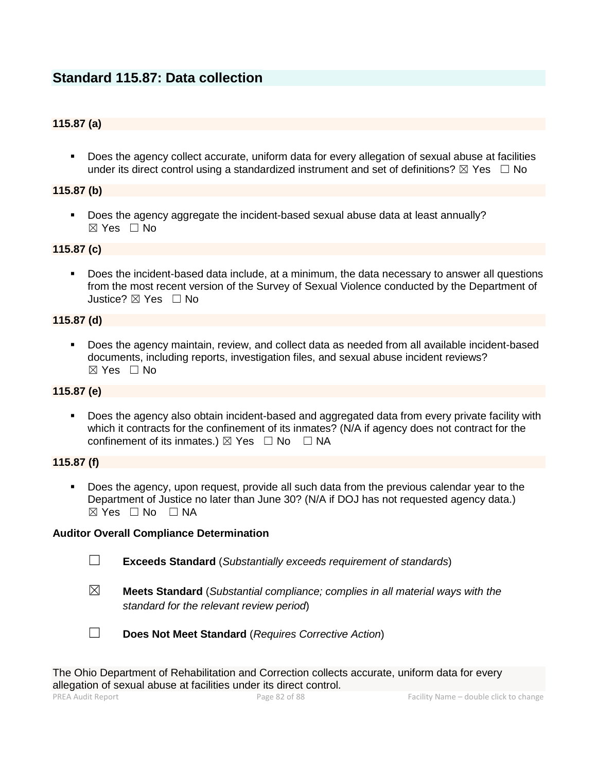# **Standard 115.87: Data collection**

# **115.87 (a)**

 Does the agency collect accurate, uniform data for every allegation of sexual abuse at facilities under its direct control using a standardized instrument and set of definitions?  $\boxtimes$  Yes  $\Box$  No

# **115.87 (b)**

 Does the agency aggregate the incident-based sexual abuse data at least annually?  $\boxtimes$  Yes  $\Box$  No

#### **115.87 (c)**

 Does the incident-based data include, at a minimum, the data necessary to answer all questions from the most recent version of the Survey of Sexual Violence conducted by the Department of Justice? ☒ Yes ☐ No

#### **115.87 (d)**

 Does the agency maintain, review, and collect data as needed from all available incident-based documents, including reports, investigation files, and sexual abuse incident reviews? ☒ Yes ☐ No

# **115.87 (e)**

 Does the agency also obtain incident-based and aggregated data from every private facility with which it contracts for the confinement of its inmates? (N/A if agency does not contract for the confinement of its inmates.)  $\boxtimes$  Yes  $\Box$  No  $\Box$  NA

#### **115.87 (f)**

 Does the agency, upon request, provide all such data from the previous calendar year to the Department of Justice no later than June 30? (N/A if DOJ has not requested agency data.)  $\boxtimes$  Yes  $\Box$  No  $\Box$  NA

#### **Auditor Overall Compliance Determination**

- ☐ **Exceeds Standard** (*Substantially exceeds requirement of standards*)
- ☒ **Meets Standard** (*Substantial compliance; complies in all material ways with the standard for the relevant review period*)



☐ **Does Not Meet Standard** (*Requires Corrective Action*)

The Ohio Department of Rehabilitation and Correction collects accurate, uniform data for every allegation of sexual abuse at facilities under its direct control.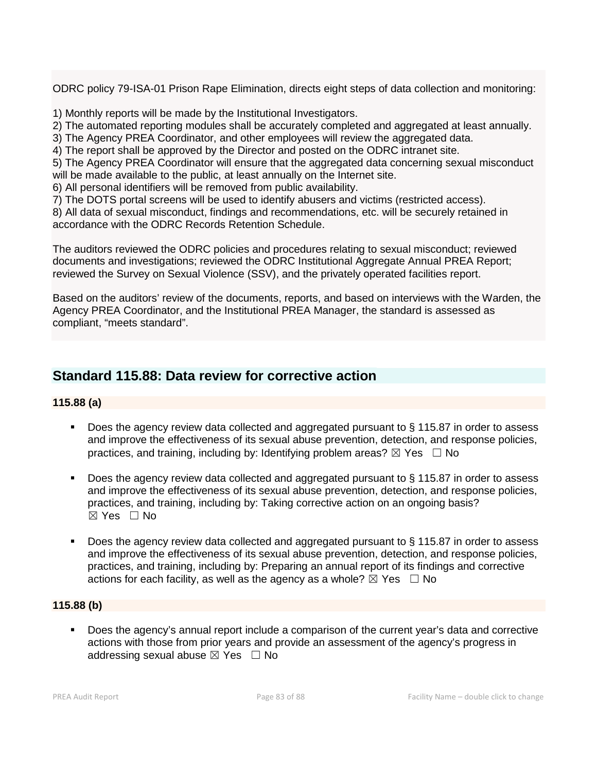ODRC policy 79-ISA-01 Prison Rape Elimination, directs eight steps of data collection and monitoring:

1) Monthly reports will be made by the Institutional Investigators.

2) The automated reporting modules shall be accurately completed and aggregated at least annually.

3) The Agency PREA Coordinator, and other employees will review the aggregated data.

4) The report shall be approved by the Director and posted on the ODRC intranet site.

5) The Agency PREA Coordinator will ensure that the aggregated data concerning sexual misconduct will be made available to the public, at least annually on the Internet site.

6) All personal identifiers will be removed from public availability.

7) The DOTS portal screens will be used to identify abusers and victims (restricted access).

8) All data of sexual misconduct, findings and recommendations, etc. will be securely retained in accordance with the ODRC Records Retention Schedule.

The auditors reviewed the ODRC policies and procedures relating to sexual misconduct; reviewed documents and investigations; reviewed the ODRC Institutional Aggregate Annual PREA Report; reviewed the Survey on Sexual Violence (SSV), and the privately operated facilities report.

Based on the auditors' review of the documents, reports, and based on interviews with the Warden, the Agency PREA Coordinator, and the Institutional PREA Manager, the standard is assessed as compliant, "meets standard".

# **Standard 115.88: Data review for corrective action**

# **115.88 (a)**

- Does the agency review data collected and aggregated pursuant to § 115.87 in order to assess and improve the effectiveness of its sexual abuse prevention, detection, and response policies, practices, and training, including by: Identifying problem areas?  $\boxtimes$  Yes  $\Box$  No
- Does the agency review data collected and aggregated pursuant to § 115.87 in order to assess and improve the effectiveness of its sexual abuse prevention, detection, and response policies, practices, and training, including by: Taking corrective action on an ongoing basis? ☒ Yes ☐ No
- Does the agency review data collected and aggregated pursuant to § 115.87 in order to assess and improve the effectiveness of its sexual abuse prevention, detection, and response policies, practices, and training, including by: Preparing an annual report of its findings and corrective actions for each facility, as well as the agency as a whole?  $\boxtimes$  Yes  $\Box$  No

# **115.88 (b)**

 Does the agency's annual report include a comparison of the current year's data and corrective actions with those from prior years and provide an assessment of the agency's progress in addressing sexual abuse  $\boxtimes$  Yes  $\Box$  No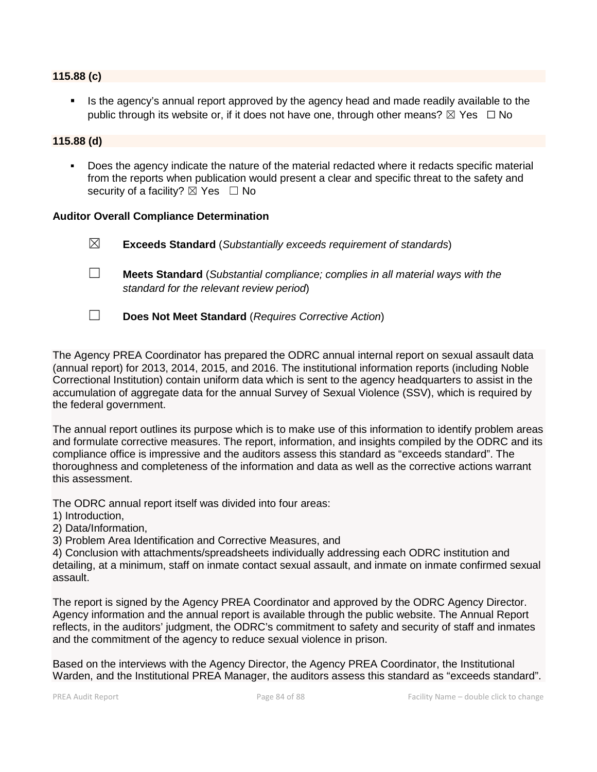#### **115.88 (c)**

 Is the agency's annual report approved by the agency head and made readily available to the public through its website or, if it does not have one, through other means?  $\boxtimes$  Yes  $\Box$  No

### **115.88 (d)**

 Does the agency indicate the nature of the material redacted where it redacts specific material from the reports when publication would present a clear and specific threat to the safety and security of a facility?  $\boxtimes$  Yes  $\Box$  No

#### **Auditor Overall Compliance Determination**

☒ **Exceeds Standard** (*Substantially exceeds requirement of standards*)

- ☐ **Meets Standard** (*Substantial compliance; complies in all material ways with the standard for the relevant review period*)
- ☐ **Does Not Meet Standard** (*Requires Corrective Action*)

The Agency PREA Coordinator has prepared the ODRC annual internal report on sexual assault data (annual report) for 2013, 2014, 2015, and 2016. The institutional information reports (including Noble Correctional Institution) contain uniform data which is sent to the agency headquarters to assist in the accumulation of aggregate data for the annual Survey of Sexual Violence (SSV), which is required by the federal government.

The annual report outlines its purpose which is to make use of this information to identify problem areas and formulate corrective measures. The report, information, and insights compiled by the ODRC and its compliance office is impressive and the auditors assess this standard as "exceeds standard". The thoroughness and completeness of the information and data as well as the corrective actions warrant this assessment.

The ODRC annual report itself was divided into four areas:

- 1) Introduction,
- 2) Data/Information,
- 3) Problem Area Identification and Corrective Measures, and

4) Conclusion with attachments/spreadsheets individually addressing each ODRC institution and detailing, at a minimum, staff on inmate contact sexual assault, and inmate on inmate confirmed sexual assault.

The report is signed by the Agency PREA Coordinator and approved by the ODRC Agency Director. Agency information and the annual report is available through the public website. The Annual Report reflects, in the auditors' judgment, the ODRC's commitment to safety and security of staff and inmates and the commitment of the agency to reduce sexual violence in prison.

Based on the interviews with the Agency Director, the Agency PREA Coordinator, the Institutional Warden, and the Institutional PREA Manager, the auditors assess this standard as "exceeds standard".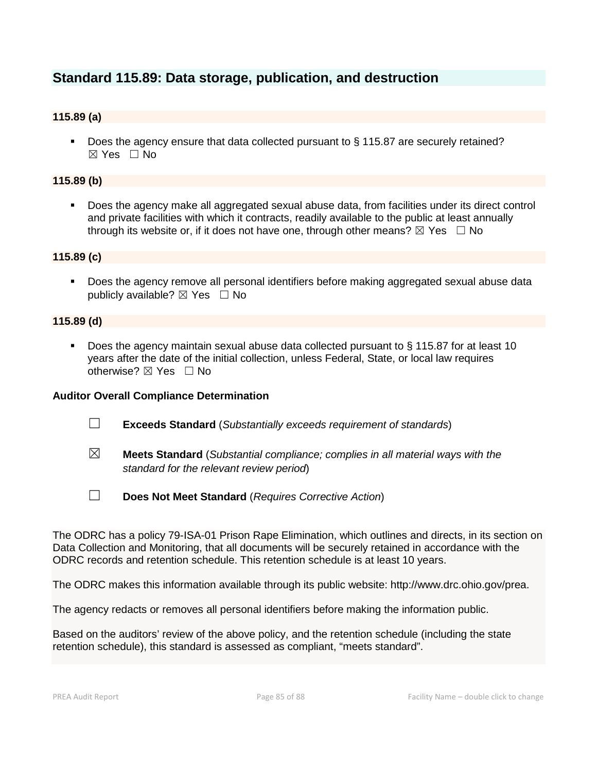# **Standard 115.89: Data storage, publication, and destruction**

# **115.89 (a)**

Does the agency ensure that data collected pursuant to § 115.87 are securely retained?  $\boxtimes$  Yes  $\Box$  No

### **115.89 (b)**

 Does the agency make all aggregated sexual abuse data, from facilities under its direct control and private facilities with which it contracts, readily available to the public at least annually through its website or, if it does not have one, through other means?  $\boxtimes$  Yes  $\Box$  No

# **115.89 (c)**

 Does the agency remove all personal identifiers before making aggregated sexual abuse data publicly available?  $\boxtimes$  Yes  $\Box$  No

#### **115.89 (d)**

 Does the agency maintain sexual abuse data collected pursuant to § 115.87 for at least 10 years after the date of the initial collection, unless Federal, State, or local law requires otherwise?  $\boxtimes$  Yes  $\Box$  No

#### **Auditor Overall Compliance Determination**

- ☐ **Exceeds Standard** (*Substantially exceeds requirement of standards*)
- ☒ **Meets Standard** (*Substantial compliance; complies in all material ways with the standard for the relevant review period*)
- ☐ **Does Not Meet Standard** (*Requires Corrective Action*)

The ODRC has a policy 79-ISA-01 Prison Rape Elimination, which outlines and directs, in its section on Data Collection and Monitoring, that all documents will be securely retained in accordance with the ODRC records and retention schedule. This retention schedule is at least 10 years.

The ODRC makes this information available through its public website: http://www.drc.ohio.gov/prea.

The agency redacts or removes all personal identifiers before making the information public.

Based on the auditors' review of the above policy, and the retention schedule (including the state retention schedule), this standard is assessed as compliant, "meets standard".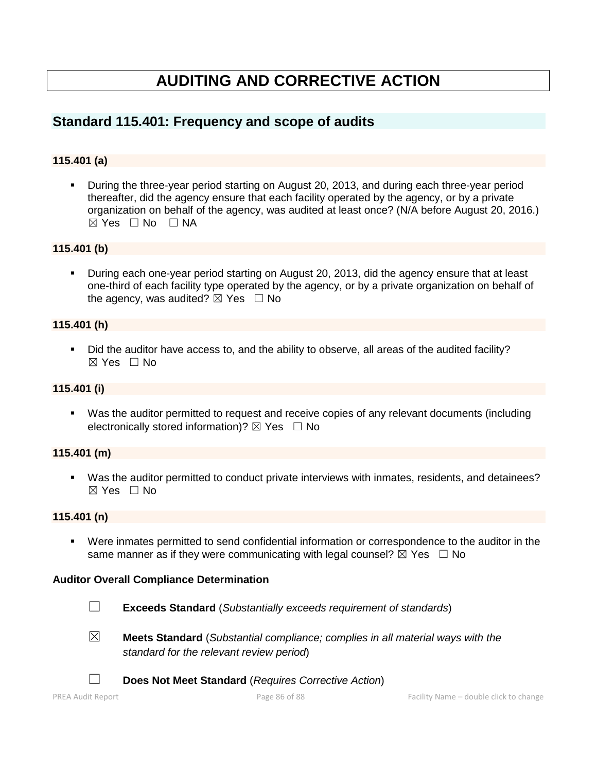# **AUDITING AND CORRECTIVE ACTION**

# **Standard 115.401: Frequency and scope of audits**

# **115.401 (a)**

 During the three-year period starting on August 20, 2013, and during each three-year period thereafter, did the agency ensure that each facility operated by the agency, or by a private organization on behalf of the agency, was audited at least once? (N/A before August 20, 2016.)  $\boxtimes$  Yes  $\Box$  No  $\Box$  NA

#### **115.401 (b)**

**During each one-year period starting on August 20, 2013, did the agency ensure that at least** one-third of each facility type operated by the agency, or by a private organization on behalf of the agency, was audited?  $\boxtimes$  Yes  $\Box$  No

#### **115.401 (h)**

Did the auditor have access to, and the ability to observe, all areas of the audited facility?  $\boxtimes$  Yes  $\Box$  No

#### **115.401 (i)**

 Was the auditor permitted to request and receive copies of any relevant documents (including electronically stored information)?  $\boxtimes$  Yes  $\Box$  No

#### **115.401 (m)**

 Was the auditor permitted to conduct private interviews with inmates, residents, and detainees?  $\boxtimes$  Yes  $\Box$  No

#### **115.401 (n)**

 Were inmates permitted to send confidential information or correspondence to the auditor in the same manner as if they were communicating with legal counsel?  $\boxtimes$  Yes  $\Box$  No

#### **Auditor Overall Compliance Determination**

- ☐ **Exceeds Standard** (*Substantially exceeds requirement of standards*)
- 
- ☒ **Meets Standard** (*Substantial compliance; complies in all material ways with the standard for the relevant review period*)
- ☐ **Does Not Meet Standard** (*Requires Corrective Action*)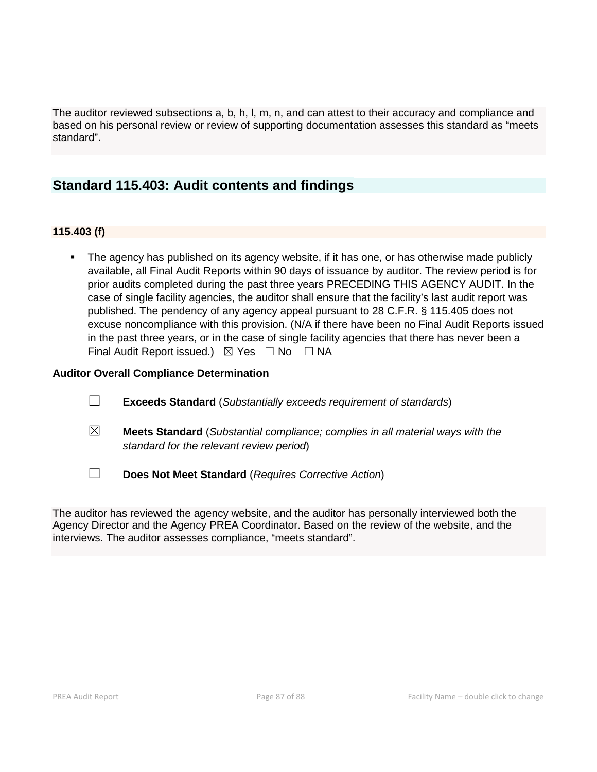The auditor reviewed subsections a, b, h, l, m, n, and can attest to their accuracy and compliance and based on his personal review or review of supporting documentation assesses this standard as "meets standard".

# **Standard 115.403: Audit contents and findings**

# **115.403 (f)**

 The agency has published on its agency website, if it has one, or has otherwise made publicly available, all Final Audit Reports within 90 days of issuance by auditor. The review period is for prior audits completed during the past three years PRECEDING THIS AGENCY AUDIT. In the case of single facility agencies, the auditor shall ensure that the facility's last audit report was published. The pendency of any agency appeal pursuant to 28 C.F.R. § 115.405 does not excuse noncompliance with this provision. (N/A if there have been no Final Audit Reports issued in the past three years, or in the case of single facility agencies that there has never been a Final Audit Report issued.)  $\boxtimes$  Yes  $\Box$  No  $\Box$  NA

# **Auditor Overall Compliance Determination**

- ☐ **Exceeds Standard** (*Substantially exceeds requirement of standards*)
- ☒ **Meets Standard** (*Substantial compliance; complies in all material ways with the standard for the relevant review period*)
- ☐ **Does Not Meet Standard** (*Requires Corrective Action*)

The auditor has reviewed the agency website, and the auditor has personally interviewed both the Agency Director and the Agency PREA Coordinator. Based on the review of the website, and the interviews. The auditor assesses compliance, "meets standard".